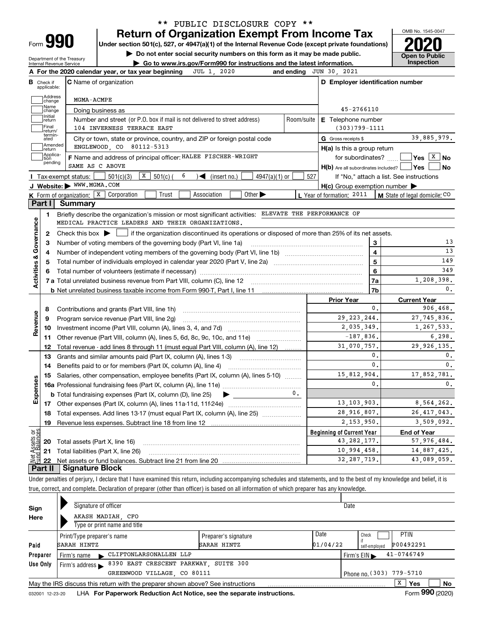| Form |  |
|------|--|

## **Return of Organization Exempt From Income Tax** \*\* PUBLIC DISCLOSURE COPY \*\*

**Under section 501(c), 527, or 4947(a)(1) of the Internal Revenue Code (except private foundations) 2020**

**| Do not enter social security numbers on this form as it may be made public.**

Department of the Treasury Internal Revenue Service

**| Go to www.irs.gov/Form990 for instructions and the latest information. Inspection**



| C Name of organization<br>в<br>Check if<br>applicable:<br>Address<br>MGMA-ACMPE<br>change<br>Name<br>Doing business as<br>change<br>Initial<br>Number and street (or P.O. box if mail is not delivered to street address)<br>Room/suite<br>return<br>Final<br>104 INVERNESS TERRACE EAST<br>return/<br>termin-<br>City or town, state or province, country, and ZIP or foreign postal code<br>ated<br>Amended<br>ENGLEWOOD, CO 80112-5313<br>return<br>Applica-<br>F Name and address of principal officer: HALEE FISCHER-WRIGHT<br>tion<br>pending<br>SAME AS C ABOVE<br>$\boxed{\textbf{X}}$ 501(c) (<br>6<br>501(c)(3)<br>$4947(a)(1)$ or<br>(insert no.)<br>Tax-exempt status:<br>$\blacktriangleright$ | D Employer identification number<br>45-2766110<br><b>E</b> Telephone number<br>$(303)799 - 1111$<br>G Gross receipts \$<br>$H(a)$ is this a group return<br>for subordinates? | 39,885,979.                                        |
|-------------------------------------------------------------------------------------------------------------------------------------------------------------------------------------------------------------------------------------------------------------------------------------------------------------------------------------------------------------------------------------------------------------------------------------------------------------------------------------------------------------------------------------------------------------------------------------------------------------------------------------------------------------------------------------------------------------|-------------------------------------------------------------------------------------------------------------------------------------------------------------------------------|----------------------------------------------------|
|                                                                                                                                                                                                                                                                                                                                                                                                                                                                                                                                                                                                                                                                                                             |                                                                                                                                                                               |                                                    |
|                                                                                                                                                                                                                                                                                                                                                                                                                                                                                                                                                                                                                                                                                                             |                                                                                                                                                                               |                                                    |
|                                                                                                                                                                                                                                                                                                                                                                                                                                                                                                                                                                                                                                                                                                             |                                                                                                                                                                               |                                                    |
|                                                                                                                                                                                                                                                                                                                                                                                                                                                                                                                                                                                                                                                                                                             |                                                                                                                                                                               |                                                    |
|                                                                                                                                                                                                                                                                                                                                                                                                                                                                                                                                                                                                                                                                                                             |                                                                                                                                                                               |                                                    |
|                                                                                                                                                                                                                                                                                                                                                                                                                                                                                                                                                                                                                                                                                                             |                                                                                                                                                                               |                                                    |
|                                                                                                                                                                                                                                                                                                                                                                                                                                                                                                                                                                                                                                                                                                             |                                                                                                                                                                               |                                                    |
|                                                                                                                                                                                                                                                                                                                                                                                                                                                                                                                                                                                                                                                                                                             |                                                                                                                                                                               | $\sqrt{\mathsf{Yes}}$ $\sqrt{\mathsf{X}}$ No       |
|                                                                                                                                                                                                                                                                                                                                                                                                                                                                                                                                                                                                                                                                                                             |                                                                                                                                                                               | H(b) Are all subordinates included?   Yes  <br>∣No |
|                                                                                                                                                                                                                                                                                                                                                                                                                                                                                                                                                                                                                                                                                                             | 527                                                                                                                                                                           | If "No," attach a list. See instructions           |
| J Website: WWW.MGMA.COM                                                                                                                                                                                                                                                                                                                                                                                                                                                                                                                                                                                                                                                                                     | $H(c)$ Group exemption number $\blacktriangleright$                                                                                                                           |                                                    |
| K Form of organization: X Corporation<br>Other $\blacktriangleright$<br>Trust<br>Association                                                                                                                                                                                                                                                                                                                                                                                                                                                                                                                                                                                                                | L Year of formation: 2011   M State of legal domicile: CO                                                                                                                     |                                                    |
| Part I<br>Summary                                                                                                                                                                                                                                                                                                                                                                                                                                                                                                                                                                                                                                                                                           |                                                                                                                                                                               |                                                    |
| Briefly describe the organization's mission or most significant activities: ELEVATE THE PERFORMANCE OF<br>1                                                                                                                                                                                                                                                                                                                                                                                                                                                                                                                                                                                                 |                                                                                                                                                                               |                                                    |
| MEDICAL PRACTICE LEADERS AND THEIR ORGANIZATIONS.                                                                                                                                                                                                                                                                                                                                                                                                                                                                                                                                                                                                                                                           |                                                                                                                                                                               |                                                    |
| Activities & Governance<br>Check this box $\blacktriangleright$ $\Box$ if the organization discontinued its operations or disposed of more than 25% of its net assets.<br>$\mathbf{2}$                                                                                                                                                                                                                                                                                                                                                                                                                                                                                                                      |                                                                                                                                                                               |                                                    |
| Number of voting members of the governing body (Part VI, line 1a)<br>З                                                                                                                                                                                                                                                                                                                                                                                                                                                                                                                                                                                                                                      | 3                                                                                                                                                                             | 13                                                 |
| 4                                                                                                                                                                                                                                                                                                                                                                                                                                                                                                                                                                                                                                                                                                           | $\overline{\mathbf{4}}$                                                                                                                                                       | 13                                                 |
| 5                                                                                                                                                                                                                                                                                                                                                                                                                                                                                                                                                                                                                                                                                                           | 5                                                                                                                                                                             | 149                                                |
| 6                                                                                                                                                                                                                                                                                                                                                                                                                                                                                                                                                                                                                                                                                                           | 6                                                                                                                                                                             | 349                                                |
|                                                                                                                                                                                                                                                                                                                                                                                                                                                                                                                                                                                                                                                                                                             | 7a                                                                                                                                                                            | 1,208,398.                                         |
|                                                                                                                                                                                                                                                                                                                                                                                                                                                                                                                                                                                                                                                                                                             | 7b                                                                                                                                                                            | 0.                                                 |
|                                                                                                                                                                                                                                                                                                                                                                                                                                                                                                                                                                                                                                                                                                             | <b>Prior Year</b>                                                                                                                                                             | <b>Current Year</b>                                |
| Contributions and grants (Part VIII, line 1h)<br>8                                                                                                                                                                                                                                                                                                                                                                                                                                                                                                                                                                                                                                                          | $\mathbf{0}$ .                                                                                                                                                                | 906.468.                                           |
| Revenue<br>Program service revenue (Part VIII, line 2g)<br>9                                                                                                                                                                                                                                                                                                                                                                                                                                                                                                                                                                                                                                                | 29, 223, 244.                                                                                                                                                                 | 27, 745, 836.                                      |
| 10                                                                                                                                                                                                                                                                                                                                                                                                                                                                                                                                                                                                                                                                                                          | 2,035,349.                                                                                                                                                                    | 1,267,533.                                         |
| 11                                                                                                                                                                                                                                                                                                                                                                                                                                                                                                                                                                                                                                                                                                          | $-187,836.$                                                                                                                                                                   | 6, 298.                                            |
| Total revenue - add lines 8 through 11 (must equal Part VIII, column (A), line 12)<br>12                                                                                                                                                                                                                                                                                                                                                                                                                                                                                                                                                                                                                    | 31,070,757.                                                                                                                                                                   | 29, 926, 135.                                      |
| Grants and similar amounts paid (Part IX, column (A), lines 1-3) <i>manumanonononononon</i><br>13                                                                                                                                                                                                                                                                                                                                                                                                                                                                                                                                                                                                           | 0.                                                                                                                                                                            | 0.                                                 |
| 14                                                                                                                                                                                                                                                                                                                                                                                                                                                                                                                                                                                                                                                                                                          | 0.                                                                                                                                                                            | $\mathbf{0}$ .                                     |
| Salaries, other compensation, employee benefits (Part IX, column (A), lines 5-10)<br>15                                                                                                                                                                                                                                                                                                                                                                                                                                                                                                                                                                                                                     | 15,812,904.                                                                                                                                                                   | 17,852,781.                                        |
| Expenses                                                                                                                                                                                                                                                                                                                                                                                                                                                                                                                                                                                                                                                                                                    | 0.                                                                                                                                                                            | $\mathbf{0}$ .                                     |
| 0.<br><b>b</b> Total fundraising expenses (Part IX, column (D), line 25)<br>$\blacktriangleright$ ________                                                                                                                                                                                                                                                                                                                                                                                                                                                                                                                                                                                                  |                                                                                                                                                                               |                                                    |
|                                                                                                                                                                                                                                                                                                                                                                                                                                                                                                                                                                                                                                                                                                             | 13, 103, 903.                                                                                                                                                                 | 8,564,262.                                         |
| Total expenses. Add lines 13-17 (must equal Part IX, column (A), line 25) <i></i><br>18                                                                                                                                                                                                                                                                                                                                                                                                                                                                                                                                                                                                                     | 28,916,807.                                                                                                                                                                   | 26, 417, 043.                                      |
| 19                                                                                                                                                                                                                                                                                                                                                                                                                                                                                                                                                                                                                                                                                                          | 2,153,950.                                                                                                                                                                    | 3,509,092.                                         |
| ಕ್ಷ                                                                                                                                                                                                                                                                                                                                                                                                                                                                                                                                                                                                                                                                                                         | <b>Beginning of Current Year</b>                                                                                                                                              | <b>End of Year</b>                                 |
| Assets<br><b>20</b> Total assets (Part X, line 16)                                                                                                                                                                                                                                                                                                                                                                                                                                                                                                                                                                                                                                                          | 43, 282, 177.                                                                                                                                                                 | 57,976,484.                                        |
| 21 Total liabilities (Part X, line 26)                                                                                                                                                                                                                                                                                                                                                                                                                                                                                                                                                                                                                                                                      | 10,994,458.                                                                                                                                                                   | 14,887,425.                                        |
| 22<br><b>Part II   Signature Block</b>                                                                                                                                                                                                                                                                                                                                                                                                                                                                                                                                                                                                                                                                      | 32, 287, 719.                                                                                                                                                                 | 43,089,059.                                        |

Under penalties of perjury, I declare that I have examined this return, including accompanying schedules and statements, and to the best of my knowledge and belief, it is true, correct, and complete. Declaration of preparer (other than officer) is based on all information of which preparer has any knowledge.

| Sign                                                    | Signature of officer                                                            |                      | Date     |                                |  |  |  |  |  |  |  |
|---------------------------------------------------------|---------------------------------------------------------------------------------|----------------------|----------|--------------------------------|--|--|--|--|--|--|--|
| Here                                                    | AKASH MADIAH CFO                                                                |                      |          |                                |  |  |  |  |  |  |  |
|                                                         | Type or print name and title                                                    |                      |          |                                |  |  |  |  |  |  |  |
|                                                         | Print/Type preparer's name                                                      | Preparer's signature | Date     | <b>PTIN</b><br>Check           |  |  |  |  |  |  |  |
| Paid                                                    | SARAH HINTZ                                                                     | SARAH HINTZ          | 01/04/22 | P00492291<br>self-emploved     |  |  |  |  |  |  |  |
| Preparer                                                | CLIFTONLARSONALLEN LLP<br>Firm's name                                           |                      |          | $41 - 0746749$<br>Firm's $EIN$ |  |  |  |  |  |  |  |
| Use Only                                                | 8390 EAST CRESCENT PARKWAY, SUITE 300<br>Firm's address $\blacktriangleright$   |                      |          |                                |  |  |  |  |  |  |  |
| Phone no. (303) 779-5710<br>GREENWOOD VILLAGE, CO 80111 |                                                                                 |                      |          |                                |  |  |  |  |  |  |  |
|                                                         | May the IRS discuss this return with the preparer shown above? See instructions |                      |          | x<br>No<br>Yes                 |  |  |  |  |  |  |  |
| 032001 12-23-20                                         | LHA For Paperwork Reduction Act Notice, see the separate instructions.          |                      |          | Form 990 (2020)                |  |  |  |  |  |  |  |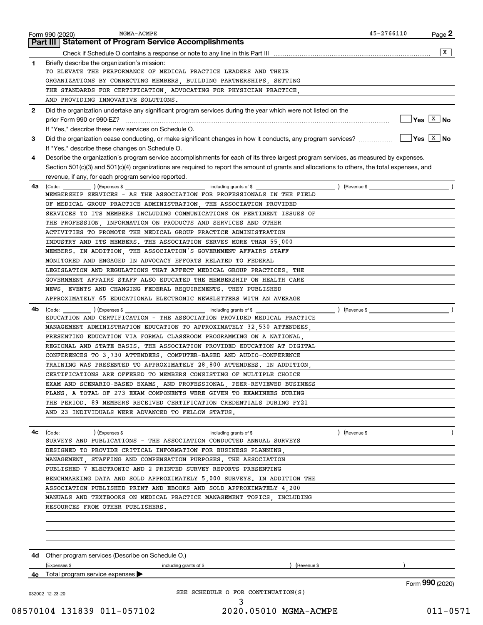| $\mathbf{1}$<br>$\mathbf{2}$<br>3<br>4<br>4a<br>4b<br>4c | X<br>Briefly describe the organization's mission:<br>TO ELEVATE THE PERFORMANCE OF MEDICAL PRACTICE LEADERS AND THEIR<br>ORGANIZATIONS BY CONNECTING MEMBERS BUILDING PARTNERSHIPS SETTING<br>THE STANDARDS FOR CERTIFICATION, ADVOCATING FOR PHYSICIAN PRACTICE,<br>AND PROVIDING INNOVATIVE SOLUTIONS.<br>Did the organization undertake any significant program services during the year which were not listed on the<br>$\sqrt{Y}$ es $\boxed{X}$ No<br>If "Yes," describe these new services on Schedule O.<br>If "Yes," describe these changes on Schedule O.<br>Describe the organization's program service accomplishments for each of its three largest program services, as measured by expenses.<br>Section 501(c)(3) and 501(c)(4) organizations are required to report the amount of grants and allocations to others, the total expenses, and<br>revenue, if any, for each program service reported.<br>MEMBERSHIP SERVICES - AS THE ASSOCIATION FOR PROFESSIONALS IN THE FIELD<br>OF MEDICAL GROUP PRACTICE ADMINISTRATION, THE ASSOCIATION PROVIDED<br>SERVICES TO ITS MEMBERS INCLUDING COMMUNICATIONS ON PERTINENT ISSUES OF<br>THE PROFESSION INFORMATION ON PRODUCTS AND SERVICES AND OTHER<br>ACTIVITIES TO PROMOTE THE MEDICAL GROUP PRACTICE ADMINISTRATION<br>INDUSTRY AND ITS MEMBERS. THE ASSOCIATION SERVES MORE THAN 55 000<br>MEMBERS. IN ADDITION, THE ASSOCIATION'S GOVERNMENT AFFAIRS STAFF<br>MONITORED AND ENGAGED IN ADVOCACY EFFORTS RELATED TO FEDERAL<br>LEGISLATION AND REGULATIONS THAT AFFECT MEDICAL GROUP PRACTICES. THE<br>GOVERNMENT AFFAIRS STAFF ALSO EDUCATED THE MEMBERSHIP ON HEALTH CARE<br>NEWS, EVENTS AND CHANGING FEDERAL REQUIREMENTS. THEY PUBLISHED<br>APPROXIMATELY 65 EDUCATIONAL ELECTRONIC NEWSLETTERS WITH AN AVERAGE<br>(Code: ) (Expenses \$<br>EDUCATION AND CERTIFICATION - THE ASSOCIATION PROVIDED MEDICAL PRACTICE<br>MANAGEMENT ADMINISTRATION EDUCATION TO APPROXIMATELY 32,530 ATTENDEES,<br>PRESENTING EDUCATION VIA FORMAL CLASSROOM PROGRAMMING ON A NATIONAL.<br>REGIONAL AND STATE BASIS. THE ASSOCIATION PROVIDED EDUCATION AT DIGITAL<br>CONFERENCES TO 3,730 ATTENDEES. COMPUTER-BASED AND AUDIO-CONFERENCE<br>TRAINING WAS PRESENTED TO APPROXIMATELY 28,800 ATTENDEES. IN ADDITION,<br>CERTIFICATIONS ARE OFFERED TO MEMBERS CONSISTING OF MULTIPLE CHOICE<br>EXAM AND SCENARIO-BASED EXAMS, AND PROFESSIONAL, PEER-REVIEWED BUSINESS |
|----------------------------------------------------------|--------------------------------------------------------------------------------------------------------------------------------------------------------------------------------------------------------------------------------------------------------------------------------------------------------------------------------------------------------------------------------------------------------------------------------------------------------------------------------------------------------------------------------------------------------------------------------------------------------------------------------------------------------------------------------------------------------------------------------------------------------------------------------------------------------------------------------------------------------------------------------------------------------------------------------------------------------------------------------------------------------------------------------------------------------------------------------------------------------------------------------------------------------------------------------------------------------------------------------------------------------------------------------------------------------------------------------------------------------------------------------------------------------------------------------------------------------------------------------------------------------------------------------------------------------------------------------------------------------------------------------------------------------------------------------------------------------------------------------------------------------------------------------------------------------------------------------------------------------------------------------------------------------------------------------------------------------------------------------------------------------------------------------------------------------------------------------------------------------------------------------------------------------------------------------------------------------------------------------------------------------------------------------------------------------------------------------------------------------------------------------------------------------------------------|
|                                                          |                                                                                                                                                                                                                                                                                                                                                                                                                                                                                                                                                                                                                                                                                                                                                                                                                                                                                                                                                                                                                                                                                                                                                                                                                                                                                                                                                                                                                                                                                                                                                                                                                                                                                                                                                                                                                                                                                                                                                                                                                                                                                                                                                                                                                                                                                                                                                                                                                          |
|                                                          |                                                                                                                                                                                                                                                                                                                                                                                                                                                                                                                                                                                                                                                                                                                                                                                                                                                                                                                                                                                                                                                                                                                                                                                                                                                                                                                                                                                                                                                                                                                                                                                                                                                                                                                                                                                                                                                                                                                                                                                                                                                                                                                                                                                                                                                                                                                                                                                                                          |
|                                                          |                                                                                                                                                                                                                                                                                                                                                                                                                                                                                                                                                                                                                                                                                                                                                                                                                                                                                                                                                                                                                                                                                                                                                                                                                                                                                                                                                                                                                                                                                                                                                                                                                                                                                                                                                                                                                                                                                                                                                                                                                                                                                                                                                                                                                                                                                                                                                                                                                          |
|                                                          |                                                                                                                                                                                                                                                                                                                                                                                                                                                                                                                                                                                                                                                                                                                                                                                                                                                                                                                                                                                                                                                                                                                                                                                                                                                                                                                                                                                                                                                                                                                                                                                                                                                                                                                                                                                                                                                                                                                                                                                                                                                                                                                                                                                                                                                                                                                                                                                                                          |
|                                                          |                                                                                                                                                                                                                                                                                                                                                                                                                                                                                                                                                                                                                                                                                                                                                                                                                                                                                                                                                                                                                                                                                                                                                                                                                                                                                                                                                                                                                                                                                                                                                                                                                                                                                                                                                                                                                                                                                                                                                                                                                                                                                                                                                                                                                                                                                                                                                                                                                          |
|                                                          |                                                                                                                                                                                                                                                                                                                                                                                                                                                                                                                                                                                                                                                                                                                                                                                                                                                                                                                                                                                                                                                                                                                                                                                                                                                                                                                                                                                                                                                                                                                                                                                                                                                                                                                                                                                                                                                                                                                                                                                                                                                                                                                                                                                                                                                                                                                                                                                                                          |
|                                                          |                                                                                                                                                                                                                                                                                                                                                                                                                                                                                                                                                                                                                                                                                                                                                                                                                                                                                                                                                                                                                                                                                                                                                                                                                                                                                                                                                                                                                                                                                                                                                                                                                                                                                                                                                                                                                                                                                                                                                                                                                                                                                                                                                                                                                                                                                                                                                                                                                          |
|                                                          |                                                                                                                                                                                                                                                                                                                                                                                                                                                                                                                                                                                                                                                                                                                                                                                                                                                                                                                                                                                                                                                                                                                                                                                                                                                                                                                                                                                                                                                                                                                                                                                                                                                                                                                                                                                                                                                                                                                                                                                                                                                                                                                                                                                                                                                                                                                                                                                                                          |
|                                                          |                                                                                                                                                                                                                                                                                                                                                                                                                                                                                                                                                                                                                                                                                                                                                                                                                                                                                                                                                                                                                                                                                                                                                                                                                                                                                                                                                                                                                                                                                                                                                                                                                                                                                                                                                                                                                                                                                                                                                                                                                                                                                                                                                                                                                                                                                                                                                                                                                          |
|                                                          |                                                                                                                                                                                                                                                                                                                                                                                                                                                                                                                                                                                                                                                                                                                                                                                                                                                                                                                                                                                                                                                                                                                                                                                                                                                                                                                                                                                                                                                                                                                                                                                                                                                                                                                                                                                                                                                                                                                                                                                                                                                                                                                                                                                                                                                                                                                                                                                                                          |
|                                                          |                                                                                                                                                                                                                                                                                                                                                                                                                                                                                                                                                                                                                                                                                                                                                                                                                                                                                                                                                                                                                                                                                                                                                                                                                                                                                                                                                                                                                                                                                                                                                                                                                                                                                                                                                                                                                                                                                                                                                                                                                                                                                                                                                                                                                                                                                                                                                                                                                          |
|                                                          |                                                                                                                                                                                                                                                                                                                                                                                                                                                                                                                                                                                                                                                                                                                                                                                                                                                                                                                                                                                                                                                                                                                                                                                                                                                                                                                                                                                                                                                                                                                                                                                                                                                                                                                                                                                                                                                                                                                                                                                                                                                                                                                                                                                                                                                                                                                                                                                                                          |
|                                                          |                                                                                                                                                                                                                                                                                                                                                                                                                                                                                                                                                                                                                                                                                                                                                                                                                                                                                                                                                                                                                                                                                                                                                                                                                                                                                                                                                                                                                                                                                                                                                                                                                                                                                                                                                                                                                                                                                                                                                                                                                                                                                                                                                                                                                                                                                                                                                                                                                          |
|                                                          |                                                                                                                                                                                                                                                                                                                                                                                                                                                                                                                                                                                                                                                                                                                                                                                                                                                                                                                                                                                                                                                                                                                                                                                                                                                                                                                                                                                                                                                                                                                                                                                                                                                                                                                                                                                                                                                                                                                                                                                                                                                                                                                                                                                                                                                                                                                                                                                                                          |
|                                                          |                                                                                                                                                                                                                                                                                                                                                                                                                                                                                                                                                                                                                                                                                                                                                                                                                                                                                                                                                                                                                                                                                                                                                                                                                                                                                                                                                                                                                                                                                                                                                                                                                                                                                                                                                                                                                                                                                                                                                                                                                                                                                                                                                                                                                                                                                                                                                                                                                          |
|                                                          |                                                                                                                                                                                                                                                                                                                                                                                                                                                                                                                                                                                                                                                                                                                                                                                                                                                                                                                                                                                                                                                                                                                                                                                                                                                                                                                                                                                                                                                                                                                                                                                                                                                                                                                                                                                                                                                                                                                                                                                                                                                                                                                                                                                                                                                                                                                                                                                                                          |
|                                                          |                                                                                                                                                                                                                                                                                                                                                                                                                                                                                                                                                                                                                                                                                                                                                                                                                                                                                                                                                                                                                                                                                                                                                                                                                                                                                                                                                                                                                                                                                                                                                                                                                                                                                                                                                                                                                                                                                                                                                                                                                                                                                                                                                                                                                                                                                                                                                                                                                          |
|                                                          |                                                                                                                                                                                                                                                                                                                                                                                                                                                                                                                                                                                                                                                                                                                                                                                                                                                                                                                                                                                                                                                                                                                                                                                                                                                                                                                                                                                                                                                                                                                                                                                                                                                                                                                                                                                                                                                                                                                                                                                                                                                                                                                                                                                                                                                                                                                                                                                                                          |
|                                                          |                                                                                                                                                                                                                                                                                                                                                                                                                                                                                                                                                                                                                                                                                                                                                                                                                                                                                                                                                                                                                                                                                                                                                                                                                                                                                                                                                                                                                                                                                                                                                                                                                                                                                                                                                                                                                                                                                                                                                                                                                                                                                                                                                                                                                                                                                                                                                                                                                          |
|                                                          |                                                                                                                                                                                                                                                                                                                                                                                                                                                                                                                                                                                                                                                                                                                                                                                                                                                                                                                                                                                                                                                                                                                                                                                                                                                                                                                                                                                                                                                                                                                                                                                                                                                                                                                                                                                                                                                                                                                                                                                                                                                                                                                                                                                                                                                                                                                                                                                                                          |
|                                                          |                                                                                                                                                                                                                                                                                                                                                                                                                                                                                                                                                                                                                                                                                                                                                                                                                                                                                                                                                                                                                                                                                                                                                                                                                                                                                                                                                                                                                                                                                                                                                                                                                                                                                                                                                                                                                                                                                                                                                                                                                                                                                                                                                                                                                                                                                                                                                                                                                          |
|                                                          |                                                                                                                                                                                                                                                                                                                                                                                                                                                                                                                                                                                                                                                                                                                                                                                                                                                                                                                                                                                                                                                                                                                                                                                                                                                                                                                                                                                                                                                                                                                                                                                                                                                                                                                                                                                                                                                                                                                                                                                                                                                                                                                                                                                                                                                                                                                                                                                                                          |
|                                                          |                                                                                                                                                                                                                                                                                                                                                                                                                                                                                                                                                                                                                                                                                                                                                                                                                                                                                                                                                                                                                                                                                                                                                                                                                                                                                                                                                                                                                                                                                                                                                                                                                                                                                                                                                                                                                                                                                                                                                                                                                                                                                                                                                                                                                                                                                                                                                                                                                          |
|                                                          |                                                                                                                                                                                                                                                                                                                                                                                                                                                                                                                                                                                                                                                                                                                                                                                                                                                                                                                                                                                                                                                                                                                                                                                                                                                                                                                                                                                                                                                                                                                                                                                                                                                                                                                                                                                                                                                                                                                                                                                                                                                                                                                                                                                                                                                                                                                                                                                                                          |
|                                                          |                                                                                                                                                                                                                                                                                                                                                                                                                                                                                                                                                                                                                                                                                                                                                                                                                                                                                                                                                                                                                                                                                                                                                                                                                                                                                                                                                                                                                                                                                                                                                                                                                                                                                                                                                                                                                                                                                                                                                                                                                                                                                                                                                                                                                                                                                                                                                                                                                          |
|                                                          |                                                                                                                                                                                                                                                                                                                                                                                                                                                                                                                                                                                                                                                                                                                                                                                                                                                                                                                                                                                                                                                                                                                                                                                                                                                                                                                                                                                                                                                                                                                                                                                                                                                                                                                                                                                                                                                                                                                                                                                                                                                                                                                                                                                                                                                                                                                                                                                                                          |
|                                                          |                                                                                                                                                                                                                                                                                                                                                                                                                                                                                                                                                                                                                                                                                                                                                                                                                                                                                                                                                                                                                                                                                                                                                                                                                                                                                                                                                                                                                                                                                                                                                                                                                                                                                                                                                                                                                                                                                                                                                                                                                                                                                                                                                                                                                                                                                                                                                                                                                          |
|                                                          |                                                                                                                                                                                                                                                                                                                                                                                                                                                                                                                                                                                                                                                                                                                                                                                                                                                                                                                                                                                                                                                                                                                                                                                                                                                                                                                                                                                                                                                                                                                                                                                                                                                                                                                                                                                                                                                                                                                                                                                                                                                                                                                                                                                                                                                                                                                                                                                                                          |
|                                                          |                                                                                                                                                                                                                                                                                                                                                                                                                                                                                                                                                                                                                                                                                                                                                                                                                                                                                                                                                                                                                                                                                                                                                                                                                                                                                                                                                                                                                                                                                                                                                                                                                                                                                                                                                                                                                                                                                                                                                                                                                                                                                                                                                                                                                                                                                                                                                                                                                          |
|                                                          |                                                                                                                                                                                                                                                                                                                                                                                                                                                                                                                                                                                                                                                                                                                                                                                                                                                                                                                                                                                                                                                                                                                                                                                                                                                                                                                                                                                                                                                                                                                                                                                                                                                                                                                                                                                                                                                                                                                                                                                                                                                                                                                                                                                                                                                                                                                                                                                                                          |
|                                                          |                                                                                                                                                                                                                                                                                                                                                                                                                                                                                                                                                                                                                                                                                                                                                                                                                                                                                                                                                                                                                                                                                                                                                                                                                                                                                                                                                                                                                                                                                                                                                                                                                                                                                                                                                                                                                                                                                                                                                                                                                                                                                                                                                                                                                                                                                                                                                                                                                          |
|                                                          |                                                                                                                                                                                                                                                                                                                                                                                                                                                                                                                                                                                                                                                                                                                                                                                                                                                                                                                                                                                                                                                                                                                                                                                                                                                                                                                                                                                                                                                                                                                                                                                                                                                                                                                                                                                                                                                                                                                                                                                                                                                                                                                                                                                                                                                                                                                                                                                                                          |
|                                                          |                                                                                                                                                                                                                                                                                                                                                                                                                                                                                                                                                                                                                                                                                                                                                                                                                                                                                                                                                                                                                                                                                                                                                                                                                                                                                                                                                                                                                                                                                                                                                                                                                                                                                                                                                                                                                                                                                                                                                                                                                                                                                                                                                                                                                                                                                                                                                                                                                          |
|                                                          |                                                                                                                                                                                                                                                                                                                                                                                                                                                                                                                                                                                                                                                                                                                                                                                                                                                                                                                                                                                                                                                                                                                                                                                                                                                                                                                                                                                                                                                                                                                                                                                                                                                                                                                                                                                                                                                                                                                                                                                                                                                                                                                                                                                                                                                                                                                                                                                                                          |
|                                                          |                                                                                                                                                                                                                                                                                                                                                                                                                                                                                                                                                                                                                                                                                                                                                                                                                                                                                                                                                                                                                                                                                                                                                                                                                                                                                                                                                                                                                                                                                                                                                                                                                                                                                                                                                                                                                                                                                                                                                                                                                                                                                                                                                                                                                                                                                                                                                                                                                          |
|                                                          |                                                                                                                                                                                                                                                                                                                                                                                                                                                                                                                                                                                                                                                                                                                                                                                                                                                                                                                                                                                                                                                                                                                                                                                                                                                                                                                                                                                                                                                                                                                                                                                                                                                                                                                                                                                                                                                                                                                                                                                                                                                                                                                                                                                                                                                                                                                                                                                                                          |
|                                                          |                                                                                                                                                                                                                                                                                                                                                                                                                                                                                                                                                                                                                                                                                                                                                                                                                                                                                                                                                                                                                                                                                                                                                                                                                                                                                                                                                                                                                                                                                                                                                                                                                                                                                                                                                                                                                                                                                                                                                                                                                                                                                                                                                                                                                                                                                                                                                                                                                          |
|                                                          |                                                                                                                                                                                                                                                                                                                                                                                                                                                                                                                                                                                                                                                                                                                                                                                                                                                                                                                                                                                                                                                                                                                                                                                                                                                                                                                                                                                                                                                                                                                                                                                                                                                                                                                                                                                                                                                                                                                                                                                                                                                                                                                                                                                                                                                                                                                                                                                                                          |
|                                                          | PLANS. A TOTAL OF 273 EXAM COMPONENTS WERE GIVEN TO EXAMINEES DURING                                                                                                                                                                                                                                                                                                                                                                                                                                                                                                                                                                                                                                                                                                                                                                                                                                                                                                                                                                                                                                                                                                                                                                                                                                                                                                                                                                                                                                                                                                                                                                                                                                                                                                                                                                                                                                                                                                                                                                                                                                                                                                                                                                                                                                                                                                                                                     |
|                                                          | THE PERIOD. 89 MEMBERS RECEIVED CERTIFICATION CREDENTIALS DURING FY21                                                                                                                                                                                                                                                                                                                                                                                                                                                                                                                                                                                                                                                                                                                                                                                                                                                                                                                                                                                                                                                                                                                                                                                                                                                                                                                                                                                                                                                                                                                                                                                                                                                                                                                                                                                                                                                                                                                                                                                                                                                                                                                                                                                                                                                                                                                                                    |
|                                                          | AND 23 INDIVIDUALS WERE ADVANCED TO FELLOW STATUS.                                                                                                                                                                                                                                                                                                                                                                                                                                                                                                                                                                                                                                                                                                                                                                                                                                                                                                                                                                                                                                                                                                                                                                                                                                                                                                                                                                                                                                                                                                                                                                                                                                                                                                                                                                                                                                                                                                                                                                                                                                                                                                                                                                                                                                                                                                                                                                       |
|                                                          |                                                                                                                                                                                                                                                                                                                                                                                                                                                                                                                                                                                                                                                                                                                                                                                                                                                                                                                                                                                                                                                                                                                                                                                                                                                                                                                                                                                                                                                                                                                                                                                                                                                                                                                                                                                                                                                                                                                                                                                                                                                                                                                                                                                                                                                                                                                                                                                                                          |
|                                                          | $\left($ Revenue \$ $\right)$                                                                                                                                                                                                                                                                                                                                                                                                                                                                                                                                                                                                                                                                                                                                                                                                                                                                                                                                                                                                                                                                                                                                                                                                                                                                                                                                                                                                                                                                                                                                                                                                                                                                                                                                                                                                                                                                                                                                                                                                                                                                                                                                                                                                                                                                                                                                                                                            |
|                                                          | SURVEYS AND PUBLICATIONS - THE ASSOCIATION CONDUCTED ANNUAL SURVEYS                                                                                                                                                                                                                                                                                                                                                                                                                                                                                                                                                                                                                                                                                                                                                                                                                                                                                                                                                                                                                                                                                                                                                                                                                                                                                                                                                                                                                                                                                                                                                                                                                                                                                                                                                                                                                                                                                                                                                                                                                                                                                                                                                                                                                                                                                                                                                      |
|                                                          | DESIGNED TO PROVIDE CRITICAL INFORMATION FOR BUSINESS PLANNING,                                                                                                                                                                                                                                                                                                                                                                                                                                                                                                                                                                                                                                                                                                                                                                                                                                                                                                                                                                                                                                                                                                                                                                                                                                                                                                                                                                                                                                                                                                                                                                                                                                                                                                                                                                                                                                                                                                                                                                                                                                                                                                                                                                                                                                                                                                                                                          |
|                                                          | MANAGEMENT STAFFING AND COMPENSATION PURPOSES. THE ASSOCIATION                                                                                                                                                                                                                                                                                                                                                                                                                                                                                                                                                                                                                                                                                                                                                                                                                                                                                                                                                                                                                                                                                                                                                                                                                                                                                                                                                                                                                                                                                                                                                                                                                                                                                                                                                                                                                                                                                                                                                                                                                                                                                                                                                                                                                                                                                                                                                           |
|                                                          |                                                                                                                                                                                                                                                                                                                                                                                                                                                                                                                                                                                                                                                                                                                                                                                                                                                                                                                                                                                                                                                                                                                                                                                                                                                                                                                                                                                                                                                                                                                                                                                                                                                                                                                                                                                                                                                                                                                                                                                                                                                                                                                                                                                                                                                                                                                                                                                                                          |
|                                                          | PUBLISHED 7 ELECTRONIC AND 2 PRINTED SURVEY REPORTS PRESENTING                                                                                                                                                                                                                                                                                                                                                                                                                                                                                                                                                                                                                                                                                                                                                                                                                                                                                                                                                                                                                                                                                                                                                                                                                                                                                                                                                                                                                                                                                                                                                                                                                                                                                                                                                                                                                                                                                                                                                                                                                                                                                                                                                                                                                                                                                                                                                           |
|                                                          | BENCHMARKING DATA AND SOLD APPROXIMATELY 5,000 SURVEYS. IN ADDITION THE                                                                                                                                                                                                                                                                                                                                                                                                                                                                                                                                                                                                                                                                                                                                                                                                                                                                                                                                                                                                                                                                                                                                                                                                                                                                                                                                                                                                                                                                                                                                                                                                                                                                                                                                                                                                                                                                                                                                                                                                                                                                                                                                                                                                                                                                                                                                                  |
|                                                          | ASSOCIATION PUBLISHED PRINT AND EBOOKS AND SOLD APPROXIMATELY 4,200                                                                                                                                                                                                                                                                                                                                                                                                                                                                                                                                                                                                                                                                                                                                                                                                                                                                                                                                                                                                                                                                                                                                                                                                                                                                                                                                                                                                                                                                                                                                                                                                                                                                                                                                                                                                                                                                                                                                                                                                                                                                                                                                                                                                                                                                                                                                                      |
|                                                          | MANUALS AND TEXTBOOKS ON MEDICAL PRACTICE MANAGEMENT TOPICS, INCLUDING                                                                                                                                                                                                                                                                                                                                                                                                                                                                                                                                                                                                                                                                                                                                                                                                                                                                                                                                                                                                                                                                                                                                                                                                                                                                                                                                                                                                                                                                                                                                                                                                                                                                                                                                                                                                                                                                                                                                                                                                                                                                                                                                                                                                                                                                                                                                                   |
|                                                          | RESOURCES FROM OTHER PUBLISHERS.                                                                                                                                                                                                                                                                                                                                                                                                                                                                                                                                                                                                                                                                                                                                                                                                                                                                                                                                                                                                                                                                                                                                                                                                                                                                                                                                                                                                                                                                                                                                                                                                                                                                                                                                                                                                                                                                                                                                                                                                                                                                                                                                                                                                                                                                                                                                                                                         |
|                                                          |                                                                                                                                                                                                                                                                                                                                                                                                                                                                                                                                                                                                                                                                                                                                                                                                                                                                                                                                                                                                                                                                                                                                                                                                                                                                                                                                                                                                                                                                                                                                                                                                                                                                                                                                                                                                                                                                                                                                                                                                                                                                                                                                                                                                                                                                                                                                                                                                                          |
|                                                          |                                                                                                                                                                                                                                                                                                                                                                                                                                                                                                                                                                                                                                                                                                                                                                                                                                                                                                                                                                                                                                                                                                                                                                                                                                                                                                                                                                                                                                                                                                                                                                                                                                                                                                                                                                                                                                                                                                                                                                                                                                                                                                                                                                                                                                                                                                                                                                                                                          |
|                                                          |                                                                                                                                                                                                                                                                                                                                                                                                                                                                                                                                                                                                                                                                                                                                                                                                                                                                                                                                                                                                                                                                                                                                                                                                                                                                                                                                                                                                                                                                                                                                                                                                                                                                                                                                                                                                                                                                                                                                                                                                                                                                                                                                                                                                                                                                                                                                                                                                                          |
|                                                          | <b>4d</b> Other program services (Describe on Schedule O.)                                                                                                                                                                                                                                                                                                                                                                                                                                                                                                                                                                                                                                                                                                                                                                                                                                                                                                                                                                                                                                                                                                                                                                                                                                                                                                                                                                                                                                                                                                                                                                                                                                                                                                                                                                                                                                                                                                                                                                                                                                                                                                                                                                                                                                                                                                                                                               |
| (Expenses \$                                             | including grants of \$<br>(Revenue \$                                                                                                                                                                                                                                                                                                                                                                                                                                                                                                                                                                                                                                                                                                                                                                                                                                                                                                                                                                                                                                                                                                                                                                                                                                                                                                                                                                                                                                                                                                                                                                                                                                                                                                                                                                                                                                                                                                                                                                                                                                                                                                                                                                                                                                                                                                                                                                                    |
| 4e                                                       | Total program service expenses                                                                                                                                                                                                                                                                                                                                                                                                                                                                                                                                                                                                                                                                                                                                                                                                                                                                                                                                                                                                                                                                                                                                                                                                                                                                                                                                                                                                                                                                                                                                                                                                                                                                                                                                                                                                                                                                                                                                                                                                                                                                                                                                                                                                                                                                                                                                                                                           |
|                                                          |                                                                                                                                                                                                                                                                                                                                                                                                                                                                                                                                                                                                                                                                                                                                                                                                                                                                                                                                                                                                                                                                                                                                                                                                                                                                                                                                                                                                                                                                                                                                                                                                                                                                                                                                                                                                                                                                                                                                                                                                                                                                                                                                                                                                                                                                                                                                                                                                                          |
| 032002 12-23-20                                          | Form 990 (2020)                                                                                                                                                                                                                                                                                                                                                                                                                                                                                                                                                                                                                                                                                                                                                                                                                                                                                                                                                                                                                                                                                                                                                                                                                                                                                                                                                                                                                                                                                                                                                                                                                                                                                                                                                                                                                                                                                                                                                                                                                                                                                                                                                                                                                                                                                                                                                                                                          |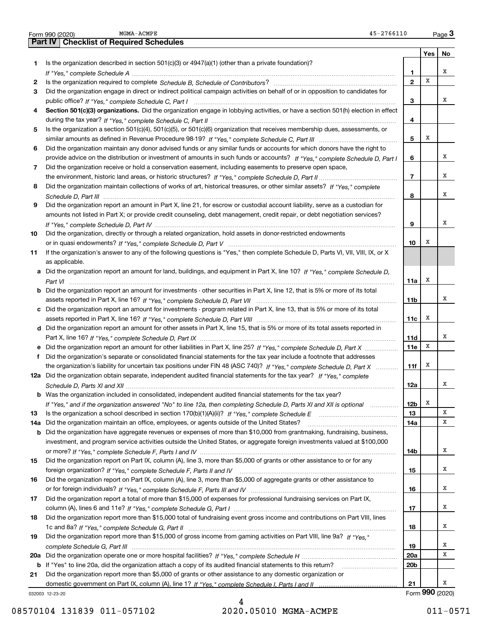|     | $45 - 2766110$<br>MGMA-ACMPE<br>Form 990 (2020)                                                                                            |                 |     | Page $3$        |
|-----|--------------------------------------------------------------------------------------------------------------------------------------------|-----------------|-----|-----------------|
|     | <b>Part IV   Checklist of Required Schedules</b>                                                                                           |                 |     |                 |
|     |                                                                                                                                            |                 | Yes | No              |
| 1   | Is the organization described in section $501(c)(3)$ or $4947(a)(1)$ (other than a private foundation)?                                    |                 |     |                 |
|     |                                                                                                                                            | 1               |     | х               |
| 2   |                                                                                                                                            | $\mathbf{2}$    | X   |                 |
| 3   | Did the organization engage in direct or indirect political campaign activities on behalf of or in opposition to candidates for            |                 |     |                 |
|     |                                                                                                                                            | 3               |     | х               |
| 4   | Section 501(c)(3) organizations. Did the organization engage in lobbying activities, or have a section 501(h) election in effect           |                 |     |                 |
|     |                                                                                                                                            | 4               |     |                 |
| 5   | Is the organization a section 501(c)(4), 501(c)(5), or 501(c)(6) organization that receives membership dues, assessments, or               |                 |     |                 |
|     |                                                                                                                                            | 5               | х   |                 |
| 6   | Did the organization maintain any donor advised funds or any similar funds or accounts for which donors have the right to                  |                 |     |                 |
|     | provide advice on the distribution or investment of amounts in such funds or accounts? If "Yes," complete Schedule D, Part I               | 6               |     | х               |
| 7   | Did the organization receive or hold a conservation easement, including easements to preserve open space,                                  |                 |     |                 |
|     |                                                                                                                                            | $\overline{7}$  |     | x               |
| 8   | Did the organization maintain collections of works of art, historical treasures, or other similar assets? If "Yes," complete               |                 |     |                 |
|     |                                                                                                                                            | 8               |     | x               |
| 9   | Did the organization report an amount in Part X, line 21, for escrow or custodial account liability, serve as a custodian for              |                 |     |                 |
|     | amounts not listed in Part X; or provide credit counseling, debt management, credit repair, or debt negotiation services?                  |                 |     |                 |
|     |                                                                                                                                            | 9               |     | х               |
| 10  | Did the organization, directly or through a related organization, hold assets in donor-restricted endowments                               |                 |     |                 |
|     |                                                                                                                                            | 10              | х   |                 |
| 11  | If the organization's answer to any of the following questions is "Yes," then complete Schedule D, Parts VI, VII, VIII, IX, or X           |                 |     |                 |
|     | as applicable.                                                                                                                             |                 |     |                 |
|     | a Did the organization report an amount for land, buildings, and equipment in Part X, line 10? If "Yes," complete Schedule D,              |                 |     |                 |
|     |                                                                                                                                            | 11a             | х   |                 |
|     | .<br><b>b</b> Did the organization report an amount for investments - other securities in Part X, line 12, that is 5% or more of its total |                 |     |                 |
|     |                                                                                                                                            |                 |     | x               |
|     |                                                                                                                                            | 11b             |     |                 |
|     | c Did the organization report an amount for investments - program related in Part X, line 13, that is 5% or more of its total              |                 | x   |                 |
|     |                                                                                                                                            | 11с             |     |                 |
|     | d Did the organization report an amount for other assets in Part X, line 15, that is 5% or more of its total assets reported in            |                 |     | x               |
|     |                                                                                                                                            | 11d             | х   |                 |
|     | e Did the organization report an amount for other liabilities in Part X, line 25? If "Yes," complete Schedule D, Part X                    | <b>11e</b>      |     |                 |
| f   | Did the organization's separate or consolidated financial statements for the tax year include a footnote that addresses                    |                 |     |                 |
|     | the organization's liability for uncertain tax positions under FIN 48 (ASC 740)? If "Yes," complete Schedule D, Part X                     | 11f             | x   |                 |
|     | 12a Did the organization obtain separate, independent audited financial statements for the tax year? If "Yes," complete                    |                 |     |                 |
|     |                                                                                                                                            | 12a             |     |                 |
|     | <b>b</b> Was the organization included in consolidated, independent audited financial statements for the tax year?                         |                 |     |                 |
|     | If "Yes," and if the organization answered "No" to line 12a, then completing Schedule D, Parts XI and XII is optional                      | 12 <sub>b</sub> | x   |                 |
| 13  |                                                                                                                                            | 13              |     | Χ               |
| 14a | Did the organization maintain an office, employees, or agents outside of the United States?                                                | 14a             |     | х               |
|     | <b>b</b> Did the organization have aggregate revenues or expenses of more than \$10,000 from grantmaking, fundraising, business,           |                 |     |                 |
|     | investment, and program service activities outside the United States, or aggregate foreign investments valued at \$100,000                 |                 |     |                 |
|     |                                                                                                                                            | 14b             |     | х               |
| 15  | Did the organization report on Part IX, column (A), line 3, more than \$5,000 of grants or other assistance to or for any                  |                 |     |                 |
|     |                                                                                                                                            | 15              |     | х               |
| 16  | Did the organization report on Part IX, column (A), line 3, more than \$5,000 of aggregate grants or other assistance to                   |                 |     |                 |
|     |                                                                                                                                            | 16              |     | х               |
| 17  | Did the organization report a total of more than \$15,000 of expenses for professional fundraising services on Part IX,                    |                 |     |                 |
|     |                                                                                                                                            | 17              |     | х               |
| 18  | Did the organization report more than \$15,000 total of fundraising event gross income and contributions on Part VIII, lines               |                 |     |                 |
|     |                                                                                                                                            | 18              |     | х               |
| 19  | Did the organization report more than \$15,000 of gross income from gaming activities on Part VIII, line 9a? If "Yes."                     |                 |     |                 |
|     |                                                                                                                                            | 19              |     | x               |
|     |                                                                                                                                            | 20a             |     | X               |
|     | b If "Yes" to line 20a, did the organization attach a copy of its audited financial statements to this return?                             | 20 <sub>b</sub> |     |                 |
| 21  | Did the organization report more than \$5,000 of grants or other assistance to any domestic organization or                                |                 |     |                 |
|     |                                                                                                                                            | 21              |     | х               |
|     | 032003 12-23-20                                                                                                                            |                 |     | Form 990 (2020) |

MGMA-ACMPE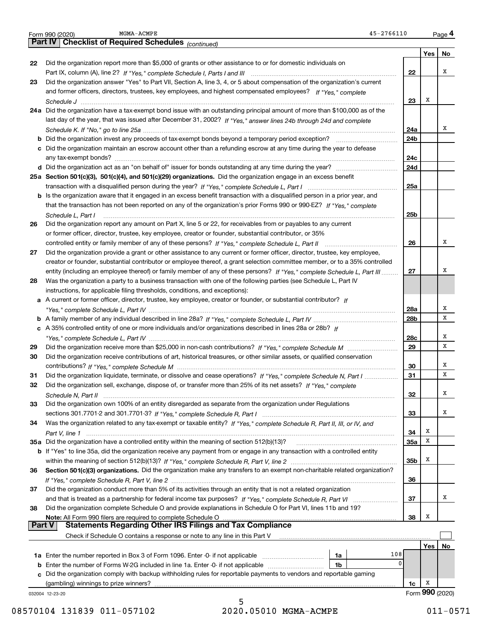|               | 45-2766110<br>MGMA-ACMPE<br>Form 990 (2020)                                                                                  |                 |            | Page 4          |
|---------------|------------------------------------------------------------------------------------------------------------------------------|-----------------|------------|-----------------|
|               | Part IV   Checklist of Required Schedules (continued)                                                                        |                 |            |                 |
|               |                                                                                                                              |                 | Yes        | No              |
| 22            | Did the organization report more than \$5,000 of grants or other assistance to or for domestic individuals on                |                 |            |                 |
|               |                                                                                                                              | 22              |            | х               |
| 23            | Did the organization answer "Yes" to Part VII, Section A, line 3, 4, or 5 about compensation of the organization's current   |                 |            |                 |
|               | and former officers, directors, trustees, key employees, and highest compensated employees? If "Yes," complete               |                 |            |                 |
|               |                                                                                                                              |                 | X          |                 |
|               |                                                                                                                              | 23              |            |                 |
|               | 24a Did the organization have a tax-exempt bond issue with an outstanding principal amount of more than \$100,000 as of the  |                 |            |                 |
|               | last day of the year, that was issued after December 31, 2002? If "Yes," answer lines 24b through 24d and complete           |                 |            |                 |
|               |                                                                                                                              | 24a             |            | х               |
|               |                                                                                                                              | 24 <sub>b</sub> |            |                 |
|               | c Did the organization maintain an escrow account other than a refunding escrow at any time during the year to defease       |                 |            |                 |
|               |                                                                                                                              | 24c             |            |                 |
|               |                                                                                                                              | 24d             |            |                 |
|               | 25a Section 501(c)(3), 501(c)(4), and 501(c)(29) organizations. Did the organization engage in an excess benefit             |                 |            |                 |
|               |                                                                                                                              | 25a             |            |                 |
|               | b Is the organization aware that it engaged in an excess benefit transaction with a disqualified person in a prior year, and |                 |            |                 |
|               | that the transaction has not been reported on any of the organization's prior Forms 990 or 990-EZ? If "Yes," complete        |                 |            |                 |
|               |                                                                                                                              | 25 <sub>b</sub> |            |                 |
|               | Schedule L, Part I                                                                                                           |                 |            |                 |
| 26            | Did the organization report any amount on Part X, line 5 or 22, for receivables from or payables to any current              |                 |            |                 |
|               | or former officer, director, trustee, key employee, creator or founder, substantial contributor, or 35%                      |                 |            |                 |
|               |                                                                                                                              | 26              |            | х               |
| 27            | Did the organization provide a grant or other assistance to any current or former officer, director, trustee, key employee,  |                 |            |                 |
|               | creator or founder, substantial contributor or employee thereof, a grant selection committee member, or to a 35% controlled  |                 |            |                 |
|               | entity (including an employee thereof) or family member of any of these persons? If "Yes," complete Schedule L, Part III     | 27              |            | х               |
| 28            | Was the organization a party to a business transaction with one of the following parties (see Schedule L, Part IV            |                 |            |                 |
|               | instructions, for applicable filing thresholds, conditions, and exceptions):                                                 |                 |            |                 |
|               | a A current or former officer, director, trustee, key employee, creator or founder, or substantial contributor? If           |                 |            |                 |
|               |                                                                                                                              | <b>28a</b>      |            | х               |
|               |                                                                                                                              | 28 <sub>b</sub> |            | x               |
|               | c A 35% controlled entity of one or more individuals and/or organizations described in lines 28a or 28b? If                  |                 |            |                 |
|               |                                                                                                                              | 28c             |            | х               |
| 29            |                                                                                                                              | 29              |            | x               |
| 30            |                                                                                                                              |                 |            |                 |
|               | Did the organization receive contributions of art, historical treasures, or other similar assets, or qualified conservation  |                 |            | х               |
|               |                                                                                                                              | 30              |            | X               |
| 31            | Did the organization liquidate, terminate, or dissolve and cease operations? If "Yes," complete Schedule N, Part I           | 31              |            |                 |
| 32            | Did the organization sell, exchange, dispose of, or transfer more than 25% of its net assets? If "Yes," complete             |                 |            |                 |
|               |                                                                                                                              | 32              |            | х               |
| 33            | Did the organization own 100% of an entity disregarded as separate from the organization under Regulations                   |                 |            |                 |
|               |                                                                                                                              | 33              |            | x               |
| 34            | Was the organization related to any tax-exempt or taxable entity? If "Yes," complete Schedule R, Part II, III, or IV, and    |                 |            |                 |
|               |                                                                                                                              | 34              | X          |                 |
|               | 35a Did the organization have a controlled entity within the meaning of section 512(b)(13)?                                  | 35a             | x          |                 |
|               | b If "Yes" to line 35a, did the organization receive any payment from or engage in any transaction with a controlled entity  |                 |            |                 |
|               |                                                                                                                              | 35 <sub>b</sub> | X          |                 |
| 36            | Section 501(c)(3) organizations. Did the organization make any transfers to an exempt non-charitable related organization?   |                 |            |                 |
|               |                                                                                                                              | 36              |            |                 |
| 37            | Did the organization conduct more than 5% of its activities through an entity that is not a related organization             |                 |            |                 |
|               |                                                                                                                              | 37              |            | x               |
|               |                                                                                                                              |                 |            |                 |
| 38            | Did the organization complete Schedule O and provide explanations in Schedule O for Part VI, lines 11b and 19?               |                 |            |                 |
| <b>Part V</b> | Note: All Form 990 filers are required to complete Schedule O                                                                | 38              | X          |                 |
|               |                                                                                                                              |                 |            |                 |
|               | Check if Schedule O contains a response or note to any line in this Part V                                                   |                 |            |                 |
|               |                                                                                                                              |                 | <b>Yes</b> | No              |
|               | 108<br>1a                                                                                                                    |                 |            |                 |
|               | 0<br><b>b</b> Enter the number of Forms W-2G included in line 1a. Enter -0- if not applicable<br>1b                          |                 |            |                 |
|               | c Did the organization comply with backup withholding rules for reportable payments to vendors and reportable gaming         |                 |            |                 |
|               | (gambling) winnings to prize winners?                                                                                        | 1c              | х          |                 |
|               | 032004 12-23-20                                                                                                              |                 |            | Form 990 (2020) |
|               |                                                                                                                              |                 |            |                 |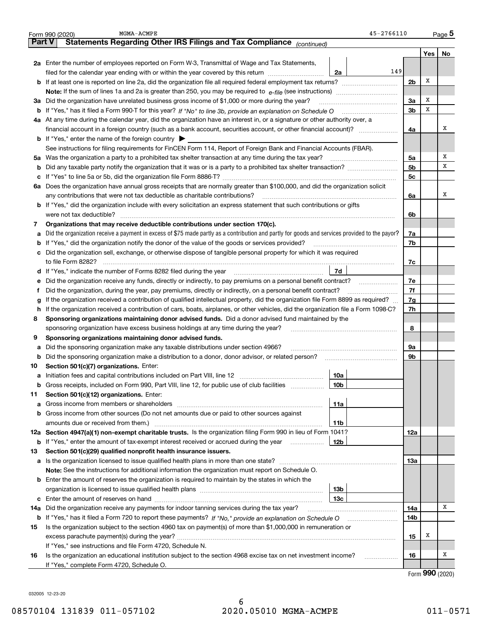|     | MGMA-ACMPE<br>Form 990 (2020)                                                                                                                   | 45-2766110     |     | Page 5            |
|-----|-------------------------------------------------------------------------------------------------------------------------------------------------|----------------|-----|-------------------|
|     | Statements Regarding Other IRS Filings and Tax Compliance (continued)<br><b>Part V</b>                                                          |                |     |                   |
|     |                                                                                                                                                 |                | Yes | No                |
|     | 2a Enter the number of employees reported on Form W-3, Transmittal of Wage and Tax Statements,                                                  |                |     |                   |
|     | filed for the calendar year ending with or within the year covered by this return<br>2a                                                         | 149            |     |                   |
|     |                                                                                                                                                 | 2 <sub>b</sub> | Х   |                   |
|     |                                                                                                                                                 |                |     |                   |
| за  | Did the organization have unrelated business gross income of \$1,000 or more during the year?                                                   | 3a             | х   |                   |
|     |                                                                                                                                                 | 3 <sub>b</sub> | Х   |                   |
|     | 4a At any time during the calendar year, did the organization have an interest in, or a signature or other authority over, a                    |                |     |                   |
|     | financial account in a foreign country (such as a bank account, securities account, or other financial account)?                                | 4a             |     | X                 |
|     | <b>b</b> If "Yes," enter the name of the foreign country $\blacktriangleright$                                                                  |                |     |                   |
|     | See instructions for filing requirements for FinCEN Form 114, Report of Foreign Bank and Financial Accounts (FBAR).                             |                |     |                   |
| 5a  | Was the organization a party to a prohibited tax shelter transaction at any time during the tax year?                                           | 5a             |     | х                 |
| b   |                                                                                                                                                 | 5 <sub>b</sub> |     | X                 |
| c   |                                                                                                                                                 | 5с             |     |                   |
|     | 6a Does the organization have annual gross receipts that are normally greater than \$100,000, and did the organization solicit                  |                |     |                   |
|     | any contributions that were not tax deductible as charitable contributions?                                                                     | 6a             |     | X                 |
|     | <b>b</b> If "Yes," did the organization include with every solicitation an express statement that such contributions or gifts                   |                |     |                   |
|     | were not tax deductible?                                                                                                                        | 6b             |     |                   |
| 7   | Organizations that may receive deductible contributions under section 170(c).                                                                   |                |     |                   |
| a   | Did the organization receive a payment in excess of \$75 made partly as a contribution and partly for goods and services provided to the payor? | 7a             |     |                   |
|     | <b>b</b> If "Yes," did the organization notify the donor of the value of the goods or services provided?                                        | 7b             |     |                   |
| c   | Did the organization sell, exchange, or otherwise dispose of tangible personal property for which it was required                               |                |     |                   |
|     |                                                                                                                                                 | 7c             |     |                   |
|     | 7d<br>d If "Yes," indicate the number of Forms 8282 filed during the year [11,111] [12] [13] [14] [15] [15] [15] [15                            |                |     |                   |
| е   | Did the organization receive any funds, directly or indirectly, to pay premiums on a personal benefit contract?                                 | 7e             |     |                   |
| Ť.  | Did the organization, during the year, pay premiums, directly or indirectly, on a personal benefit contract?                                    | 7f             |     |                   |
| g   | If the organization received a contribution of qualified intellectual property, did the organization file Form 8899 as required?                | 7g             |     |                   |
| h   | If the organization received a contribution of cars, boats, airplanes, or other vehicles, did the organization file a Form 1098-C?              | 7h             |     |                   |
| 8   | Sponsoring organizations maintaining donor advised funds. Did a donor advised fund maintained by the                                            |                |     |                   |
|     | sponsoring organization have excess business holdings at any time during the year?                                                              | 8              |     |                   |
| 9   | Sponsoring organizations maintaining donor advised funds.                                                                                       |                |     |                   |
| а   | Did the sponsoring organization make any taxable distributions under section 4966?                                                              | 9a             |     |                   |
| b   | Did the sponsoring organization make a distribution to a donor, donor advisor, or related person?                                               | 9b             |     |                   |
| 10  | Section 501(c)(7) organizations. Enter:                                                                                                         |                |     |                   |
|     | 10a                                                                                                                                             |                |     |                   |
|     | 10 <sub>b</sub><br>Gross receipts, included on Form 990, Part VIII, line 12, for public use of club facilities                                  |                |     |                   |
| 11  | Section 501(c)(12) organizations. Enter:                                                                                                        |                |     |                   |
|     | <b>a</b> Gross income from members or shareholders<br>11a                                                                                       |                |     |                   |
|     | <b>b</b> Gross income from other sources (Do not net amounts due or paid to other sources against                                               |                |     |                   |
|     | 11b                                                                                                                                             |                |     |                   |
|     | 12a Section 4947(a)(1) non-exempt charitable trusts. Is the organization filing Form 990 in lieu of Form 1041?                                  | 12a            |     |                   |
|     | <b>b</b> If "Yes," enter the amount of tax-exempt interest received or accrued during the year<br>12b                                           |                |     |                   |
| 13  | Section 501(c)(29) qualified nonprofit health insurance issuers.                                                                                |                |     |                   |
| a   | Is the organization licensed to issue qualified health plans in more than one state?                                                            | 13a            |     |                   |
|     | Note: See the instructions for additional information the organization must report on Schedule O.                                               |                |     |                   |
|     | <b>b</b> Enter the amount of reserves the organization is required to maintain by the states in which the                                       |                |     |                   |
|     | 13 <sub>b</sub>                                                                                                                                 |                |     |                   |
|     | 13c                                                                                                                                             |                |     |                   |
| 14a | Did the organization receive any payments for indoor tanning services during the tax year?                                                      | 14a            |     | x                 |
|     | <b>b</b> If "Yes," has it filed a Form 720 to report these payments? If "No," provide an explanation on Schedule O                              | 14b            |     |                   |
| 15  | Is the organization subject to the section 4960 tax on payment(s) of more than \$1,000,000 in remuneration or                                   |                |     |                   |
|     |                                                                                                                                                 | 15             | х   |                   |
|     | If "Yes," see instructions and file Form 4720, Schedule N.                                                                                      |                |     |                   |
| 16  | Is the organization an educational institution subject to the section 4968 excise tax on net investment income?                                 | 16             |     | x                 |
|     | If "Yes," complete Form 4720, Schedule O.                                                                                                       |                |     |                   |
|     |                                                                                                                                                 |                |     | $000 \; \text{m}$ |

Form (2020) **990**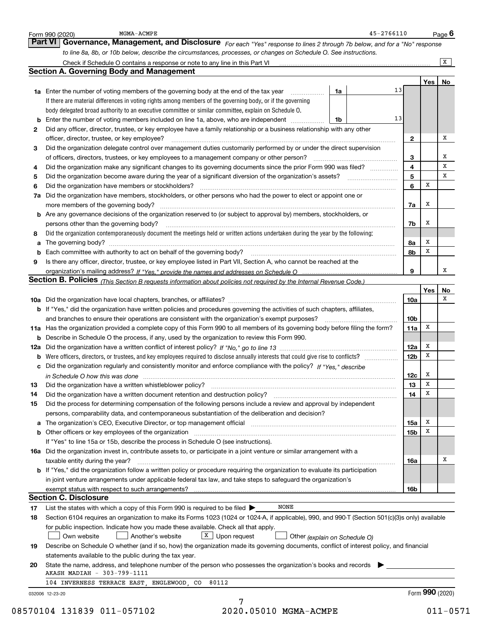|    | 45-2766110<br>MGMA-ACMPE<br>Form 990 (2020)                                                                                                                                                                                    |                 |                 | Page $6$       |
|----|--------------------------------------------------------------------------------------------------------------------------------------------------------------------------------------------------------------------------------|-----------------|-----------------|----------------|
|    | <b>Part VI</b><br>Governance, Management, and Disclosure For each "Yes" response to lines 2 through 7b below, and for a "No" response                                                                                          |                 |                 |                |
|    | to line 8a, 8b, or 10b below, describe the circumstances, processes, or changes on Schedule O. See instructions.                                                                                                               |                 |                 |                |
|    |                                                                                                                                                                                                                                |                 |                 | $\overline{X}$ |
|    | <b>Section A. Governing Body and Management</b>                                                                                                                                                                                |                 |                 |                |
|    |                                                                                                                                                                                                                                |                 | Yes             | No             |
|    | 1a<br><b>1a</b> Enter the number of voting members of the governing body at the end of the tax year <i>manumum</i>                                                                                                             | 13              |                 |                |
|    | If there are material differences in voting rights among members of the governing body, or if the governing                                                                                                                    |                 |                 |                |
|    | body delegated broad authority to an executive committee or similar committee, explain on Schedule O.                                                                                                                          |                 |                 |                |
|    | <b>b</b> Enter the number of voting members included on line 1a, above, who are independent<br>1b                                                                                                                              | 13              |                 |                |
| 2  | Did any officer, director, trustee, or key employee have a family relationship or a business relationship with any other                                                                                                       |                 |                 |                |
|    | officer, director, trustee, or key employee?                                                                                                                                                                                   | $\mathbf{2}$    |                 | х              |
| 3  | Did the organization delegate control over management duties customarily performed by or under the direct supervision                                                                                                          |                 |                 |                |
|    |                                                                                                                                                                                                                                | 3               |                 | х              |
| 4  | Did the organization make any significant changes to its governing documents since the prior Form 990 was filed?                                                                                                               | 4               |                 | x              |
| 5  |                                                                                                                                                                                                                                | 5               |                 | x              |
| 6  | Did the organization have members or stockholders?                                                                                                                                                                             | 6               | x               |                |
|    | 7a Did the organization have members, stockholders, or other persons who had the power to elect or appoint one or                                                                                                              |                 |                 |                |
|    | more members of the governing body?                                                                                                                                                                                            | 7a              | x               |                |
|    | <b>b</b> Are any governance decisions of the organization reserved to (or subject to approval by) members, stockholders, or                                                                                                    |                 |                 |                |
|    | persons other than the governing body?                                                                                                                                                                                         | 7b              | х               |                |
| 8  | Did the organization contemporaneously document the meetings held or written actions undertaken during the year by the following:                                                                                              |                 |                 |                |
| а  |                                                                                                                                                                                                                                | 8а              | х               |                |
|    |                                                                                                                                                                                                                                | 8b              | x               |                |
| 9  | Is there any officer, director, trustee, or key employee listed in Part VII, Section A, who cannot be reached at the                                                                                                           |                 |                 |                |
|    |                                                                                                                                                                                                                                | 9               |                 | x              |
|    | Section B. Policies (This Section B requests information about policies not required by the Internal Revenue Code.)                                                                                                            |                 |                 |                |
|    |                                                                                                                                                                                                                                |                 | Yes             | No             |
|    |                                                                                                                                                                                                                                | 10a             |                 | x              |
|    | b If "Yes," did the organization have written policies and procedures governing the activities of such chapters, affiliates,                                                                                                   |                 |                 |                |
|    | and branches to ensure their operations are consistent with the organization's exempt purposes?                                                                                                                                | 10 <sub>b</sub> |                 |                |
|    | 11a Has the organization provided a complete copy of this Form 990 to all members of its governing body before filing the form?                                                                                                | 11a             | x               |                |
|    | <b>b</b> Describe in Schedule O the process, if any, used by the organization to review this Form 990.                                                                                                                         |                 |                 |                |
|    |                                                                                                                                                                                                                                | 12a             | х               |                |
|    | <b>b</b> Were officers, directors, or trustees, and key employees required to disclose annually interests that could give rise to conflicts?                                                                                   | 12 <sub>b</sub> | x               |                |
|    | c Did the organization regularly and consistently monitor and enforce compliance with the policy? If "Yes," describe                                                                                                           |                 |                 |                |
|    | in Schedule O how this was done manufactured and contain a series of the state of the state of the state of th                                                                                                                 | 12c             | x               |                |
| 13 | Did the organization have a written whistleblower policy?                                                                                                                                                                      | 13              | x               |                |
| 14 | Did the organization have a written document retention and destruction policy?<br>The organization have a written document retention and destruction policy?                                                                   | 14              | х               |                |
| 15 | Did the process for determining compensation of the following persons include a review and approval by independent                                                                                                             |                 |                 |                |
|    | persons, comparability data, and contemporaneous substantiation of the deliberation and decision?                                                                                                                              |                 |                 |                |
|    | a The organization's CEO, Executive Director, or top management official [11] [12] The organization's CEO, Executive Director, or top management official [12] [12] [12] [12] The organization's CEO, Executive Director, or t | 15a             | х               |                |
|    | b Other officers or key employees of the organization manufactured content to the organization manufactured by Other officers or key employees of the organization manufactured by the state of the organization manufactured  | 15b             | х               |                |
|    | If "Yes" to line 15a or 15b, describe the process in Schedule O (see instructions).                                                                                                                                            |                 |                 |                |
|    | 16a Did the organization invest in, contribute assets to, or participate in a joint venture or similar arrangement with a                                                                                                      |                 |                 |                |
|    | taxable entity during the year?                                                                                                                                                                                                | 16a             |                 | х              |
|    | b If "Yes," did the organization follow a written policy or procedure requiring the organization to evaluate its participation                                                                                                 |                 |                 |                |
|    | in joint venture arrangements under applicable federal tax law, and take steps to safeguard the organization's                                                                                                                 |                 |                 |                |
|    |                                                                                                                                                                                                                                | 16b             |                 |                |
|    | <b>Section C. Disclosure</b>                                                                                                                                                                                                   |                 |                 |                |
| 17 | <b>NONE</b><br>List the states with which a copy of this Form 990 is required to be filed $\blacktriangleright$                                                                                                                |                 |                 |                |
| 18 | Section 6104 requires an organization to make its Forms 1023 (1024 or 1024-A, if applicable), 990, and 990-T (Section 501(c)(3)s only) available                                                                               |                 |                 |                |
|    | for public inspection. Indicate how you made these available. Check all that apply.                                                                                                                                            |                 |                 |                |
|    | X Upon request<br>Another's website<br>Own website<br>Other (explain on Schedule O)                                                                                                                                            |                 |                 |                |
| 19 | Describe on Schedule O whether (and if so, how) the organization made its governing documents, conflict of interest policy, and financial                                                                                      |                 |                 |                |
|    | statements available to the public during the tax year.                                                                                                                                                                        |                 |                 |                |
| 20 | State the name, address, and telephone number of the person who possesses the organization's books and records                                                                                                                 |                 |                 |                |
|    | AKASH MADIAH - 303-799-1111                                                                                                                                                                                                    |                 |                 |                |
|    | 104 INVERNESS TERRACE EAST, ENGLEWOOD, CO<br>80112                                                                                                                                                                             |                 |                 |                |
|    | 032006 12-23-20                                                                                                                                                                                                                |                 | Form 990 (2020) |                |
|    | 7                                                                                                                                                                                                                              |                 |                 |                |
|    | 08570104 131839 011-057102<br>2020.05010 MGMA-ACMPE                                                                                                                                                                            |                 |                 | $011 - 0571$   |
|    |                                                                                                                                                                                                                                |                 |                 |                |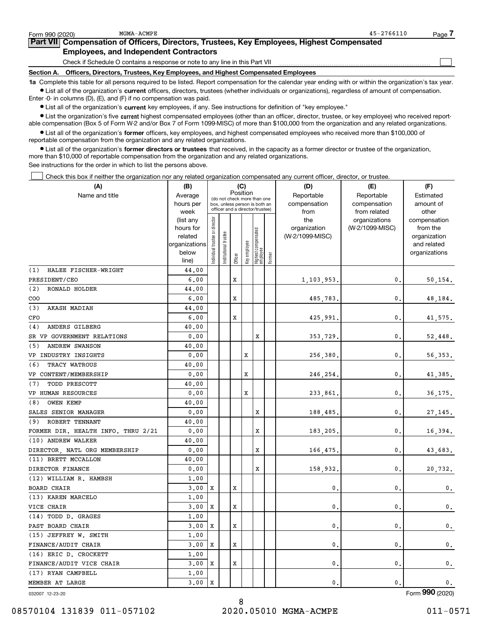| Form 990 (2020)   | MGMA-ACMPE                                                                                                                                                 | 45-2766110 | Page |
|-------------------|------------------------------------------------------------------------------------------------------------------------------------------------------------|------------|------|
|                   | Part VII Compensation of Officers, Directors, Trustees, Key Employees, Highest Compensated                                                                 |            |      |
|                   | <b>Employees, and Independent Contractors</b>                                                                                                              |            |      |
|                   | Check if Schedule O contains a response or note to any line in this Part VII                                                                               |            |      |
| <b>Section A.</b> | Officers, Directors, Trustees, Key Employees, and Highest Compensated Employees                                                                            |            |      |
|                   | 1a Complete this table for all persons required to be listed. Report compensation for the calendar year ending with or within the organization's tax year. |            |      |

**•** List all of the organization's current officers, directors, trustees (whether individuals or organizations), regardless of amount of compensation. Enter -0- in columns (D), (E), and (F) if no compensation was paid.

 $\bullet$  List all of the organization's  $\,$ current key employees, if any. See instructions for definition of "key employee."

**•** List the organization's five current highest compensated employees (other than an officer, director, trustee, or key employee) who received reportable compensation (Box 5 of Form W-2 and/or Box 7 of Form 1099-MISC) of more than \$100,000 from the organization and any related organizations.

**•** List all of the organization's former officers, key employees, and highest compensated employees who received more than \$100,000 of reportable compensation from the organization and any related organizations.

**former directors or trustees**  ¥ List all of the organization's that received, in the capacity as a former director or trustee of the organization, more than \$10,000 of reportable compensation from the organization and any related organizations.

See instructions for the order in which to list the persons above.

Check this box if neither the organization nor any related organization compensated any current officer, director, or trustee.  $\mathcal{L}^{\text{max}}$ 

| (A)                                | (B)                    |                               |                       |         | (C)          |                                                                  |        | (D)             | (E)                              | (F)                      |
|------------------------------------|------------------------|-------------------------------|-----------------------|---------|--------------|------------------------------------------------------------------|--------|-----------------|----------------------------------|--------------------------|
| Name and title                     | Average                |                               |                       |         | Position     | (do not check more than one                                      |        | Reportable      | Reportable                       | Estimated                |
|                                    | hours per              |                               |                       |         |              | box, unless person is both an<br>officer and a director/trustee) |        | compensation    | compensation                     | amount of                |
|                                    | week                   |                               |                       |         |              |                                                                  |        | from<br>the     | from related                     | other                    |
|                                    | (list any<br>hours for |                               |                       |         |              |                                                                  |        | organization    | organizations<br>(W-2/1099-MISC) | compensation<br>from the |
|                                    | related                |                               |                       |         |              |                                                                  |        | (W-2/1099-MISC) |                                  | organization             |
|                                    | organizations          |                               |                       |         |              |                                                                  |        |                 |                                  | and related              |
|                                    | below                  | ndividual trustee or director | Institutional trustee |         | Key employee | Highest compensated<br>employee                                  |        |                 |                                  | organizations            |
|                                    | line)                  |                               |                       | Officer |              |                                                                  | Former |                 |                                  |                          |
| HALEE FISCHER-WRIGHT<br>(1)        | 44.00                  |                               |                       |         |              |                                                                  |        |                 |                                  |                          |
| PRESIDENT/CEO                      | 6.00                   |                               |                       | X       |              |                                                                  |        | 1,103,953.      | 0.                               | 50, 154.                 |
| (2)<br><b>RONALD HOLDER</b>        | 44.00                  |                               |                       |         |              |                                                                  |        |                 |                                  |                          |
| COO                                | 6,00                   |                               |                       | X       |              |                                                                  |        | 485,783.        | 0.                               | 48,184.                  |
| (3)<br><b>AKASH MADIAH</b>         | 44.00                  |                               |                       |         |              |                                                                  |        |                 |                                  |                          |
| CFO                                | 6,00                   |                               |                       | X       |              |                                                                  |        | 425,991         | 0.                               | 41,575.                  |
| ANDERS GILBERG<br>(4)              | 40.00                  |                               |                       |         |              |                                                                  |        |                 |                                  |                          |
| SR VP GOVERNMENT RELATIONS         | 0.00                   |                               |                       |         |              | X                                                                |        | 353,729.        | 0.                               | 52,448.                  |
| (5)<br><b>ANDREW SWANSON</b>       | 40.00                  |                               |                       |         |              |                                                                  |        |                 |                                  |                          |
| VP INDUSTRY INSIGHTS               | 0.00                   |                               |                       |         | X            |                                                                  |        | 256,380.        | 0.                               | 56, 353.                 |
| TRACY WATROUS<br>(6)               | 40.00                  |                               |                       |         |              |                                                                  |        |                 |                                  |                          |
| VP CONTENT/MEMBERSHIP              | 0.00                   |                               |                       |         | x            |                                                                  |        | 246,254.        | 0.                               | 41,385.                  |
| (7)<br>TODD PRESCOTT               | 40.00                  |                               |                       |         |              |                                                                  |        |                 |                                  |                          |
| VP HUMAN RESOURCES                 | 0.00                   |                               |                       |         | X            |                                                                  |        | 233,861         | 0.                               | 36, 175.                 |
| OWEN KEMP<br>(8)                   | 40.00                  |                               |                       |         |              |                                                                  |        |                 |                                  |                          |
| SALES SENIOR MANAGER               | 0.00                   |                               |                       |         |              | X                                                                |        | 188,485.        | 0.                               | 27,145.                  |
| (9) ROBERT TENNANT                 | 40.00                  |                               |                       |         |              |                                                                  |        |                 |                                  |                          |
| FORMER DIR. HEALTH INFO. THRU 2/21 | 0.00                   |                               |                       |         |              | X                                                                |        | 183,205.        | 0.                               | 16,394.                  |
| (10) ANDREW WALKER                 | 40.00                  |                               |                       |         |              |                                                                  |        |                 |                                  |                          |
| DIRECTOR, NATL ORG MEMBERSHIP      | 0.00                   |                               |                       |         |              | X                                                                |        | 166,475.        | 0.                               | 43,683.                  |
| (11) BRETT MCCALLON                | 40.00                  |                               |                       |         |              |                                                                  |        |                 |                                  |                          |
| DIRECTOR FINANCE                   | 0.00                   |                               |                       |         |              | X                                                                |        | 158,932         | 0.                               | 20,732.                  |
| (12) WILLIAM R. HAMBSH             | 1,00                   |                               |                       |         |              |                                                                  |        |                 |                                  |                          |
| BOARD CHAIR                        | 3,00                   | X                             |                       | X       |              |                                                                  |        | $\mathbf 0$     | 0,                               | 0.                       |
| (13) KAREN MARCELO                 | 1.00                   |                               |                       |         |              |                                                                  |        |                 |                                  |                          |
| VICE CHAIR                         | 3,00                   | x                             |                       | X       |              |                                                                  |        | 0.              | 0.                               | $\mathbf 0$ .            |
| (14) TODD D. GRAGES                | 1.00                   |                               |                       |         |              |                                                                  |        |                 |                                  |                          |
| PAST BOARD CHAIR                   | 3,00                   | X                             |                       | X       |              |                                                                  |        | $\mathbf{0}$    | 0.                               | $\mathbf{0}$ .           |
| (15) JEFFREY W. SMITH              | 1.00                   |                               |                       |         |              |                                                                  |        |                 |                                  |                          |
| FINANCE/AUDIT CHAIR                | 3,00                   | х                             |                       | X       |              |                                                                  |        | $\mathbf{0}$    | $\mathbf{0}$ .                   | $\mathbf 0$ .            |
| (16) ERIC D. CROCKETT              | 1.00                   |                               |                       |         |              |                                                                  |        |                 |                                  |                          |
| FINANCE/AUDIT VICE CHAIR           | 3,00                   | х                             |                       | X       |              |                                                                  |        | $\mathbf{0}$    | 0,                               | 0.                       |
| (17) RYAN CAMPBELL                 | 1,00                   |                               |                       |         |              |                                                                  |        |                 |                                  |                          |
| MEMBER AT LARGE                    | 3.00                   | X                             |                       |         |              |                                                                  |        | $\mathbf{0}$ .  | 0.                               | 0.                       |

032007 12-23-20

Form (2020) **990**

### 08570104 131839 011-057102 2020.05010 MGMA-ACMPE 011-0571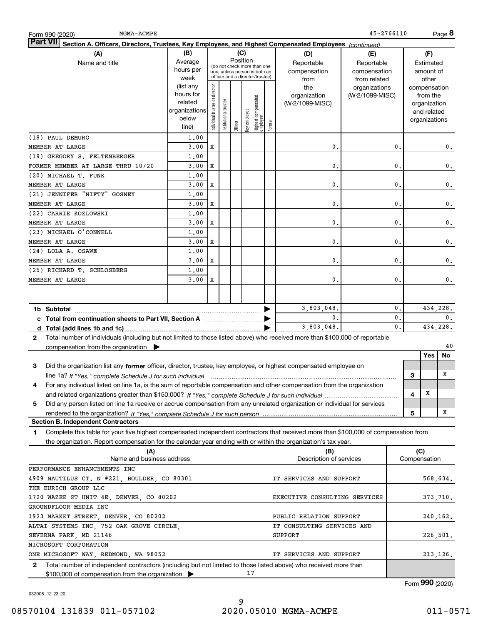| MGMA-ACMPE<br>Form 990 (2020)                                                                                                                     |                      |                                |                 |                                                                  |              |                                 |        |                               | 45-2766110      |                |   |               | Page 8          |
|---------------------------------------------------------------------------------------------------------------------------------------------------|----------------------|--------------------------------|-----------------|------------------------------------------------------------------|--------------|---------------------------------|--------|-------------------------------|-----------------|----------------|---|---------------|-----------------|
| <b>Part VII</b><br>Section A. Officers, Directors, Trustees, Key Employees, and Highest Compensated Employees (continued)                         |                      |                                |                 |                                                                  |              |                                 |        |                               |                 |                |   |               |                 |
| (A)                                                                                                                                               | (B)                  |                                |                 | (C)                                                              |              |                                 |        | (D)                           | (E)             |                |   | (F)           |                 |
| Name and title                                                                                                                                    | Average              |                                |                 | Position<br>(do not check more than one                          |              |                                 |        | Reportable                    | Reportable      |                |   | Estimated     |                 |
|                                                                                                                                                   | hours per            |                                |                 | box, unless person is both an<br>officer and a director/trustee) |              |                                 |        | compensation                  | compensation    |                |   | amount of     |                 |
|                                                                                                                                                   | week                 |                                |                 |                                                                  |              |                                 |        | from                          | from related    |                |   | other         |                 |
|                                                                                                                                                   | (list any            |                                |                 |                                                                  |              |                                 |        | the                           | organizations   |                |   | compensation  |                 |
|                                                                                                                                                   | hours for<br>related |                                |                 |                                                                  |              |                                 |        | organization                  | (W-2/1099-MISC) |                |   | from the      |                 |
|                                                                                                                                                   | organizations        |                                | I trustee       |                                                                  |              |                                 |        | (W-2/1099-MISC)               |                 |                |   | organization  |                 |
|                                                                                                                                                   | below                |                                |                 |                                                                  |              |                                 |        |                               |                 |                |   | and related   |                 |
|                                                                                                                                                   | line)                | Individual trustee or director | Institutional t | Officer                                                          | key employee | Highest compensated<br>employee | Former |                               |                 |                |   | organizations |                 |
| (18) PAUL DEMURO                                                                                                                                  | 1,00                 |                                |                 |                                                                  |              |                                 |        |                               |                 |                |   |               |                 |
| MEMBER AT LARGE                                                                                                                                   | 3,00                 | X                              |                 |                                                                  |              |                                 |        | 0                             |                 | $\mathbf 0$ .  |   |               | $\mathbf{0}$ .  |
| (19) GREGORY S. FELTENBERGER                                                                                                                      | 1,00                 |                                |                 |                                                                  |              |                                 |        |                               |                 |                |   |               |                 |
| FORMER MEMBER AT LARGE THRU 10/20                                                                                                                 | 3,00                 | X                              |                 |                                                                  |              |                                 |        | 0                             |                 | $\mathbf{0}$   |   |               | $\mathbf{0}$ .  |
| (20) MICHAEL T. FUNK                                                                                                                              | 1,00                 |                                |                 |                                                                  |              |                                 |        |                               |                 |                |   |               |                 |
| MEMBER AT LARGE                                                                                                                                   | 3,00                 | X                              |                 |                                                                  |              |                                 |        | 0                             |                 | $\mathbf{0}$   |   |               | 0.              |
| (21) JENNIFER "NIFTY" GOSNEY                                                                                                                      | 1,00                 |                                |                 |                                                                  |              |                                 |        |                               |                 |                |   |               |                 |
| MEMBER AT LARGE                                                                                                                                   | 3,00                 | х                              |                 |                                                                  |              |                                 |        | 0                             |                 | $\mathbf 0$ .  |   |               | 0.              |
| (22) CARRIE KOZLOWSKI                                                                                                                             |                      |                                |                 |                                                                  |              |                                 |        |                               |                 |                |   |               |                 |
|                                                                                                                                                   | 1,00                 |                                |                 |                                                                  |              |                                 |        |                               |                 |                |   |               |                 |
| MEMBER AT LARGE                                                                                                                                   | 3.00                 | х                              |                 |                                                                  |              |                                 |        | 0                             |                 | $\mathbf{0}$   |   |               | 0.              |
| (23) MICHAEL O'CONNELL                                                                                                                            | 1,00                 |                                |                 |                                                                  |              |                                 |        |                               |                 |                |   |               |                 |
| MEMBER AT LARGE                                                                                                                                   | 3,00                 | х                              |                 |                                                                  |              |                                 |        | 0                             |                 | $\mathbf{0}$   |   |               | 0.              |
| (24) LOLA A. OSAWE                                                                                                                                | 1,00                 |                                |                 |                                                                  |              |                                 |        |                               |                 |                |   |               |                 |
| MEMBER AT LARGE                                                                                                                                   | 3,00                 | х                              |                 |                                                                  |              |                                 |        | 0                             |                 | $\mathbf 0$    |   |               | 0.              |
| (25) RICHARD T. SCHLOSBERG                                                                                                                        | 1,00                 |                                |                 |                                                                  |              |                                 |        |                               |                 |                |   |               |                 |
| MEMBER AT LARGE                                                                                                                                   | 3,00                 | X                              |                 |                                                                  |              |                                 |        | 0                             |                 | $\mathbf 0$ .  |   |               | 0.              |
|                                                                                                                                                   |                      |                                |                 |                                                                  |              |                                 |        |                               |                 |                |   |               |                 |
|                                                                                                                                                   |                      |                                |                 |                                                                  |              |                                 |        |                               |                 |                |   |               |                 |
|                                                                                                                                                   |                      |                                |                 |                                                                  |              |                                 |        | 3,803,048.                    |                 | 0.             |   |               | 434,228.        |
| c Total from continuation sheets to Part VII, Section A <b>manual</b> contains the Total from continuum                                           |                      |                                |                 |                                                                  |              |                                 |        | $\mathbf{0}$ .                |                 | 0.             |   |               | 0.              |
|                                                                                                                                                   |                      |                                |                 |                                                                  |              |                                 |        | 3,803,048,                    |                 | $\mathbf{0}$ . |   | 434,228.      |                 |
| Total number of individuals (including but not limited to those listed above) who received more than \$100,000 of reportable<br>$\mathbf{2}$      |                      |                                |                 |                                                                  |              |                                 |        |                               |                 |                |   |               |                 |
| compensation from the organization $\blacktriangleright$                                                                                          |                      |                                |                 |                                                                  |              |                                 |        |                               |                 |                |   |               | 40              |
|                                                                                                                                                   |                      |                                |                 |                                                                  |              |                                 |        |                               |                 |                |   | Yes           | No              |
| Did the organization list any former officer, director, trustee, key employee, or highest compensated employee on<br>3                            |                      |                                |                 |                                                                  |              |                                 |        |                               |                 |                |   |               |                 |
| line 1a? If "Yes," complete Schedule J for such individual material content content to the content of the complete Schedule J for such individual |                      |                                |                 |                                                                  |              |                                 |        |                               |                 |                | 3 |               | x               |
| For any individual listed on line 1a, is the sum of reportable compensation and other compensation from the organization<br>4                     |                      |                                |                 |                                                                  |              |                                 |        |                               |                 |                |   |               |                 |
|                                                                                                                                                   |                      |                                |                 |                                                                  |              |                                 |        |                               |                 |                | 4 | x             |                 |
| Did any person listed on line 1a receive or accrue compensation from any unrelated organization or individual for services<br>5                   |                      |                                |                 |                                                                  |              |                                 |        |                               |                 |                |   |               |                 |
|                                                                                                                                                   |                      |                                |                 |                                                                  |              |                                 |        |                               |                 |                | 5 |               | х               |
| <b>Section B. Independent Contractors</b>                                                                                                         |                      |                                |                 |                                                                  |              |                                 |        |                               |                 |                |   |               |                 |
| Complete this table for your five highest compensated independent contractors that received more than \$100,000 of compensation from<br>1         |                      |                                |                 |                                                                  |              |                                 |        |                               |                 |                |   |               |                 |
| the organization. Report compensation for the calendar year ending with or within the organization's tax year.                                    |                      |                                |                 |                                                                  |              |                                 |        |                               |                 |                |   |               |                 |
| (A)                                                                                                                                               |                      |                                |                 |                                                                  |              |                                 |        | (B)                           |                 |                |   | (C)           |                 |
| Name and business address                                                                                                                         |                      |                                |                 |                                                                  |              |                                 |        | Description of services       |                 |                |   | Compensation  |                 |
| PERFORMANCE ENHANCEMENTS INC                                                                                                                      |                      |                                |                 |                                                                  |              |                                 |        |                               |                 |                |   |               |                 |
| 4909 NAUTILUS CT. N #221, BOULDER, CO 80301                                                                                                       |                      |                                |                 |                                                                  |              |                                 |        | IT SERVICES AND SUPPORT       |                 |                |   |               | 568,634.        |
| THE EURICH GROUP LLC                                                                                                                              |                      |                                |                 |                                                                  |              |                                 |        |                               |                 |                |   |               |                 |
| 1720 WAZEE ST UNIT 4E, DENVER, CO 80202                                                                                                           |                      |                                |                 |                                                                  |              |                                 |        | EXECUTIVE CONSULTING SERVICES |                 |                |   | 373,710.      |                 |
| GROUNDFLOOR MEDIA INC                                                                                                                             |                      |                                |                 |                                                                  |              |                                 |        |                               |                 |                |   |               |                 |
| 1923 MARKET STREET, DENVER, CO 80202                                                                                                              |                      |                                |                 |                                                                  |              |                                 |        | PUBLIC RELATION SUPPORT       |                 |                |   | 240,162.      |                 |
| ALTAI SYSTEMS INC, 752 OAK GROVE CIRCLE,                                                                                                          |                      |                                |                 |                                                                  |              |                                 |        | IT CONSULTING SERVICES AND    |                 |                |   |               |                 |
| SEVERNA PARK, MD 21146                                                                                                                            |                      |                                |                 |                                                                  |              |                                 |        | SUPPORT                       |                 |                |   |               |                 |
| MICROSOFT CORPORATION                                                                                                                             |                      |                                |                 |                                                                  |              |                                 |        |                               |                 |                |   | 226,501.      |                 |
| ONE MICROSOFT WAY, REDMOND, WA 98052                                                                                                              |                      |                                |                 |                                                                  |              |                                 |        | IT SERVICES AND SUPPORT       |                 |                |   | 213, 126.     |                 |
|                                                                                                                                                   |                      |                                |                 |                                                                  |              |                                 |        |                               |                 |                |   |               |                 |
| Total number of independent contractors (including but not limited to those listed above) who received more than<br>2                             |                      |                                |                 |                                                                  | 17           |                                 |        |                               |                 |                |   |               |                 |
| \$100,000 of compensation from the organization                                                                                                   |                      |                                |                 |                                                                  |              |                                 |        |                               |                 |                |   |               |                 |
|                                                                                                                                                   |                      |                                |                 |                                                                  |              |                                 |        |                               |                 |                |   |               | Form 990 (2020) |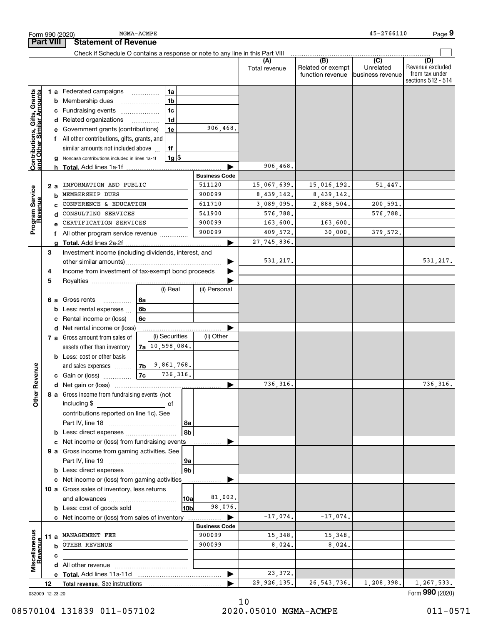|                                                           |                  |                 | Form 990 (2020)                                                               | MGMA-ACMPE |                    |                      |                      |                                              | 45-2766110                                        | Page 9                                                          |
|-----------------------------------------------------------|------------------|-----------------|-------------------------------------------------------------------------------|------------|--------------------|----------------------|----------------------|----------------------------------------------|---------------------------------------------------|-----------------------------------------------------------------|
|                                                           | <b>Part VIII</b> |                 | <b>Statement of Revenue</b>                                                   |            |                    |                      |                      |                                              |                                                   |                                                                 |
|                                                           |                  |                 | Check if Schedule O contains a response or note to any line in this Part VIII |            |                    |                      |                      |                                              |                                                   |                                                                 |
|                                                           |                  |                 |                                                                               |            |                    |                      | (A)<br>Total revenue | (B)<br>Related or exempt<br>function revenue | $\overline{(C)}$<br>Unrelated<br>business revenue | (D)<br>Revenue excluded<br>from tax under<br>sections 512 - 514 |
|                                                           |                  |                 | 1 a Federated campaigns                                                       | .          | 1a                 |                      |                      |                                              |                                                   |                                                                 |
|                                                           |                  | b               | Membership dues                                                               |            | 1 <sub>b</sub>     |                      |                      |                                              |                                                   |                                                                 |
|                                                           |                  |                 | Fundraising events                                                            |            | 1c                 |                      |                      |                                              |                                                   |                                                                 |
|                                                           |                  | d               | Related organizations                                                         | .          | 1 <sub>d</sub>     |                      |                      |                                              |                                                   |                                                                 |
|                                                           |                  |                 | Government grants (contributions)                                             |            | 1e                 | 906,468.             |                      |                                              |                                                   |                                                                 |
|                                                           |                  |                 | f All other contributions, gifts, grants, and                                 |            |                    |                      |                      |                                              |                                                   |                                                                 |
|                                                           |                  |                 | similar amounts not included above                                            |            | 1f                 |                      |                      |                                              |                                                   |                                                                 |
| Contributions, Gifts, Grants<br>and Other Similar Amounts |                  | g               | Noncash contributions included in lines 1a-1f                                 |            | $1g$ \$            |                      |                      |                                              |                                                   |                                                                 |
|                                                           |                  | h               | Total. Add lines 1a-1f                                                        |            |                    |                      | 906,468.             |                                              |                                                   |                                                                 |
|                                                           |                  |                 |                                                                               |            |                    | <b>Business Code</b> |                      |                                              |                                                   |                                                                 |
|                                                           | 2 a              |                 | INFORMATION AND PUBLIC                                                        |            |                    | 511120               | 15,067,639.          | 15,016,192.                                  | 51,447.                                           |                                                                 |
|                                                           |                  | b               | MEMBERSHIP DUES                                                               |            |                    | 900099               | 8,439,142.           | 8,439,142.                                   |                                                   |                                                                 |
| Program Service<br>Revenue                                |                  | C               | CONFERENCE & EDUCATION                                                        |            |                    | 611710               | 3,089,095.           | 2,888,504.                                   | 200,591.                                          |                                                                 |
|                                                           |                  | d               | CONSULTING SERVICES                                                           |            |                    | 541900               | 576,788.             |                                              | 576,788.                                          |                                                                 |
|                                                           |                  | e               | CERTIFICATION SERVICES                                                        |            |                    | 900099               | 163,600.             | 163,600.                                     |                                                   |                                                                 |
|                                                           |                  | f               | All other program service revenue                                             |            |                    | 900099               | 409,572.             | 30,000.                                      | 379,572.                                          |                                                                 |
|                                                           |                  | q               |                                                                               |            |                    |                      | 27, 745, 836.        |                                              |                                                   |                                                                 |
|                                                           | 3                |                 | Investment income (including dividends, interest, and                         |            |                    |                      | 531, 217.            |                                              |                                                   | 531, 217.                                                       |
|                                                           |                  |                 |                                                                               |            |                    |                      |                      |                                              |                                                   |                                                                 |
|                                                           | 4                |                 | Income from investment of tax-exempt bond proceeds                            |            |                    |                      |                      |                                              |                                                   |                                                                 |
|                                                           | 5                |                 |                                                                               |            | (i) Real           | (ii) Personal        |                      |                                              |                                                   |                                                                 |
|                                                           |                  | 6а              | Gross rents                                                                   | 6a         |                    |                      |                      |                                              |                                                   |                                                                 |
|                                                           |                  | b               | .<br>Less: rental expenses                                                    | 6b         |                    |                      |                      |                                              |                                                   |                                                                 |
|                                                           |                  | с               | Rental income or (loss)                                                       | 6c         |                    |                      |                      |                                              |                                                   |                                                                 |
|                                                           |                  | d               | Net rental income or (loss)                                                   |            |                    |                      |                      |                                              |                                                   |                                                                 |
|                                                           |                  |                 | 7 a Gross amount from sales of                                                |            | (i) Securities     | (ii) Other           |                      |                                              |                                                   |                                                                 |
|                                                           |                  |                 | assets other than inventory                                                   |            | $7a$ 10, 598, 084. |                      |                      |                                              |                                                   |                                                                 |
|                                                           |                  |                 | <b>b</b> Less: cost or other basis                                            |            |                    |                      |                      |                                              |                                                   |                                                                 |
|                                                           |                  |                 | and sales expenses                                                            | 7b         | 9,861,768.         |                      |                      |                                              |                                                   |                                                                 |
| evenue                                                    |                  |                 | c Gain or (loss)                                                              | 7c         | 736,316.           |                      |                      |                                              |                                                   |                                                                 |
|                                                           |                  |                 |                                                                               |            |                    |                      | 736, 316.            |                                              |                                                   | 736, 316.                                                       |
| Other R                                                   |                  |                 | 8 a Gross income from fundraising events (not                                 |            |                    |                      |                      |                                              |                                                   |                                                                 |
|                                                           |                  |                 | including \$                                                                  |            | of                 |                      |                      |                                              |                                                   |                                                                 |
|                                                           |                  |                 | contributions reported on line 1c). See                                       |            |                    |                      |                      |                                              |                                                   |                                                                 |
|                                                           |                  |                 |                                                                               |            | 8a                 |                      |                      |                                              |                                                   |                                                                 |
|                                                           |                  | b               | Less: direct expenses                                                         |            | 8b                 |                      |                      |                                              |                                                   |                                                                 |
|                                                           |                  |                 | Net income or (loss) from fundraising events                                  |            |                    |                      |                      |                                              |                                                   |                                                                 |
|                                                           |                  |                 | 9 a Gross income from gaming activities. See                                  |            |                    |                      |                      |                                              |                                                   |                                                                 |
|                                                           |                  |                 |                                                                               |            | 9a                 |                      |                      |                                              |                                                   |                                                                 |
|                                                           |                  |                 | <b>b</b> Less: direct expenses                                                |            | 9 <sub>b</sub>     |                      |                      |                                              |                                                   |                                                                 |
|                                                           |                  |                 | c Net income or (loss) from gaming activities                                 |            |                    |                      |                      |                                              |                                                   |                                                                 |
|                                                           |                  |                 | 10 a Gross sales of inventory, less returns                                   |            |                    |                      |                      |                                              |                                                   |                                                                 |
|                                                           |                  |                 |                                                                               |            | 10a                | 81,002.              |                      |                                              |                                                   |                                                                 |
|                                                           |                  |                 | <b>b</b> Less: cost of goods sold                                             |            | 10bl               | 98,076.              |                      |                                              |                                                   |                                                                 |
|                                                           |                  |                 | c Net income or (loss) from sales of inventory                                |            |                    | .                    | $-17,074.$           | $-17,074.$                                   |                                                   |                                                                 |
|                                                           |                  |                 |                                                                               |            |                    | <b>Business Code</b> |                      |                                              |                                                   |                                                                 |
|                                                           | 11 a             |                 | MANAGEMENT FEE                                                                |            |                    | 900099               | 15,348.              | 15,348.                                      |                                                   |                                                                 |
| Revenue                                                   |                  | b               | OTHER REVENUE                                                                 |            |                    | 900099               | 8,024.               | 8,024.                                       |                                                   |                                                                 |
| Miscellaneous                                             |                  | с               |                                                                               |            |                    |                      |                      |                                              |                                                   |                                                                 |
|                                                           |                  |                 |                                                                               |            |                    |                      | 23,372.              |                                              |                                                   |                                                                 |
|                                                           | 12               |                 |                                                                               |            |                    | ▶                    | 29, 926, 135.        | 26, 543, 736.                                | 1,208,398.                                        | 1,267,533.                                                      |
|                                                           |                  | 032009 12-23-20 |                                                                               |            |                    |                      |                      |                                              |                                                   | Form 990 (2020)                                                 |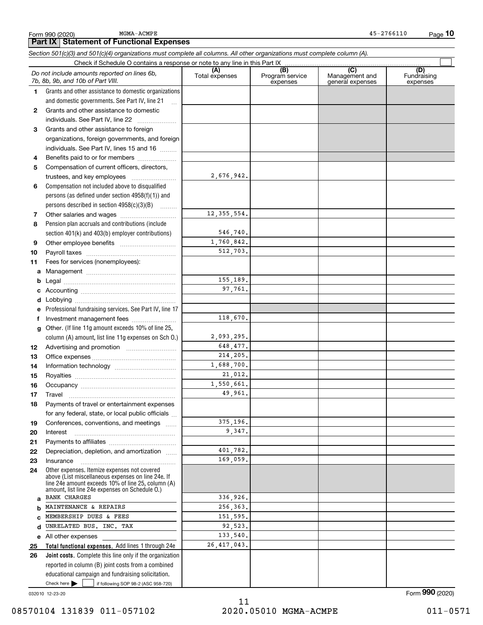MGMA-ACMPE

*Section 501(c)(3) and 501(c)(4) organizations must complete all columns. All other organizations must complete column (A).*

|          | Do not include amounts reported on lines 6b,<br>7b, 8b, 9b, and 10b of Part VIII.                  | (A)<br>Total expenses | $\overline{(B)}$<br>Program service<br>expenses | $\overline{C}$<br>Management and<br>general expenses | (D)<br>Fundraising<br>expenses |
|----------|----------------------------------------------------------------------------------------------------|-----------------------|-------------------------------------------------|------------------------------------------------------|--------------------------------|
| 1.       | Grants and other assistance to domestic organizations                                              |                       |                                                 |                                                      |                                |
|          | and domestic governments. See Part IV, line 21                                                     |                       |                                                 |                                                      |                                |
| 2        | Grants and other assistance to domestic                                                            |                       |                                                 |                                                      |                                |
|          | individuals. See Part IV, line 22                                                                  |                       |                                                 |                                                      |                                |
| 3.       | Grants and other assistance to foreign                                                             |                       |                                                 |                                                      |                                |
|          | organizations, foreign governments, and foreign                                                    |                       |                                                 |                                                      |                                |
|          | individuals. See Part IV, lines 15 and 16                                                          |                       |                                                 |                                                      |                                |
| 4        | Benefits paid to or for members                                                                    |                       |                                                 |                                                      |                                |
| 5        | Compensation of current officers, directors,                                                       |                       |                                                 |                                                      |                                |
|          | trustees, and key employees                                                                        | 2,676,942.            |                                                 |                                                      |                                |
| 6        | Compensation not included above to disqualified                                                    |                       |                                                 |                                                      |                                |
|          | persons (as defined under section 4958(f)(1)) and                                                  |                       |                                                 |                                                      |                                |
|          | persons described in section $4958(c)(3)(B)$                                                       |                       |                                                 |                                                      |                                |
| 7        |                                                                                                    | 12, 355, 554.         |                                                 |                                                      |                                |
| 8        | Pension plan accruals and contributions (include                                                   |                       |                                                 |                                                      |                                |
|          | section 401(k) and 403(b) employer contributions)                                                  | 546,740.              |                                                 |                                                      |                                |
| 9        |                                                                                                    | 1,760,842.            |                                                 |                                                      |                                |
| 10       |                                                                                                    | 512,703.              |                                                 |                                                      |                                |
| 11       | Fees for services (nonemployees):                                                                  |                       |                                                 |                                                      |                                |
| a        |                                                                                                    |                       |                                                 |                                                      |                                |
| b        |                                                                                                    | 155,189.              |                                                 |                                                      |                                |
| c        |                                                                                                    | 97,761.               |                                                 |                                                      |                                |
| d        |                                                                                                    |                       |                                                 |                                                      |                                |
| е        | Professional fundraising services. See Part IV, line 17                                            |                       |                                                 |                                                      |                                |
| f        | Investment management fees                                                                         | 118,670.              |                                                 |                                                      |                                |
| g        | Other. (If line 11g amount exceeds 10% of line 25,                                                 |                       |                                                 |                                                      |                                |
|          | column (A) amount, list line 11g expenses on Sch 0.)                                               | 2,093,295.            |                                                 |                                                      |                                |
| 12       |                                                                                                    | 648,477.              |                                                 |                                                      |                                |
| 13       |                                                                                                    | 214,205.              |                                                 |                                                      |                                |
| 14       |                                                                                                    | 1,688,700.            |                                                 |                                                      |                                |
| 15       |                                                                                                    | 21,012.               |                                                 |                                                      |                                |
| 16       |                                                                                                    | 1,550,661.            |                                                 |                                                      |                                |
| 17       | Travel                                                                                             | 49,961.               |                                                 |                                                      |                                |
| 18       | Payments of travel or entertainment expenses                                                       |                       |                                                 |                                                      |                                |
|          | for any federal, state, or local public officials                                                  |                       |                                                 |                                                      |                                |
| 19       | Conferences, conventions, and meetings                                                             | 375,196.              |                                                 |                                                      |                                |
| 20       | Interest                                                                                           | 9.347.                |                                                 |                                                      |                                |
| 21       |                                                                                                    |                       |                                                 |                                                      |                                |
| 22       | Depreciation, depletion, and amortization                                                          | 401,782.              |                                                 |                                                      |                                |
| 23       | Insurance                                                                                          | 169,059.              |                                                 |                                                      |                                |
| 24       | Other expenses. Itemize expenses not covered<br>above (List miscellaneous expenses on line 24e. If |                       |                                                 |                                                      |                                |
|          | line 24e amount exceeds 10% of line 25, column (A)                                                 |                       |                                                 |                                                      |                                |
|          | amount, list line 24e expenses on Schedule O.)<br><b>BANK CHARGES</b>                              | 336,926.              |                                                 |                                                      |                                |
| a        | MAINTENANCE & REPAIRS                                                                              | 256,363.              |                                                 |                                                      |                                |
| b        | MEMBERSHIP DUES & FEES                                                                             | 151,595.              |                                                 |                                                      |                                |
| c<br>d   | UNRELATED BUS. INC. TAX                                                                            | 92,523.               |                                                 |                                                      |                                |
|          |                                                                                                    | 133,540.              |                                                 |                                                      |                                |
| е        | All other expenses<br>Total functional expenses. Add lines 1 through 24e                           | 26, 417, 043.         |                                                 |                                                      |                                |
| 25<br>26 | Joint costs. Complete this line only if the organization                                           |                       |                                                 |                                                      |                                |
|          | reported in column (B) joint costs from a combined                                                 |                       |                                                 |                                                      |                                |
|          | educational campaign and fundraising solicitation.                                                 |                       |                                                 |                                                      |                                |
|          | Check here $\blacktriangleright$<br>if following SOP 98-2 (ASC 958-720)                            |                       |                                                 |                                                      |                                |
|          |                                                                                                    |                       |                                                 |                                                      |                                |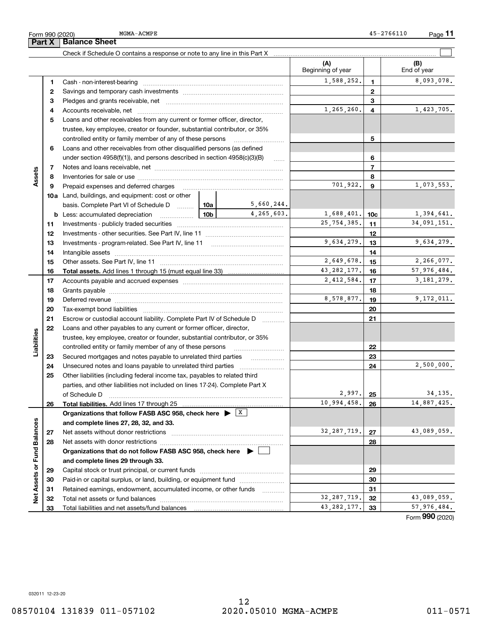| رںےں                                                                     |                   |   |             |  |  |  |  |
|--------------------------------------------------------------------------|-------------------|---|-------------|--|--|--|--|
| <b>Balance Sheet</b>                                                     |                   |   |             |  |  |  |  |
|                                                                          |                   |   |             |  |  |  |  |
|                                                                          | Beginning of year |   | End of year |  |  |  |  |
| Cash - non-interest-bearing                                              | 1,588,252.        |   | 8,093       |  |  |  |  |
|                                                                          |                   | 2 |             |  |  |  |  |
| Pledges and grants receivable, net                                       |                   | 3 |             |  |  |  |  |
| Accounts receivable, net                                                 | 1,265,260.        | 4 | 1,423       |  |  |  |  |
| I cans and other receivables from any current or former officer director |                   |   |             |  |  |  |  |

|               | 2  |                                                                                                                                                                                                                                |   |               | 2             |                |             |
|---------------|----|--------------------------------------------------------------------------------------------------------------------------------------------------------------------------------------------------------------------------------|---|---------------|---------------|----------------|-------------|
|               | з  |                                                                                                                                                                                                                                |   |               | 3             |                |             |
|               | 4  |                                                                                                                                                                                                                                |   | 1,265,260.    | 4             | 1,423,705.     |             |
|               | 5  | Loans and other receivables from any current or former officer, director,                                                                                                                                                      |   |               |               |                |             |
|               |    | trustee, key employee, creator or founder, substantial contributor, or 35%                                                                                                                                                     |   |               |               |                |             |
|               |    | controlled entity or family member of any of these persons                                                                                                                                                                     |   |               |               | 5              |             |
|               | 6  | Loans and other receivables from other disqualified persons (as defined                                                                                                                                                        |   |               |               |                |             |
|               |    | under section $4958(f)(1)$ , and persons described in section $4958(c)(3)(B)$                                                                                                                                                  |   | 1.1.1.1.1     |               | 6              |             |
|               | 7  |                                                                                                                                                                                                                                |   |               |               | $\overline{7}$ |             |
| Assets        | 8  |                                                                                                                                                                                                                                |   |               |               | 8              |             |
|               | 9  | Prepaid expenses and deferred charges                                                                                                                                                                                          |   |               | 701,922.      | 9              | 1,073,553.  |
|               |    | <b>10a</b> Land, buildings, and equipment: cost or other                                                                                                                                                                       |   |               |               |                |             |
|               |    | basis. Complete Part VI of Schedule D  10a   5,660,244.                                                                                                                                                                        |   |               |               |                |             |
|               |    | <u>  10b</u><br><b>b</b> Less: accumulated depreciation                                                                                                                                                                        |   | 4,265,603.    | 1,688,401.    | 10c            | 1,394,641.  |
|               | 11 |                                                                                                                                                                                                                                |   |               | 25,754,385.   | 11             | 34,091,151. |
|               | 12 |                                                                                                                                                                                                                                |   |               |               | 12             |             |
|               | 13 |                                                                                                                                                                                                                                |   |               | 9,634,279.    | 13             | 9,634,279.  |
|               | 14 | Intangible assets with an architecture and assets and architecture and architecture assets and architecture and architecture and architecture and architecture and architecture and architecture and architecture and architec |   |               |               | 14             |             |
|               | 15 |                                                                                                                                                                                                                                |   |               | 2,649,678.    | 15             | 2,266,077.  |
|               | 16 |                                                                                                                                                                                                                                |   | 43, 282, 177. | 16            | 57,976,484.    |             |
|               | 17 |                                                                                                                                                                                                                                |   | 2,412,584.    | 17            | 3, 181, 279.   |             |
|               | 18 |                                                                                                                                                                                                                                |   |               | 18            |                |             |
|               | 19 | Deferred revenue manual contracts and contracts and contracts are contracted and contracts are contracted and c                                                                                                                |   | 8,578,877.    | 19            | 9,172,011.     |             |
|               | 20 |                                                                                                                                                                                                                                |   |               | 20            |                |             |
|               | 21 | Escrow or custodial account liability. Complete Part IV of Schedule D                                                                                                                                                          |   |               | 21            |                |             |
|               | 22 | Loans and other payables to any current or former officer, director,                                                                                                                                                           |   |               |               |                |             |
|               |    | trustee, key employee, creator or founder, substantial contributor, or 35%                                                                                                                                                     |   |               |               |                |             |
| Liabilities   |    | controlled entity or family member of any of these persons                                                                                                                                                                     |   |               | 22            |                |             |
|               | 23 | Secured mortgages and notes payable to unrelated third parties                                                                                                                                                                 | . |               | 23            |                |             |
|               | 24 |                                                                                                                                                                                                                                |   |               | 24            | 2,500,000.     |             |
|               | 25 | Other liabilities (including federal income tax, payables to related third                                                                                                                                                     |   |               |               |                |             |
|               |    | parties, and other liabilities not included on lines 17-24). Complete Part X                                                                                                                                                   |   |               |               |                |             |
|               |    | of Schedule D                                                                                                                                                                                                                  |   | $2,997.$ 25   |               | 34, 135.       |             |
|               | 26 |                                                                                                                                                                                                                                |   | 10,994,458.   | 26            | 14,887,425.    |             |
|               |    | Organizations that follow FASB ASC 958, check here $\blacktriangleright \lfloor X \rfloor$                                                                                                                                     |   |               |               |                |             |
|               |    | and complete lines 27, 28, 32, and 33.                                                                                                                                                                                         |   |               |               |                |             |
| Balances      | 27 | Net assets without donor restrictions                                                                                                                                                                                          |   |               | 32, 287, 719. | 27             | 43,089,059. |
|               | 28 | Net assets with donor restrictions                                                                                                                                                                                             |   |               | 28            |                |             |
|               |    | Organizations that do not follow FASB ASC 958, check here $\blacktriangleright$                                                                                                                                                |   |               |               |                |             |
| Fund          |    | and complete lines 29 through 33.                                                                                                                                                                                              |   |               |               |                |             |
| Net Assets or | 29 |                                                                                                                                                                                                                                |   |               |               | 29             |             |
|               | 30 | Paid-in or capital surplus, or land, building, or equipment fund                                                                                                                                                               |   |               |               | 30             |             |
|               | 31 | Retained earnings, endowment, accumulated income, or other funds                                                                                                                                                               |   | .             |               | 31             |             |
|               | 32 |                                                                                                                                                                                                                                |   | 32, 287, 719. | 32            | 43,089,059.    |             |
|               | 33 |                                                                                                                                                                                                                                |   | 43, 282, 177. | 33            | 57,976,484.    |             |
|               |    |                                                                                                                                                                                                                                |   |               |               |                |             |

 $\mathcal{L}^{\text{max}}$ 

1,588,252. 8,093,078.

**1**

**Part X Balance Sheet** MGMA-ACMPE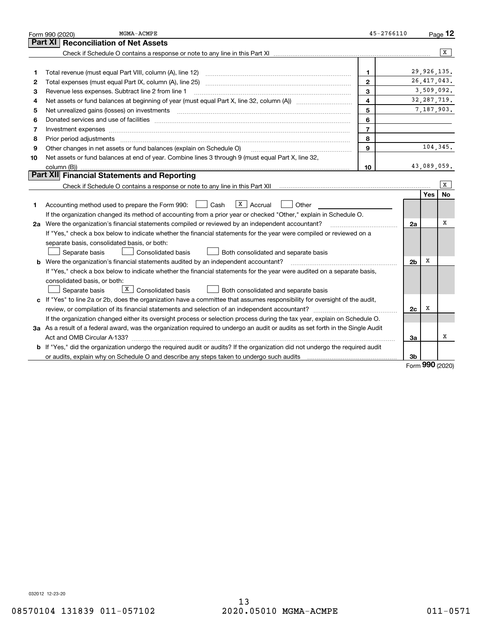|    | MGMA-ACMPE<br>Form 990 (2020)                                                                                                                                       | $45 - 2766110$ |                |               | Page 12        |
|----|---------------------------------------------------------------------------------------------------------------------------------------------------------------------|----------------|----------------|---------------|----------------|
|    | <b>Reconciliation of Net Assets</b><br>Part XI                                                                                                                      |                |                |               |                |
|    |                                                                                                                                                                     |                |                |               | $\overline{X}$ |
|    |                                                                                                                                                                     |                |                |               |                |
| 1  | Total revenue (must equal Part VIII, column (A), line 12)                                                                                                           | 1.             |                | 29, 926, 135. |                |
| 2  |                                                                                                                                                                     | $\mathbf{2}$   |                | 26, 417, 043. |                |
| 3  | Revenue less expenses. Subtract line 2 from line 1                                                                                                                  | 3              |                | 3,509,092.    |                |
| 4  |                                                                                                                                                                     | 4              |                | 32, 287, 719. |                |
| 5  |                                                                                                                                                                     | 5              |                | 7,187,903.    |                |
| 6  |                                                                                                                                                                     | 6              |                |               |                |
| 7  | Investment expenses www.communication.communication.com/www.communication.com/www.communication.com                                                                 | $\overline{7}$ |                |               |                |
| 8  | Prior period adjustments                                                                                                                                            | 8              |                |               |                |
| 9  | Other changes in net assets or fund balances (explain on Schedule O)                                                                                                | 9              |                | 104,345.      |                |
| 10 | Net assets or fund balances at end of year. Combine lines 3 through 9 (must equal Part X, line 32,                                                                  |                |                |               |                |
|    | column (B))                                                                                                                                                         | 10             |                | 43,089,059.   |                |
|    | Part XII Financial Statements and Reporting                                                                                                                         |                |                |               |                |
|    | Check if Schedule O contains a response or note to any line in this Part XII [11] [12] Check if Schedule O contains a response or note to any line in this Part XII |                |                |               | x              |
|    |                                                                                                                                                                     |                |                | Yes           | <b>No</b>      |
| 1. | $\overline{X}$ Accrual<br>Accounting method used to prepare the Form 990: <u>I</u> Cash<br>Other                                                                    |                |                |               |                |
|    | If the organization changed its method of accounting from a prior year or checked "Other," explain in Schedule O.                                                   |                |                |               |                |
|    | 2a Were the organization's financial statements compiled or reviewed by an independent accountant?                                                                  |                | 2a             |               | X              |
|    | If "Yes," check a box below to indicate whether the financial statements for the year were compiled or reviewed on a                                                |                |                |               |                |
|    | separate basis, consolidated basis, or both:                                                                                                                        |                |                |               |                |
|    | Separate basis<br>Consolidated basis<br>Both consolidated and separate basis                                                                                        |                |                |               |                |
|    | <b>b</b> Were the organization's financial statements audited by an independent accountant?                                                                         |                | 2 <sub>b</sub> | х             |                |
|    | If "Yes," check a box below to indicate whether the financial statements for the year were audited on a separate basis,                                             |                |                |               |                |
|    | consolidated basis, or both:                                                                                                                                        |                |                |               |                |
|    | $X$ Consolidated basis<br>Separate basis<br>Both consolidated and separate basis                                                                                    |                |                |               |                |
|    | c If "Yes" to line 2a or 2b, does the organization have a committee that assumes responsibility for oversight of the audit,                                         |                |                |               |                |
|    |                                                                                                                                                                     |                | 2c             | х             |                |
|    | If the organization changed either its oversight process or selection process during the tax year, explain on Schedule O.                                           |                |                |               |                |
|    | 3a As a result of a federal award, was the organization required to undergo an audit or audits as set forth in the Single Audit                                     |                |                |               |                |
|    |                                                                                                                                                                     |                | 3a             |               | X              |
|    | b If "Yes," did the organization undergo the required audit or audits? If the organization did not undergo the required audit                                       |                |                |               |                |
|    |                                                                                                                                                                     |                | 3b             | $000 \approx$ |                |

Form (2020) **990**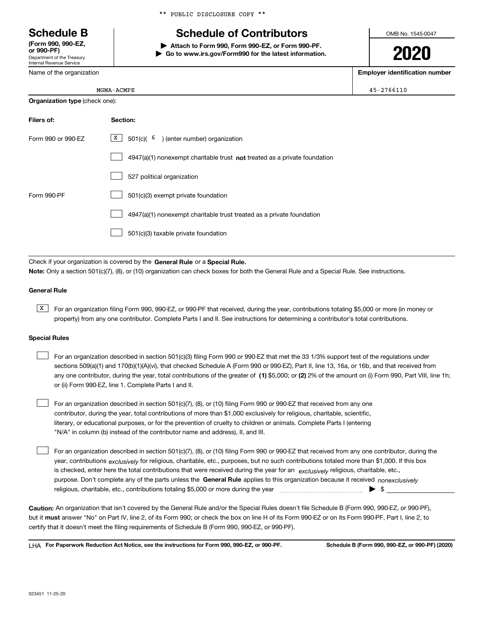Department of the Treasury Internal Revenue Service **(Form 990, 990-EZ, or 990-PF)**

Name of the organization

\*\* PUBLIC DISCLOSURE COPY \*\*

## **Schedule B Schedule of Contributors**

**| Attach to Form 990, Form 990-EZ, or Form 990-PF. | Go to www.irs.gov/Form990 for the latest information.** OMB No. 1545-0047

**2020**

**Employer identification number**

| ΡE | $45 - 2766110$ |
|----|----------------|
|    |                |

| <b>Organization type (check one):</b> |                                                                           |  |  |  |  |
|---------------------------------------|---------------------------------------------------------------------------|--|--|--|--|
| Filers of:                            | Section:                                                                  |  |  |  |  |
| Form 990 or 990-EZ                    | $X \mid$<br>$501(c)$ $\binom{6}{}$ (enter number) organization            |  |  |  |  |
|                                       | 4947(a)(1) nonexempt charitable trust not treated as a private foundation |  |  |  |  |
|                                       | 527 political organization                                                |  |  |  |  |
| Form 990-PF                           | 501(c)(3) exempt private foundation                                       |  |  |  |  |
|                                       | 4947(a)(1) nonexempt charitable trust treated as a private foundation     |  |  |  |  |
|                                       | 501(c)(3) taxable private foundation                                      |  |  |  |  |

Check if your organization is covered by the **General Rule** or a **Special Rule. Note:**  Only a section 501(c)(7), (8), or (10) organization can check boxes for both the General Rule and a Special Rule. See instructions.

### **General Rule**

 $\overline{X}$  For an organization filing Form 990, 990-EZ, or 990-PF that received, during the year, contributions totaling \$5,000 or more (in money or property) from any one contributor. Complete Parts I and II. See instructions for determining a contributor's total contributions.

### **Special Rules**

| For an organization described in section 501(c)(3) filing Form 990 or 990-EZ that met the 33 1/3% support test of the regulations under               |
|-------------------------------------------------------------------------------------------------------------------------------------------------------|
| sections 509(a)(1) and 170(b)(1)(A)(vi), that checked Schedule A (Form 990 or 990-EZ), Part II, line 13, 16a, or 16b, and that received from          |
| any one contributor, during the year, total contributions of the greater of (1) \$5,000; or (2) 2% of the amount on (i) Form 990, Part VIII, line 1h; |
| or (ii) Form 990-EZ, line 1. Complete Parts I and II.                                                                                                 |

For an organization described in section 501(c)(7), (8), or (10) filing Form 990 or 990-EZ that received from any one contributor, during the year, total contributions of more than \$1,000 exclusively for religious, charitable, scientific, literary, or educational purposes, or for the prevention of cruelty to children or animals. Complete Parts I (entering "N/A" in column (b) instead of the contributor name and address), II, and III.  $\mathcal{L}^{\text{max}}$ 

purpose. Don't complete any of the parts unless the **General Rule** applies to this organization because it received *nonexclusively* year, contributions <sub>exclusively</sub> for religious, charitable, etc., purposes, but no such contributions totaled more than \$1,000. If this box is checked, enter here the total contributions that were received during the year for an  $\;$ exclusively religious, charitable, etc., For an organization described in section 501(c)(7), (8), or (10) filing Form 990 or 990-EZ that received from any one contributor, during the religious, charitable, etc., contributions totaling \$5,000 or more during the year  $\Box$ — $\Box$  =  $\Box$  $\mathcal{L}^{\text{max}}$ 

**Caution:**  An organization that isn't covered by the General Rule and/or the Special Rules doesn't file Schedule B (Form 990, 990-EZ, or 990-PF),  **must** but it answer "No" on Part IV, line 2, of its Form 990; or check the box on line H of its Form 990-EZ or on its Form 990-PF, Part I, line 2, to certify that it doesn't meet the filing requirements of Schedule B (Form 990, 990-EZ, or 990-PF).

**For Paperwork Reduction Act Notice, see the instructions for Form 990, 990-EZ, or 990-PF. Schedule B (Form 990, 990-EZ, or 990-PF) (2020)** LHA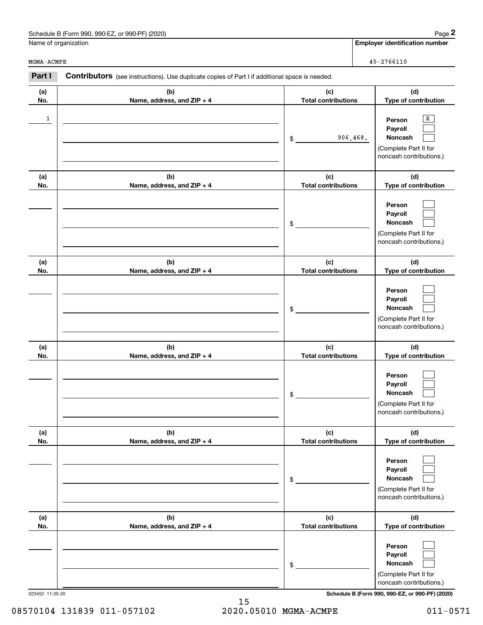| . 990-EZ. or 990-PF) (2020)<br>Schedule B (Form 990, | Page |
|------------------------------------------------------|------|
|------------------------------------------------------|------|

Name of organization

MGMA-ACMPE

|              | Schedule B (Form 990, 990-EZ, or 990-PF) (2020)                                                |                                   | Page 2                                                                                |
|--------------|------------------------------------------------------------------------------------------------|-----------------------------------|---------------------------------------------------------------------------------------|
|              | Name of organization                                                                           |                                   | <b>Employer identification number</b>                                                 |
| MGMA-ACMPE   |                                                                                                |                                   | $45 - 2766110$                                                                        |
| Part I       | Contributors (see instructions). Use duplicate copies of Part I if additional space is needed. |                                   |                                                                                       |
| (a)<br>No.   | (b)<br>Name, address, and ZIP + 4                                                              | (c)<br><b>Total contributions</b> | (d)<br>Type of contribution                                                           |
| $\mathbf{1}$ |                                                                                                | 906,468.<br>\$                    | Х<br>Person<br>Payroll<br>Noncash<br>(Complete Part II for<br>noncash contributions.) |
| (a)<br>No.   | (b)<br>Name, address, and ZIP + 4                                                              | (c)<br><b>Total contributions</b> | (d)<br>Type of contribution                                                           |
|              |                                                                                                | \$                                | Person<br>Payroll<br>Noncash<br>(Complete Part II for<br>noncash contributions.)      |
| (a)<br>No.   | (b)<br>Name, address, and ZIP + 4                                                              | (c)<br><b>Total contributions</b> | (d)<br>Type of contribution                                                           |
|              |                                                                                                | \$                                | Person<br>Payroll<br>Noncash<br>(Complete Part II for<br>noncash contributions.)      |
| (a)<br>No.   | (b)<br>Name, address, and ZIP + 4                                                              | (c)<br><b>Total contributions</b> | (d)<br>Type of contribution                                                           |
|              |                                                                                                | \$                                | Person<br>Payroll<br>Noncash<br>(Complete Part II for<br>noncash contributions.)      |
| (a)<br>No.   | (b)<br>Name, address, and ZIP + 4                                                              | (c)<br><b>Total contributions</b> | (d)<br>Type of contribution                                                           |
|              |                                                                                                | \$                                | Person<br>Payroll<br>Noncash<br>(Complete Part II for<br>noncash contributions.)      |
| (a)<br>No.   | (b)<br>Name, address, and ZIP + 4                                                              | (c)<br><b>Total contributions</b> | (d)<br>Type of contribution                                                           |
|              |                                                                                                | \$                                | Person<br>Payroll<br>Noncash<br>(Complete Part II for<br>noncash contributions.)      |

023452 11-25-20 **Schedule B (Form 990, 990-EZ, or 990-PF) (2020)**

15 08570104 131839 011-057102 2020.05010 MGMA-ACMPE 011-0571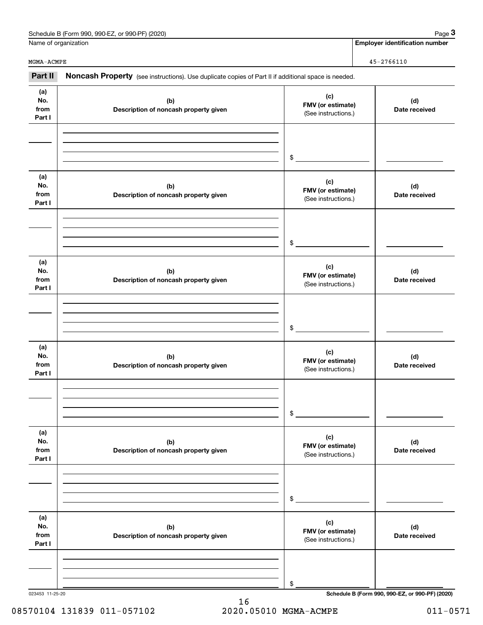|                              | Schedule B (Form 990, 990-EZ, or 990-PF) (2020)                                                     |                                                 | Page $3$                              |  |
|------------------------------|-----------------------------------------------------------------------------------------------------|-------------------------------------------------|---------------------------------------|--|
|                              | Name of organization                                                                                |                                                 | <b>Employer identification number</b> |  |
| MGMA-ACMPE                   |                                                                                                     |                                                 | $45 - 2766110$                        |  |
| Part II                      | Noncash Property (see instructions). Use duplicate copies of Part II if additional space is needed. |                                                 |                                       |  |
| (a)<br>No.<br>from<br>Part I | (b)<br>Description of noncash property given                                                        | (c)<br>FMV (or estimate)<br>(See instructions.) | (d)<br>Date received                  |  |
|                              |                                                                                                     | \$                                              |                                       |  |
| (a)<br>No.<br>from<br>Part I | (b)<br>Description of noncash property given                                                        | (c)<br>FMV (or estimate)<br>(See instructions.) | (d)<br>Date received                  |  |
|                              |                                                                                                     | \$                                              |                                       |  |
| (a)<br>No.<br>from<br>Part I | (b)<br>Description of noncash property given                                                        | (c)<br>FMV (or estimate)<br>(See instructions.) | (d)<br>Date received                  |  |
|                              |                                                                                                     | \$                                              |                                       |  |
| (a)<br>No.<br>from<br>Part I | (b)<br>Description of noncash property given                                                        | (c)<br>FMV (or estimate)<br>(See instructions.) | (d)<br>Date received                  |  |
|                              |                                                                                                     | \$                                              |                                       |  |
| (a)<br>No.<br>from<br>Part I | (b)<br>Description of noncash property given                                                        | (c)<br>FMV (or estimate)<br>(See instructions.) | (d)<br>Date received                  |  |
|                              |                                                                                                     | \$                                              |                                       |  |
| (a)<br>No.<br>from<br>Part I | (b)<br>Description of noncash property given                                                        | (c)<br>FMV (or estimate)<br>(See instructions.) | (d)<br>Date received                  |  |
|                              |                                                                                                     | \$                                              |                                       |  |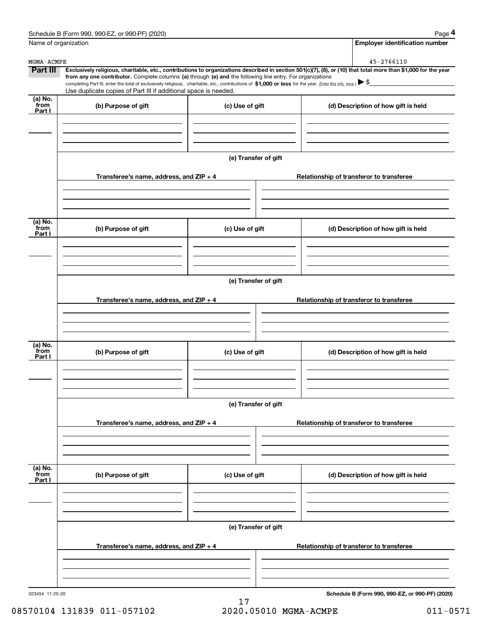|                           | Schedule B (Form 990, 990-EZ, or 990-PF) (2020)                                                                                                                                                                                                                                                 |                      |                                          |  | Page 4                                          |  |
|---------------------------|-------------------------------------------------------------------------------------------------------------------------------------------------------------------------------------------------------------------------------------------------------------------------------------------------|----------------------|------------------------------------------|--|-------------------------------------------------|--|
| Name of organization      |                                                                                                                                                                                                                                                                                                 |                      |                                          |  | <b>Employer identification number</b>           |  |
| MGMA-ACMPE                |                                                                                                                                                                                                                                                                                                 |                      |                                          |  | 45-2766110                                      |  |
| Part III                  | Exclusively religious, charitable, etc., contributions to organizations described in section 501(c)(7), (8), or (10) that total more than \$1,000 for the year                                                                                                                                  |                      |                                          |  |                                                 |  |
|                           | from any one contributor. Complete columns (a) through (e) and the following line entry. For organizations<br>completing Part III, enter the total of exclusively religious, charitable, etc., contributions of \$1,000 or less for the year. (Enter this info. once.) $\blacktriangleright$ \$ |                      |                                          |  |                                                 |  |
|                           | Use duplicate copies of Part III if additional space is needed.                                                                                                                                                                                                                                 |                      |                                          |  |                                                 |  |
| (a) No.<br>from<br>Part I | (b) Purpose of gift                                                                                                                                                                                                                                                                             | (c) Use of gift      |                                          |  | (d) Description of how gift is held             |  |
|                           |                                                                                                                                                                                                                                                                                                 |                      |                                          |  |                                                 |  |
|                           |                                                                                                                                                                                                                                                                                                 | (e) Transfer of gift |                                          |  |                                                 |  |
|                           | Transferee's name, address, and $ZIP + 4$                                                                                                                                                                                                                                                       |                      |                                          |  | Relationship of transferor to transferee        |  |
|                           |                                                                                                                                                                                                                                                                                                 |                      |                                          |  |                                                 |  |
| (a) No.                   |                                                                                                                                                                                                                                                                                                 |                      |                                          |  |                                                 |  |
| from<br>Part I            | (b) Purpose of gift                                                                                                                                                                                                                                                                             | (c) Use of gift      |                                          |  | (d) Description of how gift is held             |  |
|                           |                                                                                                                                                                                                                                                                                                 |                      |                                          |  |                                                 |  |
|                           | (e) Transfer of gift                                                                                                                                                                                                                                                                            |                      |                                          |  |                                                 |  |
|                           | Transferee's name, address, and $ZIP + 4$                                                                                                                                                                                                                                                       |                      | Relationship of transferor to transferee |  |                                                 |  |
|                           |                                                                                                                                                                                                                                                                                                 |                      |                                          |  |                                                 |  |
|                           |                                                                                                                                                                                                                                                                                                 |                      |                                          |  |                                                 |  |
| (a) No.<br>from<br>Part I | (b) Purpose of gift                                                                                                                                                                                                                                                                             | (c) Use of gift      |                                          |  | (d) Description of how gift is held             |  |
|                           |                                                                                                                                                                                                                                                                                                 |                      |                                          |  |                                                 |  |
|                           |                                                                                                                                                                                                                                                                                                 | (e) Transfer of gift |                                          |  |                                                 |  |
|                           | Transferee's name, address, and $ZIP + 4$                                                                                                                                                                                                                                                       |                      | Relationship of transferor to transferee |  |                                                 |  |
|                           |                                                                                                                                                                                                                                                                                                 |                      |                                          |  |                                                 |  |
|                           |                                                                                                                                                                                                                                                                                                 |                      |                                          |  |                                                 |  |
| (a) No.<br>from<br>Part I | (b) Purpose of gift                                                                                                                                                                                                                                                                             | (c) Use of gift      |                                          |  | (d) Description of how gift is held             |  |
|                           |                                                                                                                                                                                                                                                                                                 |                      |                                          |  |                                                 |  |
|                           | (e) Transfer of gift                                                                                                                                                                                                                                                                            |                      |                                          |  |                                                 |  |
|                           | Transferee's name, address, and $ZIP + 4$                                                                                                                                                                                                                                                       |                      |                                          |  | Relationship of transferor to transferee        |  |
|                           |                                                                                                                                                                                                                                                                                                 |                      |                                          |  |                                                 |  |
|                           |                                                                                                                                                                                                                                                                                                 |                      |                                          |  |                                                 |  |
| 023454 11-25-20           |                                                                                                                                                                                                                                                                                                 |                      |                                          |  | Schedule B (Form 990, 990-EZ, or 990-PF) (2020) |  |

08570104 131839 011-057102 2020.05010 MGMA-ACMPE 011-0571

17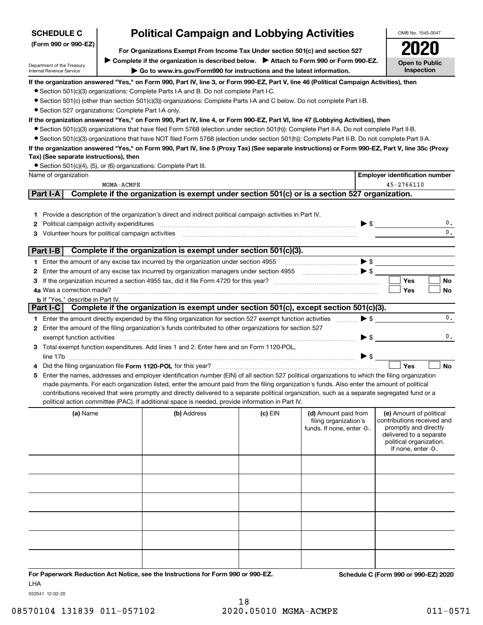## **SCHEDULE C**

### **(Form 990 or 990-EZ)**

## **Political Campaign and Lobbying Activities**

**For Organizations Exempt From Income Tax Under section 501(c) and section 527** ▶ Complete if the organization is described below. ▶ Attach to Form 990 or Form 990-EZ.

Department of the Treasury Internal Revenue Service

**| Go to www.irs.gov/Form990 for instructions and the latest information.**

OMB No. 1545-0047 **Open to Public Inspection2020**

**If the organization answered "Yes," on Form 990, Part IV, line 3, or Form 990-EZ, Part V, line 46 (Political Campaign Activities), then**

- Section 501(c)(3) organizations: Complete Parts I-A and B. Do not complete Part I-C.
- Section 501(c) (other than section 501(c)(3)) organizations: Complete Parts I-A and C below. Do not complete Part I-B.
- Section 527 organizations: Complete Part I-A only.

### **If the organization answered "Yes," on Form 990, Part IV, line 4, or Form 990-EZ, Part VI, line 47 (Lobbying Activities), then**

- Section 501(c)(3) organizations that have filed Form 5768 (election under section 501(h)): Complete Part II-A. Do not complete Part II-B.
- ¥ Section 501(c)(3) organizations that have NOT filed Form 5768 (election under section 501(h)): Complete Part II-B. Do not complete Part II-A.

### **If the organization answered "Yes," on Form 990, Part IV, line 5 (Proxy Tax) (See separate instructions) or Form 990-EZ, Part V, line 35c (Proxy Tax) (See separate instructions), then**

● Section 501(c)(4), (5), or (6) organizations: Complete Part III.

|            | Name of organization                                                                                                                                                                                                                                                                                                                                                                               |                                                                                               |           |                                                                             |  | <b>Employer identification number</b>                                                                                                                       |                |  |  |
|------------|----------------------------------------------------------------------------------------------------------------------------------------------------------------------------------------------------------------------------------------------------------------------------------------------------------------------------------------------------------------------------------------------------|-----------------------------------------------------------------------------------------------|-----------|-----------------------------------------------------------------------------|--|-------------------------------------------------------------------------------------------------------------------------------------------------------------|----------------|--|--|
| MGMA-ACMPE |                                                                                                                                                                                                                                                                                                                                                                                                    |                                                                                               |           |                                                                             |  | 45-2766110                                                                                                                                                  |                |  |  |
|            | Part I-A                                                                                                                                                                                                                                                                                                                                                                                           | Complete if the organization is exempt under section 501(c) or is a section 527 organization. |           |                                                                             |  |                                                                                                                                                             |                |  |  |
|            | 1 Provide a description of the organization's direct and indirect political campaign activities in Part IV.<br><b>2</b> Political campaign activity expenditures<br>3 Volunteer hours for political campaign activities [11] [12] Martin Martin Martin Martin Martin Martin Martin Martin Martin Martin Martin Martin Martin Martin Martin Martin Martin Martin Martin Martin Martin Martin Martin |                                                                                               |           |                                                                             |  |                                                                                                                                                             | 0.<br>0.       |  |  |
|            | Part I-B                                                                                                                                                                                                                                                                                                                                                                                           | Complete if the organization is exempt under section 501(c)(3).                               |           |                                                                             |  |                                                                                                                                                             |                |  |  |
|            | 1 Enter the amount of any excise tax incurred by the organization under section 4955                                                                                                                                                                                                                                                                                                               |                                                                                               |           |                                                                             |  |                                                                                                                                                             |                |  |  |
|            |                                                                                                                                                                                                                                                                                                                                                                                                    |                                                                                               |           |                                                                             |  |                                                                                                                                                             |                |  |  |
|            |                                                                                                                                                                                                                                                                                                                                                                                                    |                                                                                               |           |                                                                             |  | Yes                                                                                                                                                         | No             |  |  |
|            |                                                                                                                                                                                                                                                                                                                                                                                                    |                                                                                               |           |                                                                             |  | Yes                                                                                                                                                         | <b>No</b>      |  |  |
|            | <b>b</b> If "Yes," describe in Part IV.                                                                                                                                                                                                                                                                                                                                                            |                                                                                               |           |                                                                             |  |                                                                                                                                                             |                |  |  |
|            | Part I-C   Complete if the organization is exempt under section 501(c), except section 501(c)(3).                                                                                                                                                                                                                                                                                                  |                                                                                               |           |                                                                             |  |                                                                                                                                                             |                |  |  |
|            | 1 Enter the amount directly expended by the filing organization for section 527 exempt function activities <i>manument</i>                                                                                                                                                                                                                                                                         |                                                                                               |           |                                                                             |  | $\blacktriangleright$ \$                                                                                                                                    | 0.             |  |  |
|            | 2 Enter the amount of the filing organization's funds contributed to other organizations for section 527                                                                                                                                                                                                                                                                                           |                                                                                               |           |                                                                             |  |                                                                                                                                                             |                |  |  |
|            | exempt function activities                                                                                                                                                                                                                                                                                                                                                                         |                                                                                               |           |                                                                             |  | $\blacktriangleright$ \$                                                                                                                                    | $\mathbf{0}$ . |  |  |
|            | 3 Total exempt function expenditures. Add lines 1 and 2. Enter here and on Form 1120-POL,                                                                                                                                                                                                                                                                                                          |                                                                                               |           |                                                                             |  |                                                                                                                                                             |                |  |  |
|            |                                                                                                                                                                                                                                                                                                                                                                                                    |                                                                                               |           |                                                                             |  |                                                                                                                                                             |                |  |  |
|            |                                                                                                                                                                                                                                                                                                                                                                                                    |                                                                                               |           |                                                                             |  | Yes                                                                                                                                                         | <b>No</b>      |  |  |
| 5.         | Enter the names, addresses and employer identification number (EIN) of all section 527 political organizations to which the filing organization<br>made payments. For each organization listed, enter the amount paid from the filing organization's funds. Also enter the amount of political                                                                                                     |                                                                                               |           |                                                                             |  |                                                                                                                                                             |                |  |  |
|            | contributions received that were promptly and directly delivered to a separate political organization, such as a separate segregated fund or a<br>political action committee (PAC). If additional space is needed, provide information in Part IV.                                                                                                                                                 |                                                                                               |           |                                                                             |  |                                                                                                                                                             |                |  |  |
|            | (a) Name                                                                                                                                                                                                                                                                                                                                                                                           | (b) Address                                                                                   | $(c)$ EIN | (d) Amount paid from<br>filing organization's<br>funds. If none, enter -0-. |  | (e) Amount of political<br>contributions received and<br>promptly and directly<br>delivered to a separate<br>political organization.<br>If none, enter -0-. |                |  |  |
|            |                                                                                                                                                                                                                                                                                                                                                                                                    |                                                                                               |           |                                                                             |  |                                                                                                                                                             |                |  |  |
|            |                                                                                                                                                                                                                                                                                                                                                                                                    |                                                                                               |           |                                                                             |  |                                                                                                                                                             |                |  |  |
|            |                                                                                                                                                                                                                                                                                                                                                                                                    |                                                                                               |           |                                                                             |  |                                                                                                                                                             |                |  |  |
|            |                                                                                                                                                                                                                                                                                                                                                                                                    |                                                                                               |           |                                                                             |  |                                                                                                                                                             |                |  |  |
|            |                                                                                                                                                                                                                                                                                                                                                                                                    |                                                                                               |           |                                                                             |  |                                                                                                                                                             |                |  |  |

**For Paperwork Reduction Act Notice, see the Instructions for Form 990 or 990-EZ. Schedule C (Form 990 or 990-EZ) 2020** LHA

032041 12-02-20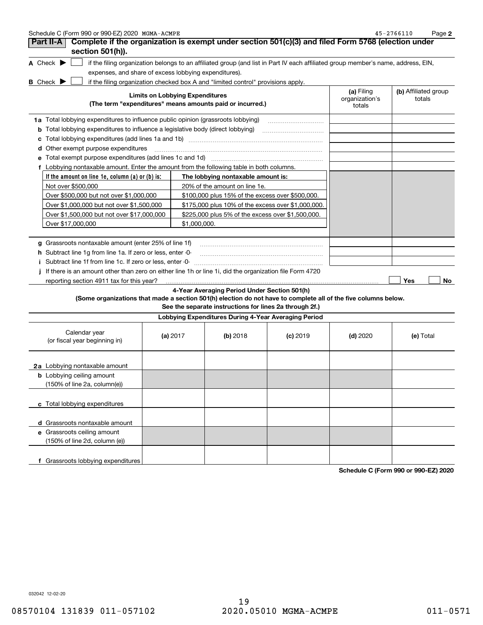| Schedule C (Form 990 or 990-EZ) 2020 MGMA-ACMPE                                                                                                                    |                                        |                                                         |            |                                        | 45-2766110<br>Page 2           |
|--------------------------------------------------------------------------------------------------------------------------------------------------------------------|----------------------------------------|---------------------------------------------------------|------------|----------------------------------------|--------------------------------|
| Complete if the organization is exempt under section 501(c)(3) and filed Form 5768 (election under<br>Part II-A                                                    |                                        |                                                         |            |                                        |                                |
| section 501(h)).                                                                                                                                                   |                                        |                                                         |            |                                        |                                |
| A Check $\blacktriangleright$<br>if the filing organization belongs to an affiliated group (and list in Part IV each affiliated group member's name, address, EIN, |                                        |                                                         |            |                                        |                                |
| expenses, and share of excess lobbying expenditures).                                                                                                              |                                        |                                                         |            |                                        |                                |
| if the filing organization checked box A and "limited control" provisions apply.<br><b>B</b> Check ▶                                                               |                                        |                                                         |            |                                        |                                |
| (The term "expenditures" means amounts paid or incurred.)                                                                                                          | <b>Limits on Lobbying Expenditures</b> |                                                         |            | (a) Filing<br>organization's<br>totals | (b) Affiliated group<br>totals |
|                                                                                                                                                                    |                                        |                                                         |            |                                        |                                |
| 1a Total lobbying expenditures to influence public opinion (grassroots lobbying)                                                                                   |                                        |                                                         |            |                                        |                                |
| <b>b</b> Total lobbying expenditures to influence a legislative body (direct lobbying)                                                                             |                                        |                                                         |            |                                        |                                |
|                                                                                                                                                                    |                                        |                                                         |            |                                        |                                |
| Other exempt purpose expenditures<br>a                                                                                                                             |                                        |                                                         |            |                                        |                                |
| Total exempt purpose expenditures (add lines 1c and 1d)                                                                                                            |                                        |                                                         |            |                                        |                                |
| f Lobbying nontaxable amount. Enter the amount from the following table in both columns.                                                                           |                                        |                                                         |            |                                        |                                |
| If the amount on line 1e, column $(a)$ or $(b)$ is:                                                                                                                |                                        | The lobbying nontaxable amount is:                      |            |                                        |                                |
| Not over \$500,000                                                                                                                                                 |                                        | 20% of the amount on line 1e.                           |            |                                        |                                |
| Over \$500,000 but not over \$1,000,000                                                                                                                            |                                        | \$100,000 plus 15% of the excess over \$500,000.        |            |                                        |                                |
| Over \$1,000,000 but not over \$1,500,000                                                                                                                          |                                        | \$175,000 plus 10% of the excess over \$1,000,000.      |            |                                        |                                |
| Over \$1,500,000 but not over \$17,000,000                                                                                                                         |                                        | \$225,000 plus 5% of the excess over \$1,500,000.       |            |                                        |                                |
| Over \$17,000,000                                                                                                                                                  | \$1,000,000.                           |                                                         |            |                                        |                                |
|                                                                                                                                                                    |                                        |                                                         |            |                                        |                                |
| g Grassroots nontaxable amount (enter 25% of line 1f)                                                                                                              |                                        |                                                         |            |                                        |                                |
| h Subtract line 1g from line 1a. If zero or less, enter -0-                                                                                                        |                                        |                                                         |            |                                        |                                |
| i Subtract line 1f from line 1c. If zero or less, enter 0-                                                                                                         |                                        |                                                         |            |                                        |                                |
| If there is an amount other than zero on either line 1h or line 1i, did the organization file Form 4720                                                            |                                        |                                                         |            |                                        |                                |
| reporting section 4911 tax for this year?                                                                                                                          |                                        |                                                         |            |                                        | Yes<br>No.                     |
|                                                                                                                                                                    |                                        | 4-Year Averaging Period Under Section 501(h)            |            |                                        |                                |
| (Some organizations that made a section 501(h) election do not have to complete all of the five columns below.                                                     |                                        | See the separate instructions for lines 2a through 2f.) |            |                                        |                                |
|                                                                                                                                                                    |                                        | Lobbying Expenditures During 4-Year Averaging Period    |            |                                        |                                |
| Calendar year<br>(or fiscal year beginning in)                                                                                                                     | (a) $2017$                             | $(b)$ 2018                                              | $(c)$ 2019 | $(d)$ 2020                             | (e) Total                      |
| <b>2a</b> Lobbying nontaxable amount                                                                                                                               |                                        |                                                         |            |                                        |                                |
| <b>b</b> Lobbying ceiling amount                                                                                                                                   |                                        |                                                         |            |                                        |                                |
| (150% of line 2a, column(e))                                                                                                                                       |                                        |                                                         |            |                                        |                                |
| c Total lobbying expenditures                                                                                                                                      |                                        |                                                         |            |                                        |                                |
| d Grassroots nontaxable amount                                                                                                                                     |                                        |                                                         |            |                                        |                                |
| e Grassroots ceiling amount                                                                                                                                        |                                        |                                                         |            |                                        |                                |
| (150% of line 2d, column (e))                                                                                                                                      |                                        |                                                         |            |                                        |                                |
|                                                                                                                                                                    |                                        |                                                         |            |                                        |                                |
| f Grassroots lobbying expenditures                                                                                                                                 |                                        |                                                         |            |                                        |                                |

**Schedule C (Form 990 or 990-EZ) 2020**

032042 12-02-20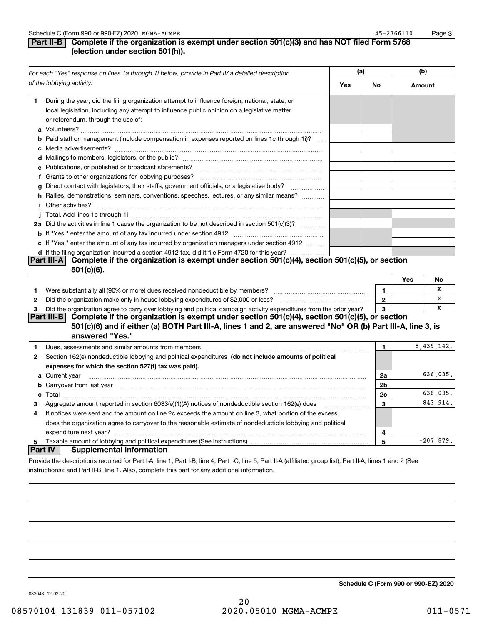**3**

### **Part II-B** Complete if the organization is exempt under section 501(c)(3) and has NOT filed Form 5768 **(election under section 501(h)).**

| For each "Yes" response on lines 1a through 1i below, provide in Part IV a detailed description<br>of the lobbying activity. |                                                                                                                                                                                                                                                 | (a) |                | (b)    |             |
|------------------------------------------------------------------------------------------------------------------------------|-------------------------------------------------------------------------------------------------------------------------------------------------------------------------------------------------------------------------------------------------|-----|----------------|--------|-------------|
|                                                                                                                              |                                                                                                                                                                                                                                                 | Yes | No             | Amount |             |
| 1.                                                                                                                           | During the year, did the filing organization attempt to influence foreign, national, state, or<br>local legislation, including any attempt to influence public opinion on a legislative matter<br>or referendum, through the use of:            |     |                |        |             |
|                                                                                                                              | <b>b</b> Paid staff or management (include compensation in expenses reported on lines 1c through 1i)?<br>$\mathbf{r}$                                                                                                                           |     |                |        |             |
|                                                                                                                              |                                                                                                                                                                                                                                                 |     |                |        |             |
|                                                                                                                              | e Publications, or published or broadcast statements?                                                                                                                                                                                           |     |                |        |             |
|                                                                                                                              | f Grants to other organizations for lobbying purposes?                                                                                                                                                                                          |     |                |        |             |
| g                                                                                                                            | Direct contact with legislators, their staffs, government officials, or a legislative body?                                                                                                                                                     |     |                |        |             |
|                                                                                                                              | h Rallies, demonstrations, seminars, conventions, speeches, lectures, or any similar means?                                                                                                                                                     |     |                |        |             |
|                                                                                                                              | <i>i</i> Other activities?                                                                                                                                                                                                                      |     |                |        |             |
|                                                                                                                              |                                                                                                                                                                                                                                                 |     |                |        |             |
|                                                                                                                              | 2a Did the activities in line 1 cause the organization to be not described in section 501(c)(3)?                                                                                                                                                |     |                |        |             |
|                                                                                                                              |                                                                                                                                                                                                                                                 |     |                |        |             |
|                                                                                                                              | c If "Yes," enter the amount of any tax incurred by organization managers under section 4912                                                                                                                                                    |     |                |        |             |
|                                                                                                                              | d If the filing organization incurred a section 4912 tax, did it file Form 4720 for this year?                                                                                                                                                  |     |                |        |             |
|                                                                                                                              | Part III-A Complete if the organization is exempt under section 501(c)(4), section 501(c)(5), or section<br>$501(c)(6)$ .                                                                                                                       |     |                |        |             |
|                                                                                                                              |                                                                                                                                                                                                                                                 |     |                | Yes    | <b>No</b>   |
| 1                                                                                                                            | Were substantially all (90% or more) dues received nondeductible by members?                                                                                                                                                                    |     | $\mathbf{1}$   |        | X           |
| $\mathbf{2}$                                                                                                                 |                                                                                                                                                                                                                                                 |     | $\overline{2}$ |        | x           |
| 3                                                                                                                            | Did the organization agree to carry over lobbying and political campaign activity expenditures from the prior year?                                                                                                                             |     | 3              |        | X           |
|                                                                                                                              | Complete if the organization is exempt under section 501(c)(4), section 501(c)(5), or section<br> Part III-B <br>501(c)(6) and if either (a) BOTH Part III-A, lines 1 and 2, are answered "No" OR (b) Part III-A, line 3, is<br>answered "Yes." |     |                |        |             |
| 1                                                                                                                            |                                                                                                                                                                                                                                                 |     | 1              |        | 8,439,142.  |
| 2                                                                                                                            | Section 162(e) nondeductible lobbying and political expenditures (do not include amounts of political                                                                                                                                           |     |                |        |             |
|                                                                                                                              | expenses for which the section 527(f) tax was paid).                                                                                                                                                                                            |     |                |        |             |
|                                                                                                                              |                                                                                                                                                                                                                                                 |     | 2a             |        | 636,035.    |
|                                                                                                                              | b Carryover from last year manufactured and contract the contract of the contract of the contract of the contract of contract of contract of contract of contract of contract of contract of contract of contract of contract                   |     | 2b             |        |             |
|                                                                                                                              |                                                                                                                                                                                                                                                 |     | 2c             |        | 636,035.    |
| з                                                                                                                            | Aggregate amount reported in section 6033(e)(1)(A) notices of nondeductible section 162(e) dues                                                                                                                                                 |     | 3              |        | 843.914.    |
| 4                                                                                                                            | If notices were sent and the amount on line 2c exceeds the amount on line 3, what portion of the excess                                                                                                                                         |     |                |        |             |
|                                                                                                                              | does the organization agree to carryover to the reasonable estimate of nondeductible lobbying and political                                                                                                                                     |     |                |        |             |
|                                                                                                                              | expenditure next year?                                                                                                                                                                                                                          |     | 4              |        |             |
| 5                                                                                                                            | Taxable amount of lobbying and political expenditures (See instructions)                                                                                                                                                                        |     | 5              |        | $-207,879.$ |
| <b>Part IV</b>                                                                                                               | <b>Supplemental Information</b>                                                                                                                                                                                                                 |     |                |        |             |
|                                                                                                                              | Provide the descriptions required for Part I-A, line 1; Part I-B, line 4; Part I-C, line 5; Part II-A (affiliated group list); Part II-A, lines 1 and 2 (See                                                                                    |     |                |        |             |

instructions); and Part II-B, line 1. Also, complete this part for any additional information.

**Schedule C (Form 990 or 990-EZ) 2020**

032043 12-02-20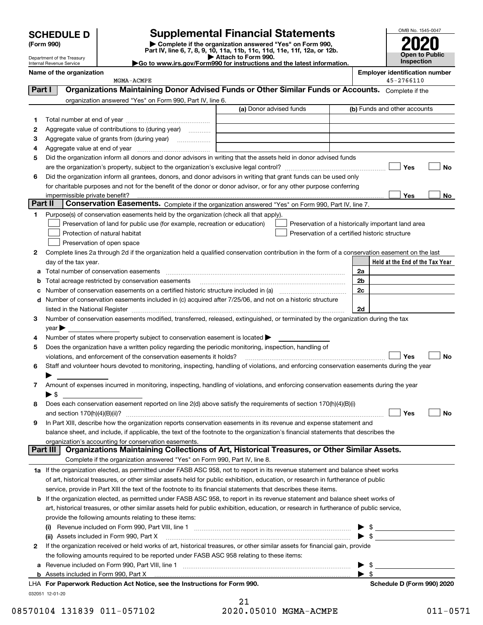| <b>SCHEDULE D</b> |
|-------------------|
|-------------------|

Department of the Treasury Internal Revenue Service

## **SCHEDULE D Supplemental Financial Statements**

(Form 990)<br>
Pepartment of the Treasury<br>
Department of the Treasury<br>
Department of the Treasury<br>
Department of the Treasury<br> **Co to www.irs.gov/Form990 for instructions and the latest information.**<br> **Co to www.irs.gov/Form9** 



| .<br>Go to www.irs.gov/Form990 for instructions and the lates |
|---------------------------------------------------------------|
|                                                               |

|         | Name of the organization<br>MGMA-ACMPE                                                                                                         | <b>Employer identification number</b><br>45-2766110 |
|---------|------------------------------------------------------------------------------------------------------------------------------------------------|-----------------------------------------------------|
| Part I  | Organizations Maintaining Donor Advised Funds or Other Similar Funds or Accounts. Complete if the                                              |                                                     |
|         |                                                                                                                                                |                                                     |
|         | organization answered "Yes" on Form 990, Part IV, line 6.<br>(a) Donor advised funds                                                           | (b) Funds and other accounts                        |
|         |                                                                                                                                                |                                                     |
| 1       |                                                                                                                                                |                                                     |
| 2       | Aggregate value of contributions to (during year)                                                                                              |                                                     |
| з       | Aggregate value of grants from (during year)<br>$\overline{\phantom{a}}$                                                                       |                                                     |
| 4       |                                                                                                                                                |                                                     |
| 5       | Did the organization inform all donors and donor advisors in writing that the assets held in donor advised funds                               |                                                     |
|         |                                                                                                                                                | Yes<br>No                                           |
| 6       | Did the organization inform all grantees, donors, and donor advisors in writing that grant funds can be used only                              |                                                     |
|         | for charitable purposes and not for the benefit of the donor or donor advisor, or for any other purpose conferring                             | Yes                                                 |
| Part II | Conservation Easements. Complete if the organization answered "Yes" on Form 990, Part IV, line 7.                                              | No                                                  |
| 1       | Purpose(s) of conservation easements held by the organization (check all that apply).                                                          |                                                     |
|         | Preservation of land for public use (for example, recreation or education)                                                                     | Preservation of a historically important land area  |
|         | Preservation of a certified historic structure<br>Protection of natural habitat                                                                |                                                     |
|         | Preservation of open space                                                                                                                     |                                                     |
| 2       | Complete lines 2a through 2d if the organization held a qualified conservation contribution in the form of a conservation easement on the last |                                                     |
|         | day of the tax year.                                                                                                                           | Held at the End of the Tax Year                     |
| а       | Total number of conservation easements                                                                                                         | 2a                                                  |
| b       | Total acreage restricted by conservation easements                                                                                             | 2 <sub>b</sub>                                      |
| с       |                                                                                                                                                | 2c                                                  |
| d       | Number of conservation easements included in (c) acquired after 7/25/06, and not on a historic structure                                       |                                                     |
|         |                                                                                                                                                | 2d                                                  |
| 3       | Number of conservation easements modified, transferred, released, extinguished, or terminated by the organization during the tax               |                                                     |
|         | year                                                                                                                                           |                                                     |
| 4       | Number of states where property subject to conservation easement is located >                                                                  |                                                     |
| 5       | Does the organization have a written policy regarding the periodic monitoring, inspection, handling of                                         |                                                     |
|         | violations, and enforcement of the conservation easements it holds?                                                                            | Yes<br>No                                           |
| 6       | Staff and volunteer hours devoted to monitoring, inspecting, handling of violations, and enforcing conservation easements during the year      |                                                     |
|         |                                                                                                                                                |                                                     |
| 7       | Amount of expenses incurred in monitoring, inspecting, handling of violations, and enforcing conservation easements during the year            |                                                     |
|         | ▶ \$                                                                                                                                           |                                                     |
| 8       | Does each conservation easement reported on line 2(d) above satisfy the requirements of section 170(h)(4)(B)(i)                                |                                                     |
|         |                                                                                                                                                | Yes<br>No                                           |
|         | In Part XIII, describe how the organization reports conservation easements in its revenue and expense statement and                            |                                                     |
|         | balance sheet, and include, if applicable, the text of the footnote to the organization's financial statements that describes the              |                                                     |
|         | organization's accounting for conservation easements.                                                                                          |                                                     |
|         | Organizations Maintaining Collections of Art, Historical Treasures, or Other Similar Assets.<br>Part III                                       |                                                     |
|         | Complete if the organization answered "Yes" on Form 990, Part IV, line 8.                                                                      |                                                     |
|         | 1a If the organization elected, as permitted under FASB ASC 958, not to report in its revenue statement and balance sheet works                |                                                     |
|         | of art, historical treasures, or other similar assets held for public exhibition, education, or research in furtherance of public              |                                                     |
|         | service, provide in Part XIII the text of the footnote to its financial statements that describes these items.                                 |                                                     |
| b       | If the organization elected, as permitted under FASB ASC 958, to report in its revenue statement and balance sheet works of                    |                                                     |
|         | art, historical treasures, or other similar assets held for public exhibition, education, or research in furtherance of public service,        |                                                     |
|         | provide the following amounts relating to these items:                                                                                         |                                                     |
|         | $\left( 1\right)$                                                                                                                              | -\$                                                 |
|         | (ii) Assets included in Form 990, Part X                                                                                                       | - \$                                                |
| 2       | If the organization received or held works of art, historical treasures, or other similar assets for financial gain, provide                   |                                                     |
|         | the following amounts required to be reported under FASB ASC 958 relating to these items:                                                      |                                                     |
| а       |                                                                                                                                                | -\$                                                 |
|         |                                                                                                                                                | - \$                                                |
|         | LHA For Paperwork Reduction Act Notice, see the Instructions for Form 990.                                                                     | Schedule D (Form 990) 2020                          |

032051 12-01-20

| 21                    |  |
|-----------------------|--|
| 2020.05010 MGMA-ACMPE |  |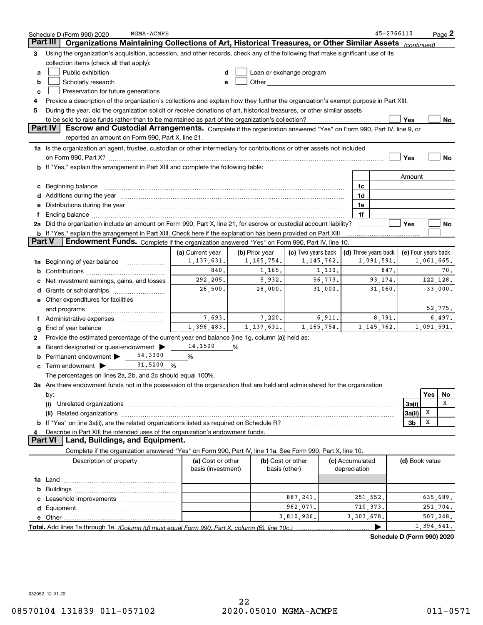|    | MGMA-ACMPE<br>Schedule D (Form 990) 2020                                                                                                                                                                                       |                    |                |                                                                                                                                                                                                                                |         |                      | 45-2766110                 |                     |            | Page <sup>2</sup> |
|----|--------------------------------------------------------------------------------------------------------------------------------------------------------------------------------------------------------------------------------|--------------------|----------------|--------------------------------------------------------------------------------------------------------------------------------------------------------------------------------------------------------------------------------|---------|----------------------|----------------------------|---------------------|------------|-------------------|
|    | Organizations Maintaining Collections of Art, Historical Treasures, or Other Similar Assets<br>Part III                                                                                                                        |                    |                |                                                                                                                                                                                                                                |         |                      |                            | (continued)         |            |                   |
| 3  | Using the organization's acquisition, accession, and other records, check any of the following that make significant use of its                                                                                                |                    |                |                                                                                                                                                                                                                                |         |                      |                            |                     |            |                   |
|    | collection items (check all that apply):                                                                                                                                                                                       |                    |                |                                                                                                                                                                                                                                |         |                      |                            |                     |            |                   |
| а  | Public exhibition                                                                                                                                                                                                              |                    |                | Loan or exchange program                                                                                                                                                                                                       |         |                      |                            |                     |            |                   |
| b  | Scholarly research                                                                                                                                                                                                             | е                  |                | Other and the control of the control of the control of the control of the control of the control of the control of the control of the control of the control of the control of the control of the control of the control of th |         |                      |                            |                     |            |                   |
| c  | Preservation for future generations                                                                                                                                                                                            |                    |                |                                                                                                                                                                                                                                |         |                      |                            |                     |            |                   |
| 4  | Provide a description of the organization's collections and explain how they further the organization's exempt purpose in Part XIII.                                                                                           |                    |                |                                                                                                                                                                                                                                |         |                      |                            |                     |            |                   |
| 5  | During the year, did the organization solicit or receive donations of art, historical treasures, or other similar assets                                                                                                       |                    |                |                                                                                                                                                                                                                                |         |                      |                            |                     |            |                   |
|    | to be sold to raise funds rather than to be maintained as part of the organization's collection?                                                                                                                               |                    |                |                                                                                                                                                                                                                                |         |                      |                            | Yes                 |            | No                |
|    | <b>Part IV</b><br>Escrow and Custodial Arrangements. Complete if the organization answered "Yes" on Form 990, Part IV, line 9, or                                                                                              |                    |                |                                                                                                                                                                                                                                |         |                      |                            |                     |            |                   |
|    | reported an amount on Form 990, Part X, line 21.                                                                                                                                                                               |                    |                |                                                                                                                                                                                                                                |         |                      |                            |                     |            |                   |
|    | 1a Is the organization an agent, trustee, custodian or other intermediary for contributions or other assets not included                                                                                                       |                    |                |                                                                                                                                                                                                                                |         |                      |                            |                     |            |                   |
|    |                                                                                                                                                                                                                                |                    |                |                                                                                                                                                                                                                                |         |                      |                            | Yes                 |            | No                |
| b  | If "Yes," explain the arrangement in Part XIII and complete the following table:                                                                                                                                               |                    |                |                                                                                                                                                                                                                                |         |                      |                            |                     |            |                   |
|    |                                                                                                                                                                                                                                |                    |                |                                                                                                                                                                                                                                |         |                      |                            | Amount              |            |                   |
| с  | Beginning balance measurements and the contract of the contract of the contract of the contract of the contract of the contract of the contract of the contract of the contract of the contract of the contract of the contrac |                    |                |                                                                                                                                                                                                                                |         | 1c                   |                            |                     |            |                   |
|    | Additions during the year manufactured and an anti-manufactured and the year manufactured and all the year manufactured and all the year manufactured and all the year manufactured and all the year manufactured and all the  |                    |                |                                                                                                                                                                                                                                |         | 1d                   |                            |                     |            |                   |
|    | Distributions during the year manufactured and contain an account of the year manufactured and the year manufactured and the year manufactured and the year manufactured and the year manufactured and the year manufactured a |                    |                |                                                                                                                                                                                                                                |         | 1e                   |                            |                     |            |                   |
|    | Ending balance manufactured and contract the contract of the contract of the contract of the contract of the contract of the contract of the contract of the contract of the contract of the contract of the contract of the c |                    |                |                                                                                                                                                                                                                                |         | 1f                   |                            |                     |            |                   |
|    | 2a Did the organization include an amount on Form 990, Part X, line 21, for escrow or custodial account liability?                                                                                                             |                    |                |                                                                                                                                                                                                                                |         |                      |                            | Yes                 |            | No                |
|    | <b>b</b> If "Yes," explain the arrangement in Part XIII. Check here if the explanation has been provided on Part XIII                                                                                                          |                    |                |                                                                                                                                                                                                                                |         |                      |                            |                     |            |                   |
|    | Part V<br>Endowment Funds. Complete if the organization answered "Yes" on Form 990, Part IV, line 10.                                                                                                                          |                    |                |                                                                                                                                                                                                                                |         |                      |                            |                     |            |                   |
|    |                                                                                                                                                                                                                                | (a) Current year   | (b) Prior year | (c) Two years back                                                                                                                                                                                                             |         | (d) Three years back |                            | (e) Four years back |            |                   |
| 1a | Beginning of year balance                                                                                                                                                                                                      | 1,137,631.         | 1, 165, 754.   | 1, 145, 762.                                                                                                                                                                                                                   |         |                      | 1,091,591.                 |                     | 1,061,665. |                   |
|    |                                                                                                                                                                                                                                | 840.               | 1,165.         |                                                                                                                                                                                                                                | 1,130.  |                      | 847.                       |                     |            | 70.               |
|    | Net investment earnings, gains, and losses                                                                                                                                                                                     | 292,205.           | 5,932.         |                                                                                                                                                                                                                                | 56,773. |                      | 93,174.                    |                     |            | 122, 128.         |
|    | Grants or scholarships                                                                                                                                                                                                         | 26,500.            | 28,000.        |                                                                                                                                                                                                                                | 31,000. |                      | 31,060.                    |                     |            | 33,000.           |
|    | e Other expenditures for facilities                                                                                                                                                                                            |                    |                |                                                                                                                                                                                                                                |         |                      |                            |                     |            |                   |
|    | and programs                                                                                                                                                                                                                   |                    |                |                                                                                                                                                                                                                                |         |                      |                            |                     |            | 52,775.           |
|    | Administrative expenses                                                                                                                                                                                                        | 7,693.             | 7,220.         |                                                                                                                                                                                                                                | 6,911.  |                      | 8,791.                     |                     |            | 6,497.            |
|    | End of year balance                                                                                                                                                                                                            | 1,396,483.         | 1, 137, 631.   | 1, 165, 754.                                                                                                                                                                                                                   |         |                      | 1, 145, 762.               |                     | 1,091,591. |                   |
| 2  | Provide the estimated percentage of the current year end balance (line 1g, column (a)) held as:                                                                                                                                |                    |                |                                                                                                                                                                                                                                |         |                      |                            |                     |            |                   |
|    | Board designated or quasi-endowment                                                                                                                                                                                            | 14,1500            | %              |                                                                                                                                                                                                                                |         |                      |                            |                     |            |                   |
|    | 54,3300<br>Permanent endowment >                                                                                                                                                                                               | %                  |                |                                                                                                                                                                                                                                |         |                      |                            |                     |            |                   |
| с  | 31,5200<br>Term endowment >                                                                                                                                                                                                    | %                  |                |                                                                                                                                                                                                                                |         |                      |                            |                     |            |                   |
|    | The percentages on lines 2a, 2b, and 2c should equal 100%.                                                                                                                                                                     |                    |                |                                                                                                                                                                                                                                |         |                      |                            |                     |            |                   |
|    | 3a Are there endowment funds not in the possession of the organization that are held and administered for the organization                                                                                                     |                    |                |                                                                                                                                                                                                                                |         |                      |                            |                     |            |                   |
|    | by:                                                                                                                                                                                                                            |                    |                |                                                                                                                                                                                                                                |         |                      |                            |                     | Yes        | No                |
|    | (i)                                                                                                                                                                                                                            |                    |                |                                                                                                                                                                                                                                |         |                      |                            | 3a(i)               |            | X                 |
|    |                                                                                                                                                                                                                                |                    |                |                                                                                                                                                                                                                                |         |                      |                            | 3a(ii)              | x          |                   |
|    |                                                                                                                                                                                                                                |                    |                |                                                                                                                                                                                                                                |         |                      |                            | 3b                  | X          |                   |
|    | Describe in Part XIII the intended uses of the organization's endowment funds.                                                                                                                                                 |                    |                |                                                                                                                                                                                                                                |         |                      |                            |                     |            |                   |
|    | Land, Buildings, and Equipment.<br>Part VI                                                                                                                                                                                     |                    |                |                                                                                                                                                                                                                                |         |                      |                            |                     |            |                   |
|    | Complete if the organization answered "Yes" on Form 990, Part IV, line 11a. See Form 990, Part X, line 10.                                                                                                                     |                    |                |                                                                                                                                                                                                                                |         |                      |                            |                     |            |                   |
|    | Description of property                                                                                                                                                                                                        | (a) Cost or other  |                | (b) Cost or other                                                                                                                                                                                                              |         | (c) Accumulated      |                            | (d) Book value      |            |                   |
|    |                                                                                                                                                                                                                                | basis (investment) |                | basis (other)                                                                                                                                                                                                                  |         | depreciation         |                            |                     |            |                   |
|    |                                                                                                                                                                                                                                |                    |                |                                                                                                                                                                                                                                |         |                      |                            |                     |            |                   |
| b  |                                                                                                                                                                                                                                |                    |                |                                                                                                                                                                                                                                |         |                      |                            |                     |            |                   |
|    |                                                                                                                                                                                                                                |                    |                | 887,241.                                                                                                                                                                                                                       |         | 251,552.             |                            |                     |            | 635,689.          |
| d  |                                                                                                                                                                                                                                |                    |                | 962,077.                                                                                                                                                                                                                       |         | 710, 373.            |                            |                     |            | 251,704.          |
|    |                                                                                                                                                                                                                                |                    |                | 3,810,926.                                                                                                                                                                                                                     |         | 3,303,678.           |                            |                     |            | 507, 248.         |
|    |                                                                                                                                                                                                                                |                    |                |                                                                                                                                                                                                                                |         |                      |                            |                     | 1,394,641. |                   |
|    |                                                                                                                                                                                                                                |                    |                |                                                                                                                                                                                                                                |         |                      | Schedule D (Form 990) 2020 |                     |            |                   |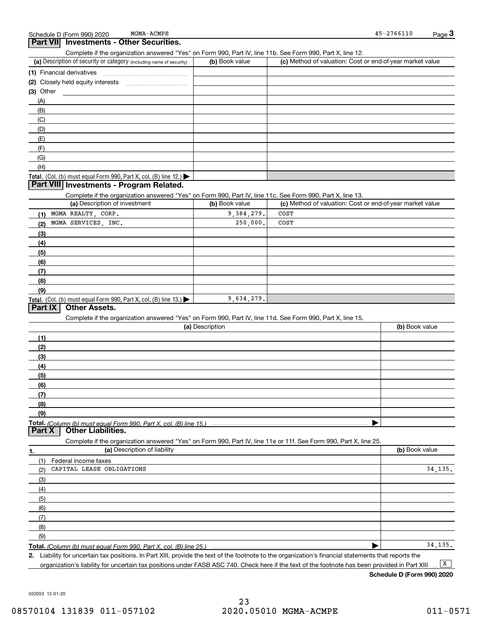|           | chedule D (Form 990) 2020 | MGMA-ACMPE                        | 45-2766110 | $P$ age $\sim$ |
|-----------|---------------------------|-----------------------------------|------------|----------------|
| Part VIII |                           | ' Investments - Other Securities. |            |                |

Complete if the organization answered "Yes" on Form 990, Part IV, line 11b. See Form 990, Part X, line 12.

| (a) Description of security or category (including name of security)                          | (b) Book value | (c) Method of valuation: Cost or end-of-year market value |
|-----------------------------------------------------------------------------------------------|----------------|-----------------------------------------------------------|
| (1) Financial derivatives                                                                     |                |                                                           |
| (2) Closely held equity interests                                                             |                |                                                           |
| (3) Other                                                                                     |                |                                                           |
| (A)                                                                                           |                |                                                           |
| (B)                                                                                           |                |                                                           |
| (C)                                                                                           |                |                                                           |
| (D)                                                                                           |                |                                                           |
| (E)                                                                                           |                |                                                           |
| (F)                                                                                           |                |                                                           |
| (G)                                                                                           |                |                                                           |
| (H)                                                                                           |                |                                                           |
| <b>Total.</b> (Col. (b) must equal Form 990, Part X, col. (B) line 12.) $\blacktriangleright$ |                |                                                           |

### **Part VIII Investments - Program Related.**

Complete if the organization answered "Yes" on Form 990, Part IV, line 11c. See Form 990, Part X, line 13.

| (a) Description of investment                                              | (b) Book value | (c) Method of valuation: Cost or end-of-year market value |
|----------------------------------------------------------------------------|----------------|-----------------------------------------------------------|
| MGMA REALTY, CORP.                                                         | 9,384,279.     | COST                                                      |
| MGMA SERVICES, INC.<br>(2)                                                 | 250,000.       | COST                                                      |
| (3)                                                                        |                |                                                           |
| (4)                                                                        |                |                                                           |
| $\left(5\right)$                                                           |                |                                                           |
| (6)                                                                        |                |                                                           |
| (7)                                                                        |                |                                                           |
| (8)                                                                        |                |                                                           |
| (9)                                                                        |                |                                                           |
| <b>Total.</b> (Col. (b) must equal Form 990, Part X, col. (B) line $13.$ ) | 9,634,279.     |                                                           |

### **Part IX Other Assets.**

Complete if the organization answered "Yes" on Form 990, Part IV, line 11d. See Form 990, Part X, line 15.

| (a) Description | (b) Book value |
|-----------------|----------------|
|                 |                |
| (2)             |                |
| (3)             |                |
| (4)             |                |
| (5)             |                |
| (6)             |                |
| (7)             |                |
| (8)             |                |
| (9)             |                |
|                 |                |
|                 |                |

| 1.  | (a) Description of liability | (b) Book value |
|-----|------------------------------|----------------|
| (1) | Federal income taxes         |                |
| (2) | CAPITAL LEASE OBLIGATIONS    | 34, 135.       |
| (3) |                              |                |
| (4) |                              |                |
| (5) |                              |                |
| (6) |                              |                |
|     |                              |                |
| (8) |                              |                |
| (9) |                              |                |
|     |                              | 34.135.        |

Complete if the organization answered "Yes" on Form 990, Part IV, line 11e or 11f. See Form 990, Part X, line 25.

**2.**Liability for uncertain tax positions. In Part XIII, provide the text of the footnote to the organization's financial statements that reports the organization's liability for uncertain tax positions under FASB ASC 740. Check here if the text of the footnote has been provided in Part XIII  $\boxed{\mathbf{X}}$ 

**Schedule D (Form 990) 2020**

032053 12-01-20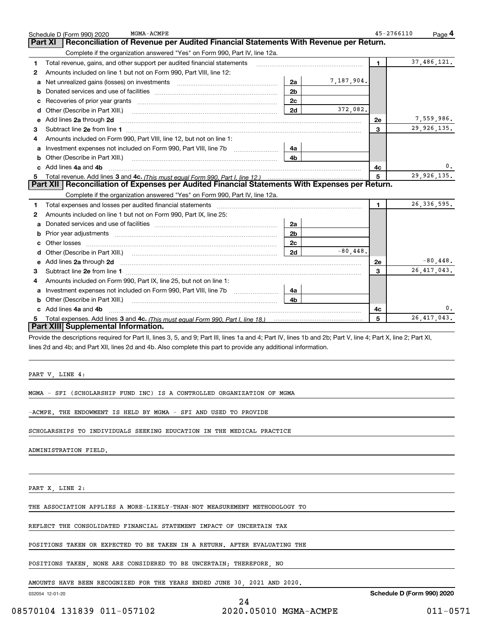| MGMA-ACMPE<br>Schedule D (Form 990) 2020<br>Reconciliation of Revenue per Audited Financial Statements With Revenue per Return.<br><b>Part XI</b>              |                |             | $45 - 2766110$ | Page 4        |
|----------------------------------------------------------------------------------------------------------------------------------------------------------------|----------------|-------------|----------------|---------------|
| Complete if the organization answered "Yes" on Form 990, Part IV, line 12a.                                                                                    |                |             |                |               |
| Total revenue, gains, and other support per audited financial statements<br>1.                                                                                 |                |             | $\blacksquare$ | 37,486,121.   |
| Amounts included on line 1 but not on Form 990, Part VIII, line 12:<br>2                                                                                       |                |             |                |               |
| Net unrealized gains (losses) on investments [11] [11] Met unrealized gains (losses) on investments [11] Metam<br>a                                            | 2a             | 7,187,904.  |                |               |
| b                                                                                                                                                              | 2 <sub>b</sub> |             |                |               |
| с                                                                                                                                                              | 2c             |             |                |               |
| <b>d</b> Other (Describe in Part XIII.)                                                                                                                        | 2d             | 372,082.    |                |               |
| e Add lines 2a through 2d                                                                                                                                      |                |             | 2e             | 7,559,986.    |
| 3                                                                                                                                                              |                |             | 3              | 29, 926, 135. |
| Amounts included on Form 990, Part VIII, line 12, but not on line 1:<br>4                                                                                      |                |             |                |               |
| a                                                                                                                                                              | 4a             |             |                |               |
| Other (Describe in Part XIII.)<br>b                                                                                                                            | 4b             |             |                |               |
| c Add lines 4a and 4b                                                                                                                                          |                |             | 4c             | 0.            |
| 5                                                                                                                                                              |                |             | 5              | 29,926,135.   |
| Part XII   Reconciliation of Expenses per Audited Financial Statements With Expenses per Return.                                                               |                |             |                |               |
| Complete if the organization answered "Yes" on Form 990, Part IV, line 12a.                                                                                    |                |             |                |               |
| 1                                                                                                                                                              |                |             | $\mathbf{1}$   | 26, 336, 595. |
| Amounts included on line 1 but not on Form 990, Part IX, line 25:<br>2                                                                                         |                |             |                |               |
| a                                                                                                                                                              | 2a             |             |                |               |
| b                                                                                                                                                              | 2 <sub>b</sub> |             |                |               |
| Other losses                                                                                                                                                   | 2 <sub>c</sub> |             |                |               |
|                                                                                                                                                                | 2d             | $-80.448$ . |                |               |
| e Add lines 2a through 2d                                                                                                                                      |                |             | 2e             | $-80,448$ .   |
| 3                                                                                                                                                              |                |             | 3              | 26, 417, 043. |
| Amounts included on Form 990, Part IX, line 25, but not on line 1:<br>4                                                                                        |                |             |                |               |
| Investment expenses not included on Form 990, Part VIII, line 7b<br>a                                                                                          | 4a             |             |                |               |
| <b>b</b> Other (Describe in Part XIII.)                                                                                                                        | 4b             |             |                |               |
| c Add lines 4a and 4b                                                                                                                                          |                |             | 4c             | 0.            |
| Total expenses. Add lines 3 and 4c. (This must equal Form 990. Part I, line 18.) <b>Conservers</b> manufactured in the<br>5                                    |                |             | 5              | 26, 417, 043. |
| Part XIII Supplemental Information.                                                                                                                            |                |             |                |               |
| Provide the descriptions required for Part II, lines 3, 5, and 9; Part III, lines 1a and 4; Part IV, lines 1b and 2b; Part V, line 4; Part X, line 2; Part XI, |                |             |                |               |
| lines 2d and 4b; and Part XII, lines 2d and 4b. Also complete this part to provide any additional information.                                                 |                |             |                |               |
|                                                                                                                                                                |                |             |                |               |
|                                                                                                                                                                |                |             |                |               |

PART V, LINE 4:

MGMA - SFI (SCHOLARSHIP FUND INC) IS A CONTROLLED ORGANIZATION OF MGMA

-ACMPE. THE ENDOWMENT IS HELD BY MGMA - SFI AND USED TO PROVIDE

SCHOLARSHIPS TO INDIVIDUALS SEEKING EDUCATION IN THE MEDICAL PRACTICE

ADMINISTRATION FIELD.

PART X, LINE 2:

THE ASSOCIATION APPLIES A MORE-LIKELY-THAN-NOT MEASUREMENT METHODOLOGY TO

REFLECT THE CONSOLIDATED FINANCIAL STATEMENT IMPACT OF UNCERTAIN TAX

POSITIONS TAKEN OR EXPECTED TO BE TAKEN IN A RETURN. AFTER EVALUATING THE

POSITIONS TAKEN, NONE ARE CONSIDERED TO BE UNCERTAIN; THEREFORE, NO

AMOUNTS HAVE BEEN RECOGNIZED FOR THE YEARS ENDED JUNE 30, 2021 AND 2020.

032054 12-01-20

**Schedule D (Form 990) 2020**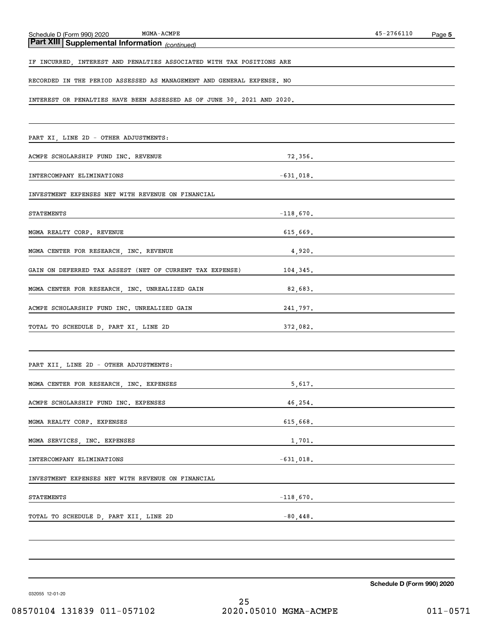| $MGMA-ACMPE$<br>Schedule D (Form 990) 2020                             |              | 45-2766110 | Page 5 |
|------------------------------------------------------------------------|--------------|------------|--------|
| Part XIII Supplemental Information (continued)                         |              |            |        |
| IF INCURRED, INTEREST AND PENALTIES ASSOCIATED WITH TAX POSITIONS ARE  |              |            |        |
| RECORDED IN THE PERIOD ASSESSED AS MANAGEMENT AND GENERAL EXPENSE. NO  |              |            |        |
| INTEREST OR PENALTIES HAVE BEEN ASSESSED AS OF JUNE 30, 2021 AND 2020. |              |            |        |
|                                                                        |              |            |        |
| PART XI, LINE 2D - OTHER ADJUSTMENTS:                                  |              |            |        |
| ACMPE SCHOLARSHIP FUND INC. REVENUE                                    | 72,356.      |            |        |
| INTERCOMPANY ELIMINATIONS                                              | $-631,018$ . |            |        |
| INVESTMENT EXPENSES NET WITH REVENUE ON FINANCIAL                      |              |            |        |
| STATEMENTS                                                             | $-118,670.$  |            |        |
| MGMA REALTY CORP. REVENUE                                              | 615,669.     |            |        |
| MGMA CENTER FOR RESEARCH, INC. REVENUE                                 | 4,920.       |            |        |
| GAIN ON DEFERRED TAX ASSEST (NET OF CURRENT TAX EXPENSE)               | 104,345.     |            |        |
| MGMA CENTER FOR RESEARCH, INC. UNREALIZED GAIN                         | 82,683.      |            |        |
| ACMPE SCHOLARSHIP FUND INC. UNREALIZED GAIN                            | 241,797.     |            |        |
| TOTAL TO SCHEDULE D, PART XI, LINE 2D                                  | 372,082.     |            |        |
|                                                                        |              |            |        |
| PART XII, LINE 2D - OTHER ADJUSTMENTS:                                 |              |            |        |
| MGMA CENTER FOR RESEARCH, INC. EXPENSES                                | 5,617.       |            |        |
| ACMPE SCHOLARSHIP FUND INC. EXPENSES                                   | 46,254.      |            |        |
| MGMA REALTY CORP. EXPENSES                                             | $615,668$ .  |            |        |
| MGMA SERVICES, INC. EXPENSES                                           | 1,701.       |            |        |
| INTERCOMPANY ELIMINATIONS<br>$-631,018$ .                              |              |            |        |
| INVESTMENT EXPENSES NET WITH REVENUE ON FINANCIAL                      |              |            |        |
| STATEMENTS<br>$-118,670$ .                                             |              |            |        |
| TOTAL TO SCHEDULE D, PART XII, LINE 2D<br>2011 -80,448.                |              |            |        |
|                                                                        |              |            |        |
|                                                                        |              |            |        |

**Schedule D (Form 990) 2020**

032055 12-01-20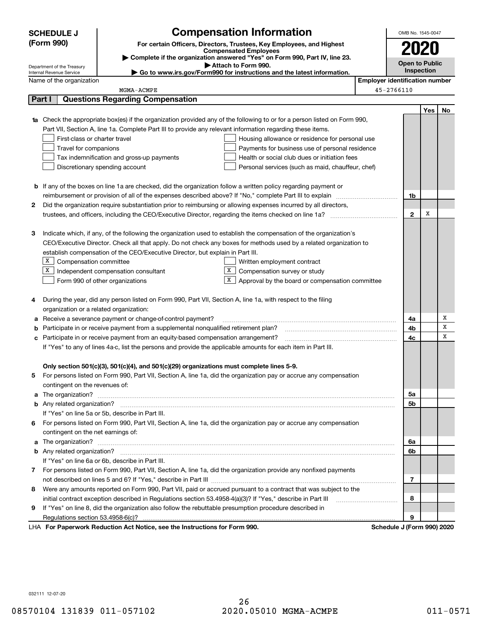|   | <b>Compensation Information</b><br><b>SCHEDULE J</b>                                                                                                                                                                                     |                                       | OMB No. 1545-0047          |     |    |
|---|------------------------------------------------------------------------------------------------------------------------------------------------------------------------------------------------------------------------------------------|---------------------------------------|----------------------------|-----|----|
|   | (Form 990)<br>For certain Officers, Directors, Trustees, Key Employees, and Highest                                                                                                                                                      |                                       |                            |     |    |
|   | <b>Compensated Employees</b>                                                                                                                                                                                                             |                                       |                            |     |    |
|   | Complete if the organization answered "Yes" on Form 990, Part IV, line 23.<br>Attach to Form 990.                                                                                                                                        |                                       | <b>Open to Public</b>      |     |    |
|   | Department of the Treasury<br>Go to www.irs.gov/Form990 for instructions and the latest information.<br>Internal Revenue Service                                                                                                         |                                       | Inspection                 |     |    |
|   | Name of the organization                                                                                                                                                                                                                 | <b>Employer identification number</b> |                            |     |    |
|   | MGMA-ACMPE                                                                                                                                                                                                                               |                                       | 45-2766110                 |     |    |
|   | <b>Questions Regarding Compensation</b><br>Part I                                                                                                                                                                                        |                                       |                            |     |    |
|   |                                                                                                                                                                                                                                          |                                       |                            | Yes | No |
|   | <b>1a</b> Check the appropriate box(es) if the organization provided any of the following to or for a person listed on Form 990,                                                                                                         |                                       |                            |     |    |
|   | Part VII, Section A, line 1a. Complete Part III to provide any relevant information regarding these items.                                                                                                                               |                                       |                            |     |    |
|   | First-class or charter travel<br>Housing allowance or residence for personal use                                                                                                                                                         |                                       |                            |     |    |
|   | Travel for companions<br>Payments for business use of personal residence                                                                                                                                                                 |                                       |                            |     |    |
|   | Tax indemnification and gross-up payments<br>Health or social club dues or initiation fees                                                                                                                                               |                                       |                            |     |    |
|   | Discretionary spending account<br>Personal services (such as maid, chauffeur, chef)                                                                                                                                                      |                                       |                            |     |    |
|   |                                                                                                                                                                                                                                          |                                       |                            |     |    |
|   | <b>b</b> If any of the boxes on line 1a are checked, did the organization follow a written policy regarding payment or                                                                                                                   |                                       |                            |     |    |
|   | reimbursement or provision of all of the expenses described above? If "No," complete Part III to explain                                                                                                                                 |                                       | 1b                         |     |    |
| 2 | Did the organization require substantiation prior to reimbursing or allowing expenses incurred by all directors,                                                                                                                         |                                       |                            | X   |    |
|   |                                                                                                                                                                                                                                          |                                       | $\mathbf{2}$               |     |    |
| 3 |                                                                                                                                                                                                                                          |                                       |                            |     |    |
|   | Indicate which, if any, of the following the organization used to establish the compensation of the organization's<br>CEO/Executive Director. Check all that apply. Do not check any boxes for methods used by a related organization to |                                       |                            |     |    |
|   | establish compensation of the CEO/Executive Director, but explain in Part III.                                                                                                                                                           |                                       |                            |     |    |
|   | $X$ Compensation committee<br>Written employment contract                                                                                                                                                                                |                                       |                            |     |    |
|   | X  <br>Compensation survey or study<br>Independent compensation consultant                                                                                                                                                               |                                       |                            |     |    |
|   | Approval by the board or compensation committee<br>Form 990 of other organizations                                                                                                                                                       |                                       |                            |     |    |
|   |                                                                                                                                                                                                                                          |                                       |                            |     |    |
| 4 | During the year, did any person listed on Form 990, Part VII, Section A, line 1a, with respect to the filing                                                                                                                             |                                       |                            |     |    |
|   | organization or a related organization:                                                                                                                                                                                                  |                                       |                            |     |    |
|   | Receive a severance payment or change-of-control payment?                                                                                                                                                                                |                                       | 4a                         |     | х  |
|   | Participate in or receive payment from a supplemental nonqualified retirement plan?                                                                                                                                                      |                                       | 4b                         |     | х  |
| с | Participate in or receive payment from an equity-based compensation arrangement?                                                                                                                                                         |                                       | 4c                         |     | x  |
|   | If "Yes" to any of lines 4a-c, list the persons and provide the applicable amounts for each item in Part III.                                                                                                                            |                                       |                            |     |    |
|   |                                                                                                                                                                                                                                          |                                       |                            |     |    |
|   | Only section 501(c)(3), 501(c)(4), and 501(c)(29) organizations must complete lines 5-9.                                                                                                                                                 |                                       |                            |     |    |
| 5 | For persons listed on Form 990, Part VII, Section A, line 1a, did the organization pay or accrue any compensation                                                                                                                        |                                       |                            |     |    |
|   | contingent on the revenues of:                                                                                                                                                                                                           |                                       |                            |     |    |
|   |                                                                                                                                                                                                                                          |                                       | 5a                         |     |    |
|   |                                                                                                                                                                                                                                          |                                       | 5b                         |     |    |
|   | If "Yes" on line 5a or 5b, describe in Part III.                                                                                                                                                                                         |                                       |                            |     |    |
|   | 6 For persons listed on Form 990, Part VII, Section A, line 1a, did the organization pay or accrue any compensation                                                                                                                      |                                       |                            |     |    |
|   | contingent on the net earnings of:                                                                                                                                                                                                       |                                       |                            |     |    |
|   |                                                                                                                                                                                                                                          |                                       | 6а                         |     |    |
|   |                                                                                                                                                                                                                                          |                                       | 6b                         |     |    |
|   | If "Yes" on line 6a or 6b, describe in Part III.                                                                                                                                                                                         |                                       |                            |     |    |
|   | 7 For persons listed on Form 990, Part VII, Section A, line 1a, did the organization provide any nonfixed payments                                                                                                                       |                                       |                            |     |    |
|   |                                                                                                                                                                                                                                          |                                       | 7                          |     |    |
| 8 | Were any amounts reported on Form 990, Part VII, paid or accrued pursuant to a contract that was subject to the                                                                                                                          |                                       |                            |     |    |
|   |                                                                                                                                                                                                                                          |                                       | 8                          |     |    |
| 9 | If "Yes" on line 8, did the organization also follow the rebuttable presumption procedure described in                                                                                                                                   |                                       |                            |     |    |
|   |                                                                                                                                                                                                                                          |                                       | 9                          |     |    |
|   | LHA For Paperwork Reduction Act Notice, see the Instructions for Form 990.                                                                                                                                                               |                                       | Schedule J (Form 990) 2020 |     |    |

032111 12-07-20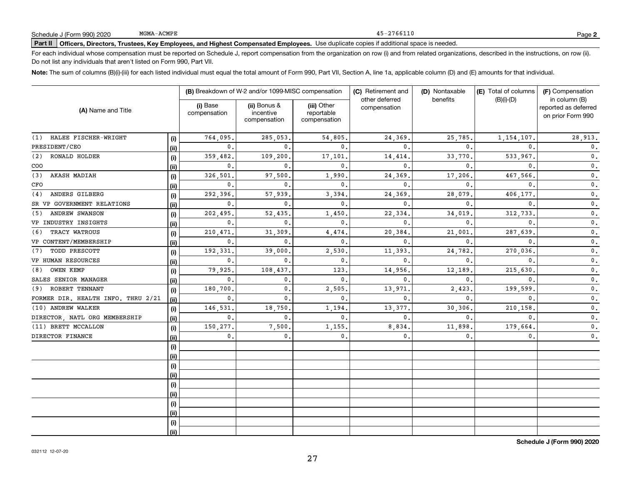### 45-2766110

## **Part II Officers, Directors, Trustees, Key Employees, and Highest Compensated Employees.**  Schedule J (Form 990) 2020 Page Use duplicate copies if additional space is needed.

For each individual whose compensation must be reported on Schedule J, report compensation from the organization on row (i) and from related organizations, described in the instructions, on row (ii). Do not list any individuals that aren't listed on Form 990, Part VII.

**Note:**  The sum of columns (B)(i)-(iii) for each listed individual must equal the total amount of Form 990, Part VII, Section A, line 1a, applicable column (D) and (E) amounts for that individual.

| (A) Name and Title                 |      | (B) Breakdown of W-2 and/or 1099-MISC compensation |                                           |                                           | (C) Retirement and             | (D) Nontaxable | (E) Total of columns | (F) Compensation                                           |  |
|------------------------------------|------|----------------------------------------------------|-------------------------------------------|-------------------------------------------|--------------------------------|----------------|----------------------|------------------------------------------------------------|--|
|                                    |      | (i) Base<br>compensation                           | (ii) Bonus &<br>incentive<br>compensation | (iii) Other<br>reportable<br>compensation | other deferred<br>compensation | benefits       | $(B)(i)$ - $(D)$     | in column (B)<br>reported as deferred<br>on prior Form 990 |  |
| HALEE FISCHER-WRIGHT<br>(1)        | (i)  | 764,095                                            | 285,053.                                  | 54,805.                                   | 24,369                         | 25,785.        | 1, 154, 107.         | 28,913.                                                    |  |
| PRESIDENT/CEO                      | (i)  | 0.                                                 | 0                                         | 0.                                        | $\mathbf{0}$                   | $\mathbf{0}$ . | $\mathbf{0}$         | 0.                                                         |  |
| (2)<br>RONALD HOLDER               | (i)  | 359,482.                                           | 109,200                                   | 17,101                                    | 14,414                         | 33,770         | 533,967              | $\mathbf 0$ .                                              |  |
| COO                                | (ii) | 0.                                                 | $\Omega$                                  | $\mathbf{0}$ .                            | $\Omega$                       | $\mathbf{0}$ . | $\mathbf{0}$ .       | $\mathfrak o$ .                                            |  |
| AKASH MADIAH<br>(3)                | (i)  | 326,501                                            | 97,500                                    | 1,990                                     | 24,369                         | 17,206         | 467,566              | $\mathbf 0$ .                                              |  |
| CFO                                | (ii) | 0.                                                 | $\Omega$                                  | $\mathbf{0}$ .                            | $\mathbf{0}$                   | $\mathbf{0}$ . | $\mathbf{0}$ .       | $\mathbf 0$ .                                              |  |
| ANDERS GILBERG<br>(4)              | (i)  | 292,396                                            | 57,939                                    | 3,394.                                    | 24,369                         | 28,079         | 406,177.             | $\mathbf 0$ .                                              |  |
| SR VP GOVERNMENT RELATIONS         | (ii) | $\mathbf{0}$ .                                     | $\Omega$                                  | $\mathbf{0}$ .                            | $\Omega$                       | $\mathbf{0}$   | $\mathbf{0}$         | $\mathbf{0}$ .                                             |  |
| <b>ANDREW SWANSON</b><br>(5)       | (i)  | 202,495                                            | 52,435                                    | 1,450.                                    | 22,334                         | 34,019         | 312,733              | $\mathbf 0$ .                                              |  |
| VP INDUSTRY INSIGHTS               | (ii) | $\mathbf{0}$ .                                     | $\mathbf{0}$ .                            | $\mathbf{0}$ .                            | $\mathbf{0}$                   | $\mathbf{0}$ . | $\mathbf{0}$ .       | $\mathbf 0$ .                                              |  |
| TRACY WATROUS<br>(6)               | (i)  | 210,471                                            | 31,309                                    | 4,474.                                    | 20,384                         | 21,001         | 287,639              | $\mathbf 0$ .                                              |  |
| VP CONTENT/MEMBERSHIP              | (ii) | 0.                                                 | $\mathbf{0}$ .                            | 0.                                        | $\mathbf{0}$ .                 | $\mathbf 0$ .  | $\mathbf{0}$         | 0.                                                         |  |
| TODD PRESCOTT<br>(7)               | (i)  | 192,331                                            | 39,000                                    | 2,530                                     | 11,393                         | 24,782         | 270,036              | $\mathbf 0$ .                                              |  |
| VP HUMAN RESOURCES                 | (i)  | 0.                                                 | $\mathbf{0}$ .                            | 0.                                        | $\mathbf{0}$                   | $\mathbf{0}$   | $\mathbf{0}$         | 0.                                                         |  |
| OWEN KEMP<br>(8)                   | (i)  | 79,925                                             | 108,437                                   | 123                                       | 14,956                         | 12,189         | 215,630              | $\mathbf 0$ .                                              |  |
| SALES SENIOR MANAGER               | (ii) | 0.                                                 | 0.                                        | 0.                                        | $\mathbf{0}$                   | $\mathbf{0}$ . | 0                    | 0.                                                         |  |
| ROBERT TENNANT<br>(9)              | (i)  | 180,700                                            | 0.                                        | 2,505.                                    | 13,971                         | 2,423          | 199,599              | $\mathbf 0$ .                                              |  |
| FORMER DIR. HEALTH INFO. THRU 2/21 | (ii) | 0.                                                 | 0.                                        | $\mathbf{0}$ .                            | $\mathbf 0$                    | $\mathbf{0}$   | 0                    | $\mathbf 0$ .                                              |  |
| (10) ANDREW WALKER                 | (i)  | 146,531                                            | 18,750                                    | 1,194                                     | 13,377                         | 30,306         | 210,158              | 0.                                                         |  |
| DIRECTOR, NATL ORG MEMBERSHIP      | (ii) | 0.                                                 | $\mathbf{0}$ .                            | 0.                                        | $\mathbf{0}$                   | 0.             | $\mathbf{0}$         | $\mathbf{0}$ .                                             |  |
| (11) BRETT MCCALLON                | (i)  | 150,277.                                           | 7,500                                     | 1,155.                                    | 8,834                          | 11,898.        | 179,664              | $\mathbf{0}$ .                                             |  |
| DIRECTOR FINANCE                   | (ii) | 0.                                                 | 0.                                        | 0.                                        | $\mathbf 0$ .                  | 0.             | 0.                   | 0.                                                         |  |
|                                    | (i)  |                                                    |                                           |                                           |                                |                |                      |                                                            |  |
|                                    | (ii) |                                                    |                                           |                                           |                                |                |                      |                                                            |  |
|                                    | (i)  |                                                    |                                           |                                           |                                |                |                      |                                                            |  |
|                                    | (i)  |                                                    |                                           |                                           |                                |                |                      |                                                            |  |
|                                    | (i)  |                                                    |                                           |                                           |                                |                |                      |                                                            |  |
|                                    | (ii) |                                                    |                                           |                                           |                                |                |                      |                                                            |  |
|                                    | (i)  |                                                    |                                           |                                           |                                |                |                      |                                                            |  |
|                                    | (ii) |                                                    |                                           |                                           |                                |                |                      |                                                            |  |
|                                    | (i)  |                                                    |                                           |                                           |                                |                |                      |                                                            |  |
|                                    | (ii) |                                                    |                                           |                                           |                                |                |                      |                                                            |  |

**Schedule J (Form 990) 2020**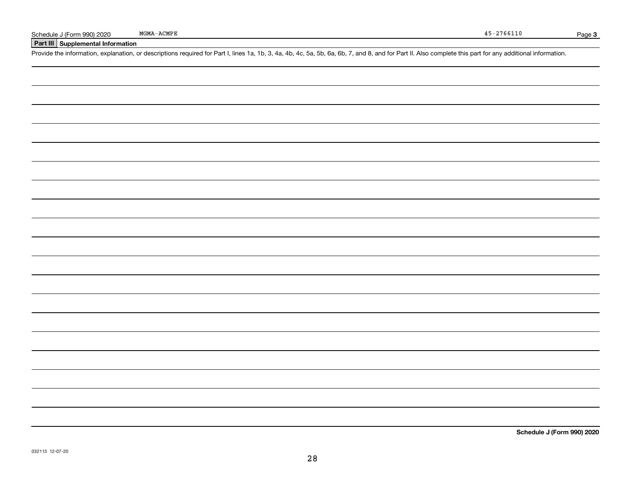## **Part III Supplemental Information**

Schedule J (Form 990) 2020 MGMA-ACMPE<br>Part III Supplemental Information<br>Provide the information, explanation, or descriptions required for Part I, lines 1a, 1b, 3, 4a, 4b, 4c, 5a, 5b, 6a, 6b, 7, and 8, and for Part II. Als

**Schedule J (Form 990) 2020**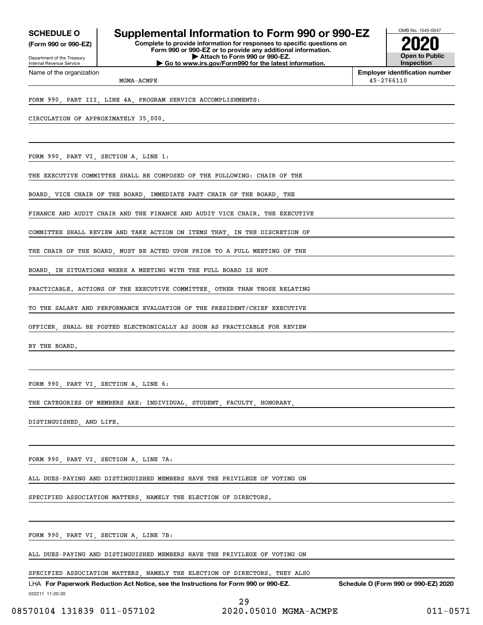**(Form 990 or 990-EZ)**

Department of the Treasury Internal Revenue Service Name of the organization

## **SCHEDULE O Supplemental Information to Form 990 or 990-EZ**

**Complete to provide information for responses to specific questions on Form 990 or 990-EZ or to provide any additional information. | Attach to Form 990 or 990-EZ. | Go to www.irs.gov/Form990 for the latest information.**



**Employer identification number** 45-2766110

MGMA-ACMPE

FORM 990, PART III, LINE 4A, PROGRAM SERVICE ACCOMPLISHMENTS:

CIRCULATION OF APPROXIMATELY 35,000.

FORM 990, PART VI, SECTION A, LINE 1:

THE EXECUTIVE COMMITTEE SHALL BE COMPOSED OF THE FOLLOWING: CHAIR OF THE

BOARD, VICE CHAIR OF THE BOARD, IMMEDIATE PAST CHAIR OF THE BOARD, THE

FINANCE AND AUDIT CHAIR AND THE FINANCE AND AUDIT VICE CHAIR. THE EXECUTIVE

COMMITTEE SHALL REVIEW AND TAKE ACTION ON ITEMS THAT IN THE DISCRETION OF

THE CHAIR OF THE BOARD MUST BE ACTED UPON PRIOR TO A FULL MEETING OF THE

BOARD, IN SITUATIONS WHERE A MEETING WITH THE FULL BOARD IS NOT

PRACTICABLE. ACTIONS OF THE EXECUTIVE COMMITTEE, OTHER THAN THOSE RELATING

TO THE SALARY AND PERFORMANCE EVALUATION OF THE PRESIDENT/CHIEF EXECUTIVE

OFFICER, SHALL BE POSTED ELECTRONICALLY AS SOON AS PRACTICABLE FOR REVIEW

BY THE BOARD.

FORM 990, PART VI, SECTION A, LINE 6:

THE CATEGORIES OF MEMBERS ARE: INDIVIDUAL, STUDENT, FACULTY, HONORARY

DISTINGUISHED, AND LIFE.

FORM 990, PART VI, SECTION A, LINE 7A:

ALL DUES-PAYING AND DISTINGUISHED MEMBERS HAVE THE PRIVILEGE OF VOTING ON

SPECIFIED ASSOCIATION MATTERS, NAMELY THE ELECTION OF DIRECTORS.

FORM 990, PART VI, SECTION A, LINE 7B:

ALL DUES-PAYING AND DISTINGUISHED MEMBERS HAVE THE PRIVILEGE OF VOTING ON

SPECIFIED ASSOCIATION MATTERS, NAMELY THE ELECTION OF DIRECTORS. THEY ALSO

032211 11-20-20 LHA For Paperwork Reduction Act Notice, see the Instructions for Form 990 or 990-EZ. Schedule O (Form 990 or 990-EZ) 2020

29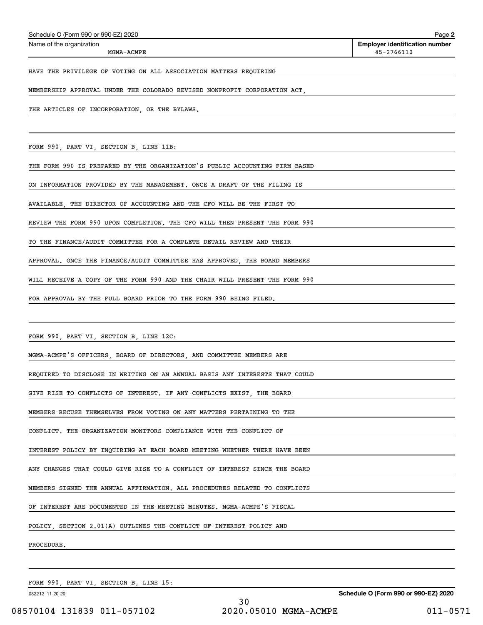| THE ARTICLES OF INCORPORATION, OR THE BYLAWS.                               |
|-----------------------------------------------------------------------------|
|                                                                             |
| FORM 990, PART VI, SECTION B, LINE 11B:                                     |
| THE FORM 990 IS PREPARED BY THE ORGANIZATION'S PUBLIC ACCOUNTING FIRM BASED |
| ON INFORMATION PROVIDED BY THE MANAGEMENT. ONCE A DRAFT OF THE FILING IS    |
| AVAILABLE, THE DIRECTOR OF ACCOUNTING AND THE CFO WILL BE THE FIRST TO      |
| REVIEW THE FORM 990 UPON COMPLETION. THE CFO WILL THEN PRESENT THE FORM 990 |
| TO THE FINANCE/AUDIT COMMITTEE FOR A COMPLETE DETAIL REVIEW AND THEIR       |
| APPROVAL. ONCE THE FINANCE/AUDIT COMMITTEE HAS APPROVED, THE BOARD MEMBERS  |
| WILL RECEIVE A COPY OF THE FORM 990 AND THE CHAIR WILL PRESENT THE FORM 990 |
| FOR APPROVAL BY THE FULL BOARD PRIOR TO THE FORM 990 BEING FILED.           |
|                                                                             |
| FORM 990, PART VI, SECTION B, LINE 12C:                                     |
| MGMA-ACMPE'S OFFICERS, BOARD OF DIRECTORS, AND COMMITTEE MEMBERS ARE        |
| REQUIRED TO DISCLOSE IN WRITING ON AN ANNUAL BASIS ANY INTERESTS THAT COULD |
| GIVE RISE TO CONFLICTS OF INTEREST. IF ANY CONFLICTS EXIST, THE BOARD       |
| MEMBERS RECUSE THEMSELVES FROM VOTING ON ANY MATTERS PERTAINING TO THE      |
| CONFLICT. THE ORGANIZATION MONITORS COMPLIANCE WITH THE CONFLICT OF         |
| INTEREST POLICY BY INQUIRING AT EACH BOARD MEETING WHETHER THERE HAVE BEEN  |
| ANY CHANGES THAT COULD GIVE RISE TO A CONFLICT OF INTEREST SINCE THE BOARD  |
| MEMBERS SIGNED THE ANNUAL AFFIRMATION. ALL PROCEDURES RELATED TO CONFLICTS  |
| OF INTEREST ARE DOCUMENTED IN THE MEETING MINUTES. MGMA-ACMPE'S FISCAL      |
| POLICY SECTION 2.01(A) OUTLINES THE CONFLICT OF INTEREST POLICY AND         |
| PROCEDURE.                                                                  |
|                                                                             |
| FORM 990, PART VI, SECTION B, LINE 15:                                      |
| Schedule O (Form 990 or 990-EZ) 2020<br>032212 11-20-20<br>30               |

# Echedule O (Form 990 or 990-EZ) 2020<br>Name of the organization **number** Name of the organization **number**

MGMA-ACMPE

### HAVE THE PRIVILEGE OF VOTING ON ALL ASSOCIATION MATTERS REQUIRING

MEMBERSHIP APPROVAL UNDER THE COLORADO REVISED NONPROFIT CORPORATION ACT,

08570104 131839 011-057102 2020.05010 MGMA-ACMPE 011-0571

45-2766110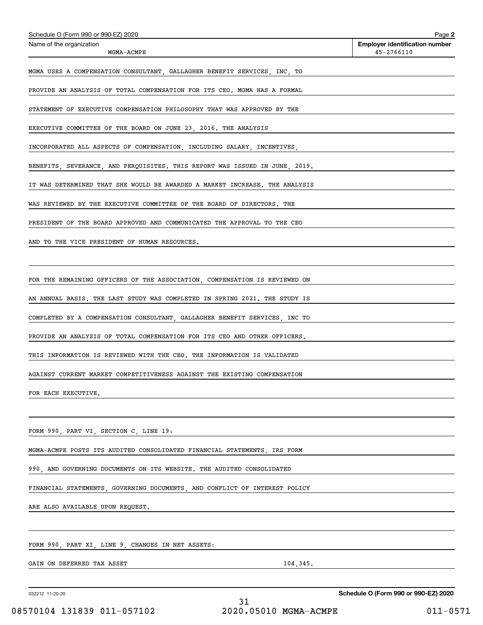| Schedule O (Form 990 or 990-EZ) 2020<br>Name of the organization            |                       | Page 2<br><b>Employer identification number</b> |
|-----------------------------------------------------------------------------|-----------------------|-------------------------------------------------|
| MGMA-ACMPE                                                                  |                       | 45-2766110                                      |
| MGMA USES A COMPENSATION CONSULTANT, GALLAGHER BENEFIT SERVICES, INC, TO    |                       |                                                 |
| PROVIDE AN ANALYSIS OF TOTAL COMPENSATION FOR ITS CEO. MGMA HAS A FORMAL    |                       |                                                 |
| STATEMENT OF EXECUTIVE COMPENSATION PHILOSOPHY THAT WAS APPROVED BY THE     |                       |                                                 |
| EXECUTIVE COMMITTEE OF THE BOARD ON JUNE 23, 2016. THE ANALYSIS             |                       |                                                 |
| INCORPORATED ALL ASPECTS OF COMPENSATION, INCLUDING SALARY, INCENTIVES,     |                       |                                                 |
| BENEFITS, SEVERANCE, AND PERQUISITES. THIS REPORT WAS ISSUED IN JUNE, 2019. |                       |                                                 |
| IT WAS DETERMINED THAT SHE WOULD BE AWARDED A MARKET INCREASE. THE ANALYSIS |                       |                                                 |
| WAS REVIEWED BY THE EXECUTIVE COMMITTEE OF THE BOARD OF DIRECTORS. THE      |                       |                                                 |
| PRESIDENT OF THE BOARD APPROVED AND COMMUNICATED THE APPROVAL TO THE CEO    |                       |                                                 |
| AND TO THE VICE PRESIDENT OF HUMAN RESOURCES.                               |                       |                                                 |
|                                                                             |                       |                                                 |
| FOR THE REMAINING OFFICERS OF THE ASSOCIATION, COMPENSATION IS REVIEWED ON  |                       |                                                 |
| AN ANNUAL BASIS. THE LAST STUDY WAS COMPLETED IN SPRING 2021. THE STUDY IS  |                       |                                                 |
| COMPLETED BY A COMPENSATION CONSULTANT, GALLAGHER BENEFIT SERVICES, INC TO  |                       |                                                 |
| PROVIDE AN ANALYSIS OF TOTAL COMPENSATION FOR ITS CEO AND OTHER OFFICERS.   |                       |                                                 |
| THIS INFORMATION IS REVIEWED WITH THE CEO. THE INFORMATION IS VALIDATED     |                       |                                                 |
| AGAINST CURRENT MARKET COMPETITIVENESS AGAINST THE EXISTING COMPENSATION    |                       |                                                 |
| FOR EACH EXECUTIVE.                                                         |                       |                                                 |
|                                                                             |                       |                                                 |
| FORM 990, PART VI, SECTION C, LINE 19:                                      |                       |                                                 |
| MGMA-ACMPE POSTS ITS AUDITED CONSOLIDATED FINANCIAL STATEMENTS, IRS FORM    |                       |                                                 |
| 990, AND GOVERNING DOCUMENTS ON ITS WEBSITE. THE AUDITED CONSOLIDATED       |                       |                                                 |
| FINANCIAL STATEMENTS, GOVERNING DOCUMENTS, AND CONFLICT OF INTEREST POLICY  |                       |                                                 |
| ARE ALSO AVAILABLE UPON REQUEST.                                            |                       |                                                 |
|                                                                             |                       |                                                 |
| FORM 990, PART XI, LINE 9, CHANGES IN NET ASSETS:                           |                       |                                                 |
| GAIN ON DEFERRED TAX ASSET                                                  | 104,345.              |                                                 |
|                                                                             |                       |                                                 |
| 032212 11-20-20                                                             | 31                    | Schedule O (Form 990 or 990-EZ) 2020            |
| 08570104 131839 011-057102                                                  | 2020.05010 MGMA-ACMPE | $011 - 0571$                                    |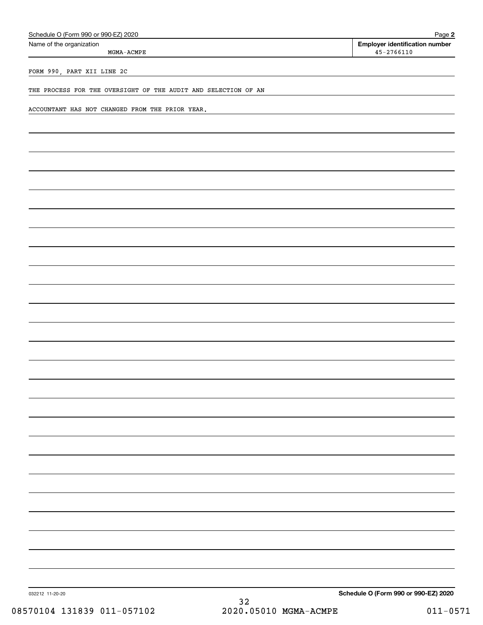| Schedule O (Form 990 or 990-EZ) 2020                           | Page 2                                                  |
|----------------------------------------------------------------|---------------------------------------------------------|
| Name of the organization<br>$MGMA-ACMPE$                       | <b>Employer identification number</b><br>$45 - 2766110$ |
| FORM 990, PART XII LINE 2C                                     |                                                         |
| THE PROCESS FOR THE OVERSIGHT OF THE AUDIT AND SELECTION OF AN |                                                         |
| ACCOUNTANT HAS NOT CHANGED FROM THE PRIOR YEAR.                |                                                         |
|                                                                |                                                         |
|                                                                |                                                         |
|                                                                |                                                         |
|                                                                |                                                         |
|                                                                |                                                         |
|                                                                |                                                         |
|                                                                |                                                         |
|                                                                |                                                         |
|                                                                |                                                         |
|                                                                |                                                         |
|                                                                |                                                         |
|                                                                |                                                         |
|                                                                |                                                         |
|                                                                |                                                         |
|                                                                |                                                         |
|                                                                |                                                         |
|                                                                |                                                         |
|                                                                |                                                         |
|                                                                |                                                         |
|                                                                |                                                         |
|                                                                |                                                         |
|                                                                |                                                         |
|                                                                |                                                         |
|                                                                |                                                         |
|                                                                |                                                         |
|                                                                |                                                         |
| 032212 11-20-20<br>32                                          | Schedule O (Form 990 or 990-EZ) 2020                    |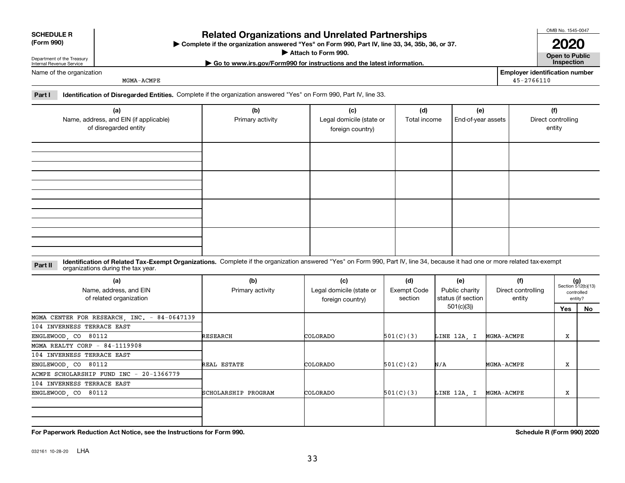|  | Paner<br>r۱ |
|--|-------------|

032161 10-28-20 LHA

# Department of the Treasury Internal Revenue Service

### Name of the organization

**SCHEDULE R (Form 990)**

MGMA-ACMPE

### **Part I Identification of Disregarded Entities.**  Complete if the organization answered "Yes" on Form 990, Part IV, line 33.

| (a)<br>Name, address, and EIN (if applicable)<br>of disregarded entity | (b)<br>Primary activity | (c)<br>Legal domicile (state or<br>foreign country) | (d)<br>Total income | (e)<br>End-of-year assets | (f)<br>Direct controlling<br>entity |
|------------------------------------------------------------------------|-------------------------|-----------------------------------------------------|---------------------|---------------------------|-------------------------------------|
|                                                                        |                         |                                                     |                     |                           |                                     |
|                                                                        |                         |                                                     |                     |                           |                                     |
|                                                                        |                         |                                                     |                     |                           |                                     |
|                                                                        |                         |                                                     |                     |                           |                                     |

### **Identification of Related Tax-Exempt Organizations.** Complete if the organization answered "Yes" on Form 990, Part IV, line 34, because it had one or more related tax-exempt **Part II** organizations during the tax year.

| (a)<br>Name, address, and EIN<br>of related organization | (b)<br>Primary activity | (c)<br>Legal domicile (state or<br>foreign country) | (d)<br>Exempt Code<br>section | (e)<br>Public charity<br>status (if section | (f)<br>Direct controlling<br>entity | $(g)$<br>Section 512(b)(13)<br>controlled<br>entity? |    |
|----------------------------------------------------------|-------------------------|-----------------------------------------------------|-------------------------------|---------------------------------------------|-------------------------------------|------------------------------------------------------|----|
|                                                          |                         |                                                     |                               | 501(c)(3))                                  |                                     | Yes                                                  | No |
| MGMA CENTER FOR RESEARCH, INC. - 84-0647139              |                         |                                                     |                               |                                             |                                     |                                                      |    |
| 104 INVERNESS TERRACE EAST                               |                         |                                                     |                               |                                             |                                     |                                                      |    |
| ENGLEWOOD, CO 80112                                      | RESEARCH                | COLORADO                                            | 501(C)(3)                     | LINE 12A, I                                 | MGMA-ACMPE                          | X                                                    |    |
| MGMA REALTY CORP - $84-1119908$                          |                         |                                                     |                               |                                             |                                     |                                                      |    |
| 104 INVERNESS TERRACE EAST                               |                         |                                                     |                               |                                             |                                     |                                                      |    |
| ENGLEWOOD, CO 80112                                      | REAL ESTATE             | COLORADO                                            | 501(C)(2)                     | N/A                                         | MGMA-ACMPE                          | x                                                    |    |
| ACMPE SCHOLARSHIP FUND INC - 20-1366779                  |                         |                                                     |                               |                                             |                                     |                                                      |    |
| 104 INVERNESS TERRACE EAST                               |                         |                                                     |                               |                                             |                                     |                                                      |    |
| ENGLEWOOD, CO 80112                                      | SCHOLARSHIP PROGRAM     | COLORADO                                            | 501(C)(3)                     | LINE 12A, I                                 | MGMA-ACMPE                          | X                                                    |    |
|                                                          |                         |                                                     |                               |                                             |                                     |                                                      |    |
|                                                          |                         |                                                     |                               |                                             |                                     |                                                      |    |

# **Related Organizations and Unrelated Partnerships**

**Complete if the organization answered "Yes" on Form 990, Part IV, line 33, 34, 35b, 36, or 37.** |

**Attach to Form 990.**  |

**Open to Public 2020**

**Employer identification number**

45-2766110

**For Paperwork Reduction Act Notice, see the Instructions for Form 990. Schedule R (Form 990) 2020**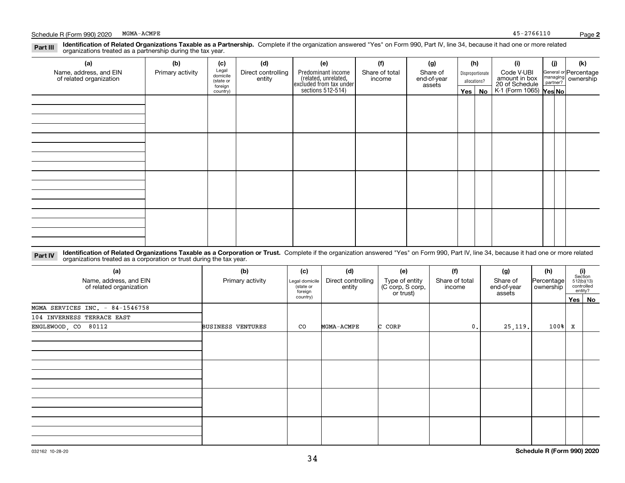### **Identification of Related Organizations Taxable as a Partnership.** Complete if the organization answered "Yes" on Form 990, Part IV, line 34, because it had one or more related **Part III** organizations treated as a partnership during the tax year.

| (a)                                               | (b)              | (c)                  | (d)                          | (e)                                                                 | (f)                      | (g)                     |              | (h)              | (i)                                                       | (j) | (k)                                                     |
|---------------------------------------------------|------------------|----------------------|------------------------------|---------------------------------------------------------------------|--------------------------|-------------------------|--------------|------------------|-----------------------------------------------------------|-----|---------------------------------------------------------|
| Name, address, and EIN<br>of related organization | Primary activity | Legal<br>domicile    | Direct controlling<br>entity | Predominant income                                                  | Share of total<br>income | Share of<br>end-of-year |              | Disproportionate | Code V-UBI                                                |     | General or Percentage<br>managing ownership<br>partner? |
|                                                   |                  | (state or<br>foreign |                              |                                                                     |                          | assets                  | allocations? |                  |                                                           |     |                                                         |
|                                                   |                  | country)             |                              | related, unrelated,<br>excluded from tax under<br>sections 512-514) |                          |                         | Yes $ $      | No               | amount in box<br>20 of Schedule<br>K-1 (Form 1065) Yes No |     |                                                         |
|                                                   |                  |                      |                              |                                                                     |                          |                         |              |                  |                                                           |     |                                                         |
|                                                   |                  |                      |                              |                                                                     |                          |                         |              |                  |                                                           |     |                                                         |
|                                                   |                  |                      |                              |                                                                     |                          |                         |              |                  |                                                           |     |                                                         |
|                                                   |                  |                      |                              |                                                                     |                          |                         |              |                  |                                                           |     |                                                         |
|                                                   |                  |                      |                              |                                                                     |                          |                         |              |                  |                                                           |     |                                                         |
|                                                   |                  |                      |                              |                                                                     |                          |                         |              |                  |                                                           |     |                                                         |
|                                                   |                  |                      |                              |                                                                     |                          |                         |              |                  |                                                           |     |                                                         |
|                                                   |                  |                      |                              |                                                                     |                          |                         |              |                  |                                                           |     |                                                         |
|                                                   |                  |                      |                              |                                                                     |                          |                         |              |                  |                                                           |     |                                                         |
|                                                   |                  |                      |                              |                                                                     |                          |                         |              |                  |                                                           |     |                                                         |
|                                                   |                  |                      |                              |                                                                     |                          |                         |              |                  |                                                           |     |                                                         |
|                                                   |                  |                      |                              |                                                                     |                          |                         |              |                  |                                                           |     |                                                         |
|                                                   |                  |                      |                              |                                                                     |                          |                         |              |                  |                                                           |     |                                                         |
|                                                   |                  |                      |                              |                                                                     |                          |                         |              |                  |                                                           |     |                                                         |
|                                                   |                  |                      |                              |                                                                     |                          |                         |              |                  |                                                           |     |                                                         |
|                                                   |                  |                      |                              |                                                                     |                          |                         |              |                  |                                                           |     |                                                         |
|                                                   |                  |                      |                              |                                                                     |                          |                         |              |                  |                                                           |     |                                                         |

**Identification of Related Organizations Taxable as a Corporation or Trust.** Complete if the organization answered "Yes" on Form 990, Part IV, line 34, because it had one or more related **Part IV** organizations treated as a corporation or trust during the tax year.

| (a)<br>Name, address, and EIN<br>of related organization | (b)<br>Primary activity  | (c)<br>Legal domicile<br>(state or<br>foreign | (d)<br>Direct controlling<br>entity | (e)<br>Type of entity<br>(C corp, S corp,<br>or trust) | (f)<br>Share of total<br>income | (g)<br>Share of<br>end-of-year<br>assets | (h)<br> Percentage <br>ownership |   | (i)<br>Section<br>512(b)(13)<br>controlled<br>entity? |
|----------------------------------------------------------|--------------------------|-----------------------------------------------|-------------------------------------|--------------------------------------------------------|---------------------------------|------------------------------------------|----------------------------------|---|-------------------------------------------------------|
|                                                          |                          | country)                                      |                                     |                                                        |                                 |                                          |                                  |   | Yes   No                                              |
| MGMA SERVICES INC. - 84-1546758                          |                          |                                               |                                     |                                                        |                                 |                                          |                                  |   |                                                       |
| 104 INVERNESS TERRACE EAST                               |                          |                                               |                                     |                                                        |                                 |                                          |                                  |   |                                                       |
| ENGLEWOOD, CO 80112                                      | <b>BUSINESS VENTURES</b> | CO                                            | MGMA-ACMPE                          | C CORP                                                 | 0.                              | 25,119.                                  | 100%                             | X |                                                       |
|                                                          |                          |                                               |                                     |                                                        |                                 |                                          |                                  |   |                                                       |
|                                                          |                          |                                               |                                     |                                                        |                                 |                                          |                                  |   |                                                       |
|                                                          |                          |                                               |                                     |                                                        |                                 |                                          |                                  |   |                                                       |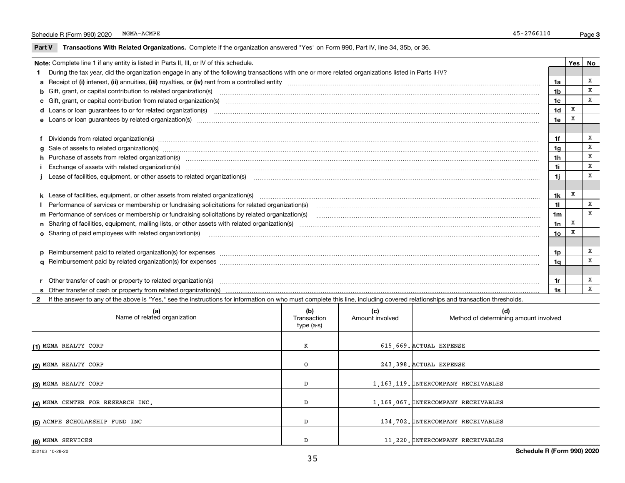### Schedule R (Form 990) 2020 MGMA-ACMPE 45-2766110 MGMA-ACMPE

 $\overline{\phantom{a}}$ 

**Part V** T**ransactions With Related Organizations.** Complete if the organization answered "Yes" on Form 990, Part IV, line 34, 35b, or 36.

| Note: Complete line 1 if any entity is listed in Parts II, III, or IV of this schedule. |                                                                                                                                                                                                                                |                 |   |   |  |
|-----------------------------------------------------------------------------------------|--------------------------------------------------------------------------------------------------------------------------------------------------------------------------------------------------------------------------------|-----------------|---|---|--|
|                                                                                         | During the tax year, did the organization engage in any of the following transactions with one or more related organizations listed in Parts II-IV?                                                                            |                 |   |   |  |
|                                                                                         |                                                                                                                                                                                                                                | 1a              |   | X |  |
|                                                                                         | <b>b</b> Gift, grant, or capital contribution to related organization(s)                                                                                                                                                       | 1b              |   | X |  |
|                                                                                         | c Gift, grant, or capital contribution from related organization(s)                                                                                                                                                            | 1c              |   | x |  |
|                                                                                         | <b>d</b> Loans or loan quarantees to or for related organization(s)                                                                                                                                                            | 1 <sub>d</sub>  | X |   |  |
|                                                                                         |                                                                                                                                                                                                                                | 1e              | x |   |  |
|                                                                                         |                                                                                                                                                                                                                                |                 |   |   |  |
|                                                                                         | f Dividends from related organization(s) material contracts and contracts are contracted as a contract of the contract of the contract of the contract of the contract of the contract of the contract of the contract of the  | 1f              |   | X |  |
|                                                                                         |                                                                                                                                                                                                                                | 1 <sub>g</sub>  |   | X |  |
|                                                                                         | h Purchase of assets from related organization(s) www.assettion.com/www.assettion.com/www.assettion.com/www.assettion.com/www.assettion.com/www.assettion.com/www.assettion.com/www.assettion.com/www.assettion.com/www.assett | 1h              |   | X |  |
|                                                                                         | Exchange of assets with related organization(s) encontraction and contact and contact and contact and contact and contact and contact and contact and contact and contact and contact and contact and contact and contact and  | 1i              |   | X |  |
|                                                                                         |                                                                                                                                                                                                                                | 1i              |   | X |  |
|                                                                                         |                                                                                                                                                                                                                                |                 |   |   |  |
|                                                                                         |                                                                                                                                                                                                                                | 1k              | X |   |  |
|                                                                                         | Performance of services or membership or fundraising solicitations for related organization(s)                                                                                                                                 | 11              |   | x |  |
|                                                                                         | m Performance of services or membership or fundraising solicitations by related organization(s)                                                                                                                                | 1m              |   | X |  |
|                                                                                         |                                                                                                                                                                                                                                | 1n              | x |   |  |
|                                                                                         | o Sharing of paid employees with related organization(s) manufactured and content to the content of the content of the content of the content of the content of the content of the content of the content of the content of th | 10 <sub>o</sub> | x |   |  |
|                                                                                         |                                                                                                                                                                                                                                |                 |   |   |  |
|                                                                                         | p Reimbursement paid to related organization(s) for expenses [111] All and the content of the content of the content of the content of the content of the content of the content of the content of the content of the content  | 1p              |   | х |  |
|                                                                                         |                                                                                                                                                                                                                                | 1a              |   | X |  |
|                                                                                         |                                                                                                                                                                                                                                |                 |   |   |  |
|                                                                                         | r Other transfer of cash or property to related organization(s)                                                                                                                                                                | 1r              |   | Х |  |
|                                                                                         |                                                                                                                                                                                                                                | 1s              |   | X |  |

**2**If the answer to any of the above is "Yes," see the instructions for information on who must complete this line, including covered relationships and transaction thresholds.

| (a)<br>Name of related organization | (b)<br>Transaction<br>type (a-s) | (c)<br>Amount involved | (d)<br>Method of determining amount involved     |
|-------------------------------------|----------------------------------|------------------------|--------------------------------------------------|
| (1) MGMA REALTY CORP                | к                                |                        | 615.669. ACTUAL EXPENSE                          |
| (2) MGMA REALTY CORP                | 0                                |                        | 243, 398. ACTUAL EXPENSE                         |
| (3) MGMA REALTY CORP                | D                                |                        | 1, 163, 119. INTERCOMPANY RECEIVABLES            |
| (4) MGMA CENTER FOR RESEARCH INC.   | D                                |                        | 1, 169, 067. INTERCOMPANY RECEIVABLES            |
| (5) ACMPE SCHOLARSHIP FUND INC      | D                                |                        | 134, 702. INTERCOMPANY RECEIVABLES               |
| (6) MGMA SERVICES                   | D                                |                        | 11, 220. INTERCOMPANY RECEIVABLES<br>- - - - - - |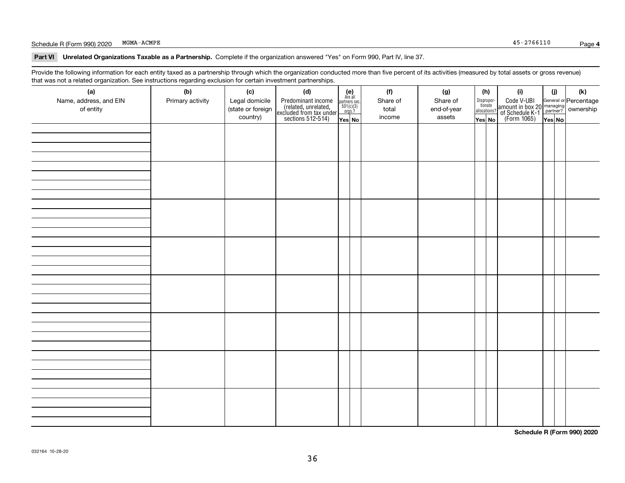### Schedule R (Form 990) 2020 Page MGMA-ACMPE

**Part VI Unrelated Organizations Taxable as a Partnership. Complete if the organization answered "Yes" on Form 990, Part IV, line 37.** 

Provide the following information for each entity taxed as a partnership through which the organization conducted more than five percent of its activities (measured by total assets or gross revenue) that was not a related organization. See instructions regarding exclusion for certain investment partnerships.

| (a)                    | .<br>(b)         | (c)               | <br><br>(d)                                                                                |                                                                                                                  |  | (f)      | (g)         | (h)                   | (i)                                                                                          | (i)    | $(\mathsf{k})$ |
|------------------------|------------------|-------------------|--------------------------------------------------------------------------------------------|------------------------------------------------------------------------------------------------------------------|--|----------|-------------|-----------------------|----------------------------------------------------------------------------------------------|--------|----------------|
| Name, address, and EIN | Primary activity | Legal domicile    |                                                                                            |                                                                                                                  |  | Share of | Share of    | Dispropor-<br>tionate |                                                                                              |        |                |
| of entity              |                  | (state or foreign | Predominant income<br>(related, unrelated,<br>excluded from tax under<br>sections 512-514) | $\begin{array}{c} \textbf{(e)}\\ \text{Are all} \\ \text{partners sec.}\\ 501(c)(3)\\ \text{orgs.?} \end{array}$ |  | total    | end-of-year | allocations?          | Code V-UBI<br>amount in box 20 managing<br>of Schedule K-1 partner?<br>(Form 1065)<br>ves No |        |                |
|                        |                  | country)          |                                                                                            | Yes No                                                                                                           |  | income   | assets      | Yes No                |                                                                                              | Yes No |                |
|                        |                  |                   |                                                                                            |                                                                                                                  |  |          |             |                       |                                                                                              |        |                |
|                        |                  |                   |                                                                                            |                                                                                                                  |  |          |             |                       |                                                                                              |        |                |
|                        |                  |                   |                                                                                            |                                                                                                                  |  |          |             |                       |                                                                                              |        |                |
|                        |                  |                   |                                                                                            |                                                                                                                  |  |          |             |                       |                                                                                              |        |                |
|                        |                  |                   |                                                                                            |                                                                                                                  |  |          |             |                       |                                                                                              |        |                |
|                        |                  |                   |                                                                                            |                                                                                                                  |  |          |             |                       |                                                                                              |        |                |
|                        |                  |                   |                                                                                            |                                                                                                                  |  |          |             |                       |                                                                                              |        |                |
|                        |                  |                   |                                                                                            |                                                                                                                  |  |          |             |                       |                                                                                              |        |                |
|                        |                  |                   |                                                                                            |                                                                                                                  |  |          |             |                       |                                                                                              |        |                |
|                        |                  |                   |                                                                                            |                                                                                                                  |  |          |             |                       |                                                                                              |        |                |
|                        |                  |                   |                                                                                            |                                                                                                                  |  |          |             |                       |                                                                                              |        |                |
|                        |                  |                   |                                                                                            |                                                                                                                  |  |          |             |                       |                                                                                              |        |                |
|                        |                  |                   |                                                                                            |                                                                                                                  |  |          |             |                       |                                                                                              |        |                |
|                        |                  |                   |                                                                                            |                                                                                                                  |  |          |             |                       |                                                                                              |        |                |
|                        |                  |                   |                                                                                            |                                                                                                                  |  |          |             |                       |                                                                                              |        |                |
|                        |                  |                   |                                                                                            |                                                                                                                  |  |          |             |                       |                                                                                              |        |                |
|                        |                  |                   |                                                                                            |                                                                                                                  |  |          |             |                       |                                                                                              |        |                |
|                        |                  |                   |                                                                                            |                                                                                                                  |  |          |             |                       |                                                                                              |        |                |
|                        |                  |                   |                                                                                            |                                                                                                                  |  |          |             |                       |                                                                                              |        |                |
|                        |                  |                   |                                                                                            |                                                                                                                  |  |          |             |                       |                                                                                              |        |                |
|                        |                  |                   |                                                                                            |                                                                                                                  |  |          |             |                       |                                                                                              |        |                |
|                        |                  |                   |                                                                                            |                                                                                                                  |  |          |             |                       |                                                                                              |        |                |
|                        |                  |                   |                                                                                            |                                                                                                                  |  |          |             |                       |                                                                                              |        |                |
|                        |                  |                   |                                                                                            |                                                                                                                  |  |          |             |                       |                                                                                              |        |                |
|                        |                  |                   |                                                                                            |                                                                                                                  |  |          |             |                       |                                                                                              |        |                |
|                        |                  |                   |                                                                                            |                                                                                                                  |  |          |             |                       |                                                                                              |        |                |
|                        |                  |                   |                                                                                            |                                                                                                                  |  |          |             |                       |                                                                                              |        |                |
|                        |                  |                   |                                                                                            |                                                                                                                  |  |          |             |                       |                                                                                              |        |                |
|                        |                  |                   |                                                                                            |                                                                                                                  |  |          |             |                       |                                                                                              |        |                |
|                        |                  |                   |                                                                                            |                                                                                                                  |  |          |             |                       |                                                                                              |        |                |
|                        |                  |                   |                                                                                            |                                                                                                                  |  |          |             |                       |                                                                                              |        |                |
|                        |                  |                   |                                                                                            |                                                                                                                  |  |          |             |                       |                                                                                              |        |                |

**Schedule R (Form 990) 2020**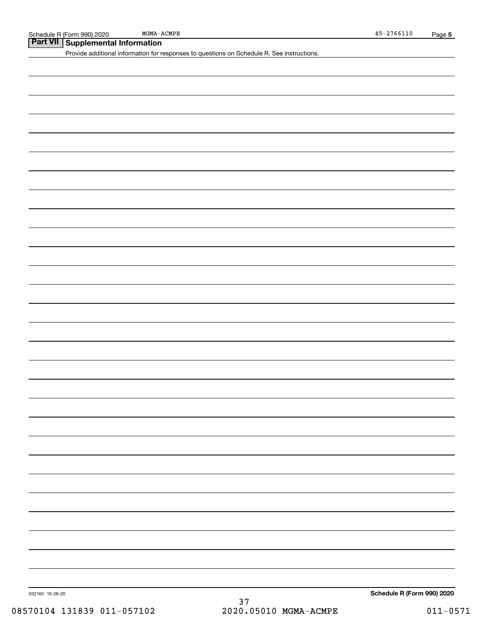## **Part VII Supplemental Information**

Provide additional information for responses to questions on Schedule R. See instructions.

032165 10-28-20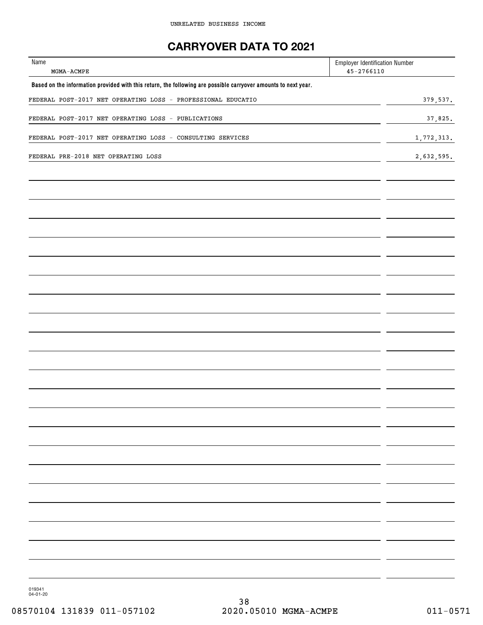## **CARRYOVER DATA TO 2021**

| Name<br>$MGMA-ACMPE$                                                                                           | <b>Employer Identification Number</b><br>$45 - 2766110$ |            |
|----------------------------------------------------------------------------------------------------------------|---------------------------------------------------------|------------|
| Based on the information provided with this return, the following are possible carryover amounts to next year. |                                                         |            |
| FEDERAL POST-2017 NET OPERATING LOSS - PROFESSIONAL EDUCATIO                                                   |                                                         | 379,537.   |
| FEDERAL POST-2017 NET OPERATING LOSS - PUBLICATIONS                                                            |                                                         | 37,825.    |
| FEDERAL POST-2017 NET OPERATING LOSS - CONSULTING SERVICES                                                     |                                                         | 1,772,313. |
| FEDERAL PRE-2018 NET OPERATING LOSS                                                                            |                                                         | 2,632,595. |
|                                                                                                                |                                                         |            |
|                                                                                                                |                                                         |            |
|                                                                                                                |                                                         |            |
|                                                                                                                |                                                         |            |
|                                                                                                                |                                                         |            |
|                                                                                                                |                                                         |            |
|                                                                                                                |                                                         |            |
|                                                                                                                |                                                         |            |
|                                                                                                                |                                                         |            |
|                                                                                                                |                                                         |            |
|                                                                                                                |                                                         |            |
|                                                                                                                |                                                         |            |
|                                                                                                                |                                                         |            |
|                                                                                                                |                                                         |            |
|                                                                                                                |                                                         |            |
|                                                                                                                |                                                         |            |
|                                                                                                                |                                                         |            |
|                                                                                                                |                                                         |            |
|                                                                                                                |                                                         |            |
|                                                                                                                |                                                         |            |
|                                                                                                                |                                                         |            |
|                                                                                                                |                                                         |            |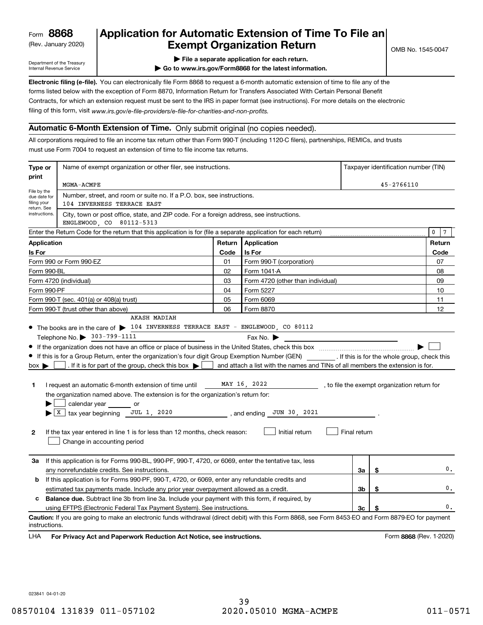(Rev. January 2020)

## **Application for Automatic Extension of Time To File an Exempt Organization Return**

Department of the Treasury Internal Revenue Service

**| File a separate application for each return.**

**| Go to www.irs.gov/Form8868 for the latest information.**

**Electronic filing (e-file).**  You can electronically file Form 8868 to request a 6-month automatic extension of time to file any of the filing of this form, visit www.irs.gov/e-file-providers/e-file-for-charities-and-non-profits. forms listed below with the exception of Form 8870, Information Return for Transfers Associated With Certain Personal Benefit Contracts, for which an extension request must be sent to the IRS in paper format (see instructions). For more details on the electronic

### **Automatic 6-Month Extension of Time.** Only submit original (no copies needed).

All corporations required to file an income tax return other than Form 990-T (including 1120-C filers), partnerships, REMICs, and trusts must use Form 7004 to request an extension of time to file income tax returns.

| Type or                                                                              | Name of exempt organization or other filer, see instructions.                                                                                                       | Taxpayer identification number (TIN) |                                                                                |              |    |                                              |  |  |  |
|--------------------------------------------------------------------------------------|---------------------------------------------------------------------------------------------------------------------------------------------------------------------|--------------------------------------|--------------------------------------------------------------------------------|--------------|----|----------------------------------------------|--|--|--|
| print                                                                                | MGMA-ACMPE                                                                                                                                                          | 45-2766110                           |                                                                                |              |    |                                              |  |  |  |
| File by the<br>due date for<br>filing your                                           | Number, street, and room or suite no. If a P.O. box, see instructions.<br>104 INVERNESS TERRACE EAST                                                                |                                      |                                                                                |              |    |                                              |  |  |  |
|                                                                                      | return. See<br>instructions.<br>City, town or post office, state, and ZIP code. For a foreign address, see instructions.<br>ENGLEWOOD, CO 80112-5313                |                                      |                                                                                |              |    |                                              |  |  |  |
|                                                                                      | Enter the Return Code for the return that this application is for (file a separate application for each return)                                                     |                                      |                                                                                |              |    | 0<br>7                                       |  |  |  |
| <b>Application</b>                                                                   |                                                                                                                                                                     | Return                               | <b>Application</b>                                                             |              |    | Return                                       |  |  |  |
| Is For                                                                               |                                                                                                                                                                     | Code                                 | Is For                                                                         |              |    | Code                                         |  |  |  |
|                                                                                      | Form 990 or Form 990-EZ                                                                                                                                             | 01                                   | Form 990-T (corporation)                                                       |              |    | 07                                           |  |  |  |
| Form 990-BL                                                                          |                                                                                                                                                                     | 02                                   | Form 1041-A                                                                    |              |    | 08                                           |  |  |  |
|                                                                                      | Form 4720 (individual)                                                                                                                                              | 03                                   | Form 4720 (other than individual)                                              |              |    | 09                                           |  |  |  |
| Form 990-PF                                                                          |                                                                                                                                                                     | 04                                   | Form 5227                                                                      |              |    | 10                                           |  |  |  |
|                                                                                      | Form 990-T (sec. 401(a) or 408(a) trust)                                                                                                                            | 05                                   | Form 6069                                                                      |              |    | 11                                           |  |  |  |
|                                                                                      | Form 990-T (trust other than above)                                                                                                                                 | 06                                   | Form 8870                                                                      |              |    | 12                                           |  |  |  |
|                                                                                      | <b>AKASH MADIAH</b>                                                                                                                                                 |                                      |                                                                                |              |    |                                              |  |  |  |
|                                                                                      | • The books are in the care of > 104 INVERNESS TERRACE EAST - ENGLEWOOD, CO 80112                                                                                   |                                      |                                                                                |              |    |                                              |  |  |  |
|                                                                                      | Telephone No. > 303-799-1111                                                                                                                                        |                                      | Fax No. $\blacktriangleright$                                                  |              |    |                                              |  |  |  |
|                                                                                      |                                                                                                                                                                     |                                      |                                                                                |              |    |                                              |  |  |  |
|                                                                                      | If this is for a Group Return, enter the organization's four digit Group Exemption Number (GEN) [If this is for the whole group, check this                         |                                      |                                                                                |              |    |                                              |  |  |  |
| $box \blacktriangleright$                                                            | . If it is for part of the group, check this box $\blacktriangleright$                                                                                              |                                      | and attach a list with the names and TINs of all members the extension is for. |              |    |                                              |  |  |  |
|                                                                                      |                                                                                                                                                                     |                                      |                                                                                |              |    |                                              |  |  |  |
| 1                                                                                    | I request an automatic 6-month extension of time until                                                                                                              |                                      | MAY 16, 2022                                                                   |              |    | , to file the exempt organization return for |  |  |  |
|                                                                                      | the organization named above. The extension is for the organization's return for:                                                                                   |                                      |                                                                                |              |    |                                              |  |  |  |
|                                                                                      | calendar year or                                                                                                                                                    |                                      |                                                                                |              |    |                                              |  |  |  |
|                                                                                      | $X$ tax year beginning JUL 1, 2020                                                                                                                                  |                                      | , and ending JUN 30, 2021                                                      |              |    |                                              |  |  |  |
|                                                                                      |                                                                                                                                                                     |                                      |                                                                                |              |    |                                              |  |  |  |
| $\mathbf{2}$                                                                         | If the tax year entered in line 1 is for less than 12 months, check reason:                                                                                         |                                      | Initial return                                                                 | Final return |    |                                              |  |  |  |
|                                                                                      | Change in accounting period                                                                                                                                         |                                      |                                                                                |              |    |                                              |  |  |  |
|                                                                                      |                                                                                                                                                                     |                                      |                                                                                |              |    |                                              |  |  |  |
| За                                                                                   | If this application is for Forms 990-BL, 990-PF, 990-T, 4720, or 6069, enter the tentative tax, less                                                                |                                      |                                                                                |              |    |                                              |  |  |  |
|                                                                                      | any nonrefundable credits. See instructions.                                                                                                                        |                                      |                                                                                | За           | \$ | $\mathbf{0}$ .                               |  |  |  |
| b                                                                                    | If this application is for Forms 990-PF, 990-T, 4720, or 6069, enter any refundable credits and                                                                     |                                      |                                                                                |              |    |                                              |  |  |  |
| estimated tax payments made. Include any prior year overpayment allowed as a credit. |                                                                                                                                                                     |                                      |                                                                                | Зb           | \$ | $\mathbf{0}$ .                               |  |  |  |
| c                                                                                    | <b>Balance due.</b> Subtract line 3b from line 3a. Include your payment with this form, if required, by                                                             |                                      |                                                                                |              |    |                                              |  |  |  |
|                                                                                      | using EFTPS (Electronic Federal Tax Payment System). See instructions.                                                                                              |                                      |                                                                                | Зс           |    | 0.                                           |  |  |  |
|                                                                                      | Caution: If you are going to make an electronic funds withdrawal (direct debit) with this Form 8868, see Form 8453-EO and Form 8879-EO for payment<br>instructions. |                                      |                                                                                |              |    |                                              |  |  |  |
|                                                                                      |                                                                                                                                                                     |                                      |                                                                                |              |    |                                              |  |  |  |

**HA** For Privacy Act and Paperwork Reduction Act Notice, see instructions. **But a struction of the Constantion Constant** Form 8868 (Rev. 1-2020) LHA

023841 04-01-20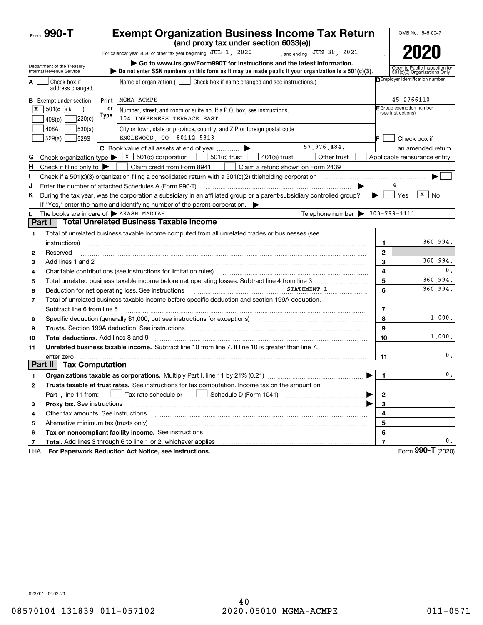|                          | Form 990-T                                             |            | <b>Exempt Organization Business Income Tax Return</b><br>(and proxy tax under section 6033(e))                                                                                                                                                                                                                                                                                                                                                                                                           |                | OMB No. 1545-0047                                             |
|--------------------------|--------------------------------------------------------|------------|----------------------------------------------------------------------------------------------------------------------------------------------------------------------------------------------------------------------------------------------------------------------------------------------------------------------------------------------------------------------------------------------------------------------------------------------------------------------------------------------------------|----------------|---------------------------------------------------------------|
|                          |                                                        |            | For calendar year 2020 or other tax year beginning JUL 1, 2020<br>$\frac{1}{2}$ , and ending JUN 30, 2021                                                                                                                                                                                                                                                                                                                                                                                                |                | 2020                                                          |
|                          | Department of the Treasury<br>Internal Revenue Service |            | Go to www.irs.gov/Form990T for instructions and the latest information.<br>bo not enter SSN numbers on this form as it may be made public if your organization is a $501(c)(3)$ .                                                                                                                                                                                                                                                                                                                        |                | Open to Public Inspection for<br>501(c)(3) Organizations Only |
|                          | Check box if<br>address changed.                       |            | Name of organization $($<br>Check box if name changed and see instructions.)                                                                                                                                                                                                                                                                                                                                                                                                                             |                | DEmployer identification number                               |
|                          | <b>B</b> Exempt under section                          | Print      | MGMA-ACMPE                                                                                                                                                                                                                                                                                                                                                                                                                                                                                               |                | 45-2766110                                                    |
|                          | $\sqrt{X}$ 501(c)(6<br>220(e)<br>408(e)                | 0ľ<br>Type | Number, street, and room or suite no. If a P.O. box, see instructions.<br>104 INVERNESS TERRACE EAST                                                                                                                                                                                                                                                                                                                                                                                                     |                | F Group exemption number<br>(see instructions)                |
|                          | 408A<br>530(a)<br>529(a)<br><b>529S</b>                |            | City or town, state or province, country, and ZIP or foreign postal code<br>ENGLEWOOD, CO 80112-5313                                                                                                                                                                                                                                                                                                                                                                                                     | F.             | Check box if                                                  |
|                          |                                                        |            | 57,976,484.<br>C Book value of all assets at end of year                                                                                                                                                                                                                                                                                                                                                                                                                                                 |                | an amended return.                                            |
| G                        | Check organization type $\blacktriangleright$          |            | $\boxed{\textbf{x}}$ 501(c) corporation<br>$501(c)$ trust<br>$401(a)$ trust<br>Other trust                                                                                                                                                                                                                                                                                                                                                                                                               |                | Applicable reinsurance entity                                 |
| н                        | Check if filing only to $\blacktriangleright$          |            | Claim credit from Form 8941<br>Claim a refund shown on Form 2439                                                                                                                                                                                                                                                                                                                                                                                                                                         |                |                                                               |
|                          |                                                        |            | Check if a 501(c)(3) organization filing a consolidated return with a 501(c)(2) titleholding corporation                                                                                                                                                                                                                                                                                                                                                                                                 |                |                                                               |
| J                        |                                                        |            | Enter the number of attached Schedules A (Form 990-T)                                                                                                                                                                                                                                                                                                                                                                                                                                                    |                | 4                                                             |
| Κ                        |                                                        |            | During the tax year, was the corporation a subsidiary in an affiliated group or a parent-subsidiary controlled group?<br>If "Yes," enter the name and identifying number of the parent corporation.                                                                                                                                                                                                                                                                                                      | ▶              | $\sqrt{X}$ No<br>Yes                                          |
|                          | The books are in care of AKASH MADIAH                  |            | Telephone number $\blacktriangleright$                                                                                                                                                                                                                                                                                                                                                                                                                                                                   |                | $303 - 799 - 1111$                                            |
| Part I                   |                                                        |            | <b>Total Unrelated Business Taxable Income</b>                                                                                                                                                                                                                                                                                                                                                                                                                                                           |                |                                                               |
| 1                        |                                                        |            | Total of unrelated business taxable income computed from all unrelated trades or businesses (see                                                                                                                                                                                                                                                                                                                                                                                                         |                |                                                               |
|                          | instructions)                                          |            |                                                                                                                                                                                                                                                                                                                                                                                                                                                                                                          | 1              | 360,994.                                                      |
| 2                        | Reserved                                               |            |                                                                                                                                                                                                                                                                                                                                                                                                                                                                                                          | $\mathbf{2}$   |                                                               |
| з                        | Add lines 1 and 2                                      |            |                                                                                                                                                                                                                                                                                                                                                                                                                                                                                                          | 3              | 360,994.                                                      |
| 4                        |                                                        |            | Charitable contributions (see instructions for limitation rules)                                                                                                                                                                                                                                                                                                                                                                                                                                         | 4              | 0.                                                            |
| 5                        |                                                        |            | Total unrelated business taxable income before net operating losses. Subtract line 4 from line 3                                                                                                                                                                                                                                                                                                                                                                                                         | 5              | 360,994.                                                      |
| 6                        |                                                        |            | STATEMENT 1<br>Deduction for net operating loss. See instructions                                                                                                                                                                                                                                                                                                                                                                                                                                        | 6              | 360,994.                                                      |
| $\overline{\phantom{a}}$ |                                                        |            | Total of unrelated business taxable income before specific deduction and section 199A deduction.                                                                                                                                                                                                                                                                                                                                                                                                         |                |                                                               |
|                          | Subtract line 6 from line 5                            |            |                                                                                                                                                                                                                                                                                                                                                                                                                                                                                                          | 7              |                                                               |
| 8                        |                                                        |            | Specific deduction (generally \$1,000, but see instructions for exceptions) manufactured contains an exception of                                                                                                                                                                                                                                                                                                                                                                                        | 8              | 1,000.                                                        |
| 9                        |                                                        |            | <b>Trusts.</b> Section 199A deduction. See instructions<br>$\begin{minipage}{0.5\textwidth} \begin{tabular}{ l l l } \hline & \multicolumn{1}{ l l } \hline & \multicolumn{1}{ l } \multicolumn{1}{ l } \hline \multicolumn{1}{ l } \multicolumn{1}{ l } \multicolumn{1}{ l } \multicolumn{1}{ l } \multicolumn{1}{ l } \multicolumn{1}{ l } \multicolumn{1}{ l } \multicolumn{1}{ l } \multicolumn{1}{ l } \multicolumn{1}{ l } \multicolumn{1}{ l } \multicolumn{1}{ l } \multicolumn{1}{ l } \multic$ | 9              |                                                               |
| 10                       | Total deductions. Add lines 8 and 9                    |            |                                                                                                                                                                                                                                                                                                                                                                                                                                                                                                          | 10             | 1,000.                                                        |
| 11                       |                                                        |            | Unrelated business taxable income. Subtract line 10 from line 7. If line 10 is greater than line 7,                                                                                                                                                                                                                                                                                                                                                                                                      |                |                                                               |
|                          | enter zero                                             |            |                                                                                                                                                                                                                                                                                                                                                                                                                                                                                                          | 11             | 0.                                                            |
| Part II                  | <b>Tax Computation</b>                                 |            |                                                                                                                                                                                                                                                                                                                                                                                                                                                                                                          |                |                                                               |
|                          |                                                        |            |                                                                                                                                                                                                                                                                                                                                                                                                                                                                                                          | 1.             | 0.                                                            |
| 2                        |                                                        |            | Trusts taxable at trust rates. See instructions for tax computation. Income tax on the amount on                                                                                                                                                                                                                                                                                                                                                                                                         |                |                                                               |
|                          | Part I, line 11 from:                                  |            | Tax rate schedule or<br>▶                                                                                                                                                                                                                                                                                                                                                                                                                                                                                | $\overline{2}$ |                                                               |
| з                        | Proxy tax. See instructions                            |            |                                                                                                                                                                                                                                                                                                                                                                                                                                                                                                          | 3              |                                                               |
| 4                        | Other tax amounts. See instructions                    |            |                                                                                                                                                                                                                                                                                                                                                                                                                                                                                                          | 4              |                                                               |
| 5                        | Alternative minimum tax (trusts only)                  |            |                                                                                                                                                                                                                                                                                                                                                                                                                                                                                                          | 5              |                                                               |
| 6                        |                                                        |            | Tax on noncompliant facility income. See instructions                                                                                                                                                                                                                                                                                                                                                                                                                                                    | 6              |                                                               |
| $\overline{7}$           |                                                        |            | Total. Add lines 3 through 6 to line 1 or 2, whichever applies                                                                                                                                                                                                                                                                                                                                                                                                                                           | $\overline{7}$ | 0.                                                            |
| LHA                      |                                                        |            | For Paperwork Reduction Act Notice, see instructions.                                                                                                                                                                                                                                                                                                                                                                                                                                                    |                | Form 990-T (2020)                                             |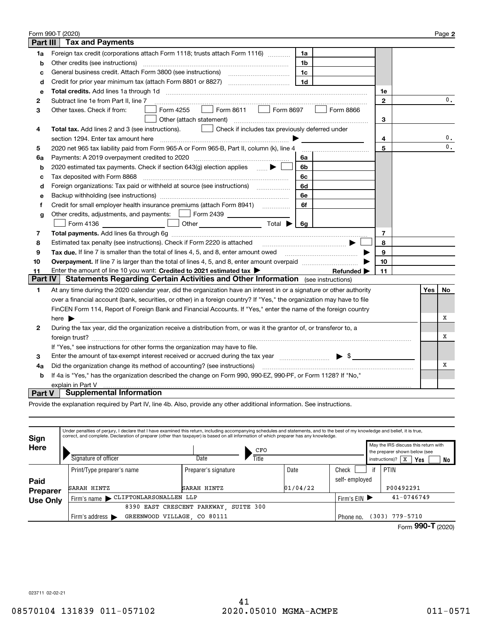|                                                                                                                                                | Form 990-T (2020)                                                                                                            |              |     | Page 2         |  |  |
|------------------------------------------------------------------------------------------------------------------------------------------------|------------------------------------------------------------------------------------------------------------------------------|--------------|-----|----------------|--|--|
| Part III                                                                                                                                       | <b>Tax and Payments</b>                                                                                                      |              |     |                |  |  |
| 1a                                                                                                                                             | Foreign tax credit (corporations attach Form 1118; trusts attach Form 1116)<br>1a                                            |              |     |                |  |  |
| b                                                                                                                                              | Other credits (see instructions)<br>1 <sub>b</sub>                                                                           |              |     |                |  |  |
| с                                                                                                                                              | 1c                                                                                                                           |              |     |                |  |  |
| d                                                                                                                                              | 1 <sub>d</sub>                                                                                                               |              |     |                |  |  |
| е                                                                                                                                              |                                                                                                                              | 1e           |     |                |  |  |
| 2                                                                                                                                              | Subtract line 1e from Part II, line 7                                                                                        | $\mathbf{2}$ |     | 0.             |  |  |
| 3                                                                                                                                              | Form 8611 $\Box$ Form 8697<br>Form 4255<br>Form 8866<br>Other taxes. Check if from:                                          |              |     |                |  |  |
|                                                                                                                                                | Other (attach statement)                                                                                                     | 3            |     |                |  |  |
| 4                                                                                                                                              | Total tax. Add lines 2 and 3 (see instructions).<br>$\Box$ Check if includes tax previously deferred under                   |              |     |                |  |  |
|                                                                                                                                                | section 1294. Enter tax amount here                                                                                          | 4            |     | 0.             |  |  |
| 5                                                                                                                                              | 2020 net 965 tax liability paid from Form 965-A or Form 965-B, Part II, column (k), line 4                                   | 5            |     | 0.             |  |  |
| 6a                                                                                                                                             | Payments: A 2019 overpayment credited to 2020 [11] [11] maximum materials: A 2019 overpayment credited to 2020<br>6a         |              |     |                |  |  |
| b                                                                                                                                              | 2020 estimated tax payments. Check if section 643(g) election applies $\qquad \qquad \bullet$<br>6b                          |              |     |                |  |  |
| с                                                                                                                                              | Tax deposited with Form 8868<br>6с                                                                                           |              |     |                |  |  |
| d                                                                                                                                              | Foreign organizations: Tax paid or withheld at source (see instructions) [<br>6d                                             |              |     |                |  |  |
| е                                                                                                                                              | 6e                                                                                                                           |              |     |                |  |  |
| f                                                                                                                                              | Credit for small employer health insurance premiums (attach Form 8941)<br>6f                                                 |              |     |                |  |  |
| g                                                                                                                                              | Other credits, adjustments, and payments:   Form 2439                                                                        |              |     |                |  |  |
|                                                                                                                                                | ■ Form 4136 _________________ □ Other ________________________ Total ▶ [<br>6q                                               |              |     |                |  |  |
| 7                                                                                                                                              |                                                                                                                              | 7            |     |                |  |  |
| 8                                                                                                                                              | Estimated tax penalty (see instructions). Check if Form 2220 is attached                                                     | 8            |     |                |  |  |
| 9                                                                                                                                              | <b>Tax due.</b> If line 7 is smaller than the total of lines 4, 5, and 8, enter amount owed                                  | 9            |     |                |  |  |
| 10                                                                                                                                             |                                                                                                                              | 10           |     |                |  |  |
| 11                                                                                                                                             | Enter the amount of line 10 you want: Credited to 2021 estimated tax $\blacktriangleright$<br>Refunded $\blacktriangleright$ | 11           |     |                |  |  |
| Part IV                                                                                                                                        | Statements Regarding Certain Activities and Other Information (see instructions)                                             |              |     |                |  |  |
| 1                                                                                                                                              | At any time during the 2020 calendar year, did the organization have an interest in or a signature or other authority        |              | Yes | N <sub>0</sub> |  |  |
|                                                                                                                                                | over a financial account (bank, securities, or other) in a foreign country? If "Yes," the organization may have to file      |              |     |                |  |  |
|                                                                                                                                                | FinCEN Form 114, Report of Foreign Bank and Financial Accounts. If "Yes," enter the name of the foreign country              |              |     |                |  |  |
|                                                                                                                                                | here $\blacktriangleright$                                                                                                   |              |     | х              |  |  |
| $\mathbf{2}$                                                                                                                                   | During the tax year, did the organization receive a distribution from, or was it the grantor of, or transferor to, a         |              |     |                |  |  |
|                                                                                                                                                |                                                                                                                              |              |     |                |  |  |
| If "Yes," see instructions for other forms the organization may have to file.                                                                  |                                                                                                                              |              |     |                |  |  |
| $\blacktriangleright$ \$<br>Enter the amount of tax-exempt interest received or accrued during the tax year [111][11][11][11][11][11][11]<br>3 |                                                                                                                              |              |     |                |  |  |
| 4a                                                                                                                                             | Did the organization change its method of accounting? (see instructions)                                                     |              |     |                |  |  |
| If 4a is "Yes," has the organization described the change on Form 990, 990-EZ, 990-PF, or Form 1128? If "No,"<br>b                             |                                                                                                                              |              |     |                |  |  |
| explain in Part V                                                                                                                              |                                                                                                                              |              |     |                |  |  |
| Part V                                                                                                                                         | <b>Supplemental Information</b>                                                                                              |              |     |                |  |  |

Provide the explanation required by Part IV, line 4b. Also, provide any other additional information. See instructions.

| Sign            | Under penalties of perjury, I declare that I have examined this return, including accompanying schedules and statements, and to the best of my knowledge and belief, it is true,<br>correct, and complete. Declaration of preparer (other than taxpayer) is based on all information of which preparer has any knowledge. |                                 |       |          |               |                                                                       |                             |    |  |  |  |
|-----------------|---------------------------------------------------------------------------------------------------------------------------------------------------------------------------------------------------------------------------------------------------------------------------------------------------------------------------|---------------------------------|-------|----------|---------------|-----------------------------------------------------------------------|-----------------------------|----|--|--|--|
| Here            |                                                                                                                                                                                                                                                                                                                           |                                 | CFO   |          |               | May the IRS discuss this return with<br>the preparer shown below (see |                             |    |  |  |  |
|                 | Signature of officer                                                                                                                                                                                                                                                                                                      | Date                            | Title |          |               |                                                                       | instructions)?   $X$<br>Yes | No |  |  |  |
|                 | Print/Type preparer's name                                                                                                                                                                                                                                                                                                | Preparer's signature            |       | Date     | Check         | if                                                                    | PTIN                        |    |  |  |  |
| Paid            |                                                                                                                                                                                                                                                                                                                           |                                 |       |          | self-employed |                                                                       |                             |    |  |  |  |
| <b>Preparer</b> | SARAH HINTZ                                                                                                                                                                                                                                                                                                               | SARAH HINTZ                     |       | 01/04/22 |               |                                                                       | P00492291                   |    |  |  |  |
| <b>Use Only</b> | Firm's name CLIFTONLARSONALLEN LLP                                                                                                                                                                                                                                                                                        | $41 - 0746749$<br>Firm's EIN ▶  |       |          |               |                                                                       |                             |    |  |  |  |
|                 | 8390                                                                                                                                                                                                                                                                                                                      | EAST CRESCENT PARKWAY SUITE 300 |       |          |               |                                                                       |                             |    |  |  |  |
|                 | GREENWOOD VILLAGE, CO 80111<br>Firm's address $\blacktriangleright$                                                                                                                                                                                                                                                       | $(303)$ 779-5710<br>Phone no.   |       |          |               |                                                                       |                             |    |  |  |  |
|                 |                                                                                                                                                                                                                                                                                                                           |                                 |       |          |               |                                                                       | 000T<br>-                   |    |  |  |  |

Form (2020)  **990-T**

023711 02-02-21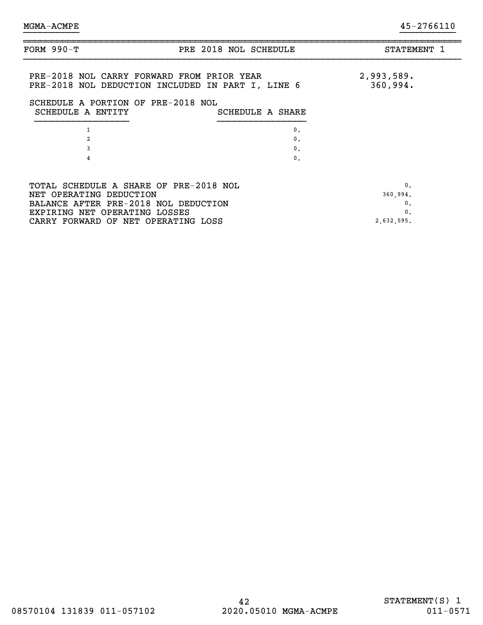| FORM $990-T$                                                                     | PRE 2018 NOL SCHEDULE                             | STATEMENT 1            |
|----------------------------------------------------------------------------------|---------------------------------------------------|------------------------|
| PRE-2018 NOL CARRY FORWARD FROM PRIOR YEAR<br>SCHEDULE A PORTION OF PRE-2018 NOL | PRE-2018 NOL DEDUCTION INCLUDED IN PART I, LINE 6 | 2,993,589.<br>360,994. |
| SCHEDULE A ENTITY                                                                | SCHEDULE A SHARE                                  |                        |
|                                                                                  | $\mathbf{0}$ .                                    |                        |
| 2                                                                                | $\mathbf{0}$ .                                    |                        |
| 3                                                                                | $\mathbf{0}$ .                                    |                        |
| 4                                                                                | $\mathbf{0}$ .                                    |                        |
|                                                                                  |                                                   |                        |
| TOTAL SCHEDULE A SHARE OF PRE-2018 NOL                                           |                                                   | $\mathbf{0}$ .         |
| NET OPERATING DEDUCTION                                                          |                                                   | 360,994.               |
| BALANCE AFTER PRE-2018 NOL DEDUCTION                                             |                                                   | 0.                     |
| EXPIRING NET OPERATING LOSSES                                                    |                                                   | $\mathbf{0}$ .         |
| CARRY FORWARD OF NET OPERATING LOSS                                              |                                                   | 2,632,595.             |
|                                                                                  |                                                   |                        |

}}}}}}}}}} }}}}}}}}}}

~~~~~~~~~~~~~~~~~~~~~~~~~~~~~~~~~~~~~~~~~~~~~~~~~~~~~~~~~~~~~~~~~~~~~~~~~~~~~~~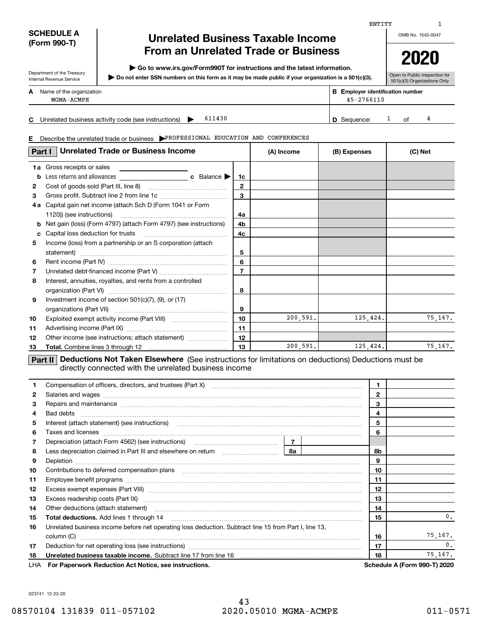### **SCHEDULE A (Form 990-T)**

Department of the Treasury Internal Revenue Service

## **Unrelated Business Taxable Income From an Unrelated Trade or Business**

**| Go to www.irs.gov/Form990T for instructions and the latest information.**

**Do not enter SSN numbers on this form as it may be made public if your organization is a 501(c)(3). |** 

OMB No. 1545-0047

Open to Public Inspection for 501(c)(3) Organizations Only

ENTITY

| A | Name of the organization | в | <b>Employer identification number</b> |
|---|--------------------------|---|---------------------------------------|
|   | MGMA-ACMPE               |   | $45 - 2766110$                        |

**C** Unrelated business activity code (see instructions)  $\rightarrow$  611430  $\mid$  **D** Sequence:  $\mid$  3 of

 $\overline{D}$  Sequence:  $\overline{1}$  of  $\overline{4}$ 611430

**E** Describe the unrelated trade or business **PROFESSIONAL EDUCATION AND CONFERENCES** 

| Part I       | <b>Unrelated Trade or Business Income</b>                         |                     | (A) Income | (B) Expenses | (C) Net |
|--------------|-------------------------------------------------------------------|---------------------|------------|--------------|---------|
| b            | <b>1a</b> Gross receipts or sales                                 | 1c                  |            |              |         |
| $\mathbf{2}$ |                                                                   | 2                   |            |              |         |
| 3<br>4а      | Capital gain net income (attach Sch D (Form 1041 or Form          | 3                   |            |              |         |
| b            | Net gain (loss) (Form 4797) (attach Form 4797) (see instructions) | 4a<br>4b            |            |              |         |
| c<br>5       | Income (loss) from a partnership or an S corporation (attach      | 4c                  |            |              |         |
|              | statement)                                                        | 5                   |            |              |         |
| 6<br>7       |                                                                   | 6<br>$\overline{7}$ |            |              |         |
| 8            | Interest, annuities, royalties, and rents from a controlled       | 8                   |            |              |         |
| 9            | Investment income of section $501(c)(7)$ , $(9)$ , or $(17)$      | 9                   |            |              |         |
| 10           |                                                                   | 10                  | 200,591.   | 125,424.     | 75,167. |
| 11<br>12     | Other income (see instructions; attach statement)                 | 11<br>12            |            |              |         |
| 13           |                                                                   | 13                  | 200,591.   | 125, 424.    | 75,167. |

**Part II** Deductions Not Taken Elsewhere (See instructions for limitations on deductions) Deductions must be directly connected with the unrelated business income

| 1  | Compensation of officers, directors, and trustees (Part X) [11] Company manufactured in the compensation of officers, directors, and trustees (Part X)                                                                                                                                                                                                                                                                                                                                      | 1            |  |    |                                     |
|----|---------------------------------------------------------------------------------------------------------------------------------------------------------------------------------------------------------------------------------------------------------------------------------------------------------------------------------------------------------------------------------------------------------------------------------------------------------------------------------------------|--------------|--|----|-------------------------------------|
| 2  |                                                                                                                                                                                                                                                                                                                                                                                                                                                                                             | $\mathbf{2}$ |  |    |                                     |
| 3  | Repairs and maintenance material continuum contracts and maintenance material contracts and maintenance material contracts and maintenance material contracts and maintenance material contracts and a series and material con                                                                                                                                                                                                                                                              |              |  | 3  |                                     |
| 4  |                                                                                                                                                                                                                                                                                                                                                                                                                                                                                             |              |  | 4  |                                     |
| 5  |                                                                                                                                                                                                                                                                                                                                                                                                                                                                                             |              |  | 5  |                                     |
| 6  | Taxes and licenses <b>communications</b> and constructions are all the constructions and licenses <b>constructions</b>                                                                                                                                                                                                                                                                                                                                                                      |              |  | 6  |                                     |
| 7  |                                                                                                                                                                                                                                                                                                                                                                                                                                                                                             |              |  |    |                                     |
| 8  |                                                                                                                                                                                                                                                                                                                                                                                                                                                                                             |              |  | 8b |                                     |
| 9  |                                                                                                                                                                                                                                                                                                                                                                                                                                                                                             | 9            |  |    |                                     |
| 10 | Contributions to deferred compensation plans<br>$\begin{minipage}{0.5\textwidth} \begin{tabular}{ l l l } \hline \multicolumn{1}{ l l l } \hline \multicolumn{1}{ l l } \multicolumn{1}{ l } \multicolumn{1}{ l } \multicolumn{1}{ l } \multicolumn{1}{ l } \multicolumn{1}{ l } \multicolumn{1}{ l } \multicolumn{1}{ l } \multicolumn{1}{ l } \multicolumn{1}{ l } \multicolumn{1}{ l } \multicolumn{1}{ l } \multicolumn{1}{ l } \multicolumn{1}{ l } \multicolumn{1}{ l } \multicolumn$ | 10           |  |    |                                     |
| 11 |                                                                                                                                                                                                                                                                                                                                                                                                                                                                                             |              |  |    |                                     |
| 12 |                                                                                                                                                                                                                                                                                                                                                                                                                                                                                             |              |  | 12 |                                     |
| 13 | Excess readership costs (Part IX) [11] [2000] [2000] [3000] [3000] [3000] [3000] [3000] [3000] [3000] [3000] [                                                                                                                                                                                                                                                                                                                                                                              |              |  | 13 |                                     |
| 14 | Other deductions (attach statement) material content and a statement of the content of the deductions (attach statement)                                                                                                                                                                                                                                                                                                                                                                    |              |  | 14 |                                     |
| 15 | Total deductions. Add lines 1 through 14 [11] [2000] [2000] [2000] [3000] [3000] [3000] [3000] [3000] [3000] [                                                                                                                                                                                                                                                                                                                                                                              |              |  | 15 | 0.                                  |
| 16 | Unrelated business income before net operating loss deduction. Subtract line 15 from Part I, line 13,                                                                                                                                                                                                                                                                                                                                                                                       |              |  |    |                                     |
|    | column (C)                                                                                                                                                                                                                                                                                                                                                                                                                                                                                  |              |  | 16 | 75,167.                             |
| 17 |                                                                                                                                                                                                                                                                                                                                                                                                                                                                                             |              |  | 17 | $\mathbf{0}$ .                      |
| 18 |                                                                                                                                                                                                                                                                                                                                                                                                                                                                                             |              |  | 18 | 75.167.                             |
|    | LHA For Paperwork Reduction Act Notice, see instructions.                                                                                                                                                                                                                                                                                                                                                                                                                                   |              |  |    | <b>Schedule A (Form 990-T) 2020</b> |

023741 12-23-20

1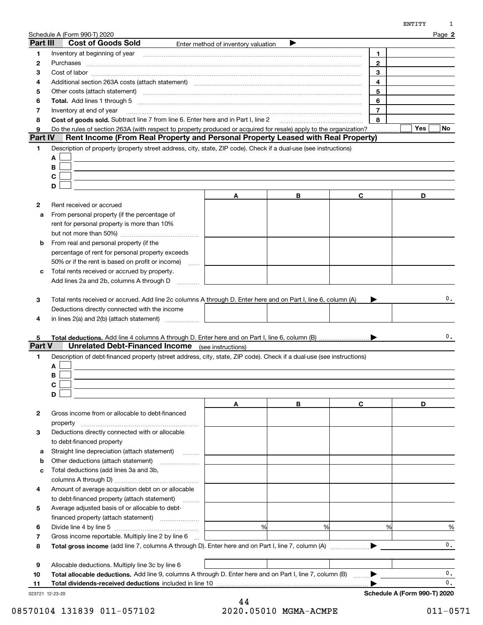|                | Schedule A (Form 990-T) 2020                                                                                                                                                                                                         |                                                                                                                                                                                                                                                                                                                                                                                                                                               |   |                | Page 2         |
|----------------|--------------------------------------------------------------------------------------------------------------------------------------------------------------------------------------------------------------------------------------|-----------------------------------------------------------------------------------------------------------------------------------------------------------------------------------------------------------------------------------------------------------------------------------------------------------------------------------------------------------------------------------------------------------------------------------------------|---|----------------|----------------|
| Part III       | <b>Cost of Goods Sold</b>                                                                                                                                                                                                            | Enter method of inventory valuation                                                                                                                                                                                                                                                                                                                                                                                                           |   |                |                |
| 1              | Inventory at beginning of year                                                                                                                                                                                                       | $\begin{minipage}{0.5\textwidth} \begin{tabular}{ l l l } \hline & \multicolumn{1}{ l l } \hline & \multicolumn{1}{ l } \multicolumn{1}{ l } \hline \multicolumn{1}{ l } \multicolumn{1}{ l } \multicolumn{1}{ l } \multicolumn{1}{ l } \multicolumn{1}{ l } \multicolumn{1}{ l } \multicolumn{1}{ l } \multicolumn{1}{ l } \multicolumn{1}{ l } \multicolumn{1}{ l } \multicolumn{1}{ l } \multicolumn{1}{ l } \multicolumn{1}{ l } \multic$ |   | 1              |                |
| 2              | Purchases <b>with a construction of the construction of the construction of the construction of the construction of the construction of the construction of the construction of the construction of the construction of the cons</b> |                                                                                                                                                                                                                                                                                                                                                                                                                                               |   | $\overline{2}$ |                |
| з              |                                                                                                                                                                                                                                      |                                                                                                                                                                                                                                                                                                                                                                                                                                               |   | 3              |                |
| 4              | Additional section 263A costs (attach statement) material content content and according terms and according te                                                                                                                       |                                                                                                                                                                                                                                                                                                                                                                                                                                               |   | 4              |                |
| 5              | Other costs (attach statement) <b>manufacture and contract at the statement of the costs</b> (attach statement)                                                                                                                      |                                                                                                                                                                                                                                                                                                                                                                                                                                               |   | 5              |                |
| 6              |                                                                                                                                                                                                                                      |                                                                                                                                                                                                                                                                                                                                                                                                                                               |   | 6              |                |
| 7              | Inventory at end of year                                                                                                                                                                                                             |                                                                                                                                                                                                                                                                                                                                                                                                                                               |   | $\overline{7}$ |                |
| 8              | Cost of goods sold. Subtract line 7 from line 6. Enter here and in Part I, line 2                                                                                                                                                    |                                                                                                                                                                                                                                                                                                                                                                                                                                               |   | 8              |                |
| 9              | Do the rules of section 263A (with respect to property produced or acquired for resale) apply to the organization?                                                                                                                   |                                                                                                                                                                                                                                                                                                                                                                                                                                               |   |                | Yes<br>No      |
| <b>Part IV</b> | Rent Income (From Real Property and Personal Property Leased with Real Property)                                                                                                                                                     |                                                                                                                                                                                                                                                                                                                                                                                                                                               |   |                |                |
| 1              | Description of property (property street address, city, state, ZIP code). Check if a dual-use (see instructions)                                                                                                                     |                                                                                                                                                                                                                                                                                                                                                                                                                                               |   |                |                |
|                | A                                                                                                                                                                                                                                    |                                                                                                                                                                                                                                                                                                                                                                                                                                               |   |                |                |
|                | В                                                                                                                                                                                                                                    |                                                                                                                                                                                                                                                                                                                                                                                                                                               |   |                |                |
|                | C                                                                                                                                                                                                                                    |                                                                                                                                                                                                                                                                                                                                                                                                                                               |   |                |                |
|                | D                                                                                                                                                                                                                                    |                                                                                                                                                                                                                                                                                                                                                                                                                                               |   |                |                |
|                |                                                                                                                                                                                                                                      | A                                                                                                                                                                                                                                                                                                                                                                                                                                             | В | C              | D              |
| 2              | Rent received or accrued                                                                                                                                                                                                             |                                                                                                                                                                                                                                                                                                                                                                                                                                               |   |                |                |
| a              | From personal property (if the percentage of                                                                                                                                                                                         |                                                                                                                                                                                                                                                                                                                                                                                                                                               |   |                |                |
|                | rent for personal property is more than 10%                                                                                                                                                                                          |                                                                                                                                                                                                                                                                                                                                                                                                                                               |   |                |                |
|                |                                                                                                                                                                                                                                      |                                                                                                                                                                                                                                                                                                                                                                                                                                               |   |                |                |
|                |                                                                                                                                                                                                                                      |                                                                                                                                                                                                                                                                                                                                                                                                                                               |   |                |                |
| b              | From real and personal property (if the                                                                                                                                                                                              |                                                                                                                                                                                                                                                                                                                                                                                                                                               |   |                |                |
|                | percentage of rent for personal property exceeds                                                                                                                                                                                     |                                                                                                                                                                                                                                                                                                                                                                                                                                               |   |                |                |
|                | 50% or if the rent is based on profit or income)                                                                                                                                                                                     |                                                                                                                                                                                                                                                                                                                                                                                                                                               |   |                |                |
| с              | Total rents received or accrued by property.                                                                                                                                                                                         |                                                                                                                                                                                                                                                                                                                                                                                                                                               |   |                |                |
|                | Add lines 2a and 2b, columns A through D                                                                                                                                                                                             |                                                                                                                                                                                                                                                                                                                                                                                                                                               |   |                |                |
| 4              | Deductions directly connected with the income<br>in lines $2(a)$ and $2(b)$ (attach statement) $\ldots$                                                                                                                              |                                                                                                                                                                                                                                                                                                                                                                                                                                               |   |                |                |
| 5.             |                                                                                                                                                                                                                                      |                                                                                                                                                                                                                                                                                                                                                                                                                                               |   |                | 0.             |
| Part V         | <b>Unrelated Debt-Financed Income</b> (see instructions)                                                                                                                                                                             |                                                                                                                                                                                                                                                                                                                                                                                                                                               |   |                |                |
| 1              | Description of debt-financed property (street address, city, state, ZIP code). Check if a dual-use (see instructions)                                                                                                                |                                                                                                                                                                                                                                                                                                                                                                                                                                               |   |                |                |
|                | A                                                                                                                                                                                                                                    |                                                                                                                                                                                                                                                                                                                                                                                                                                               |   |                |                |
|                | В                                                                                                                                                                                                                                    |                                                                                                                                                                                                                                                                                                                                                                                                                                               |   |                |                |
|                |                                                                                                                                                                                                                                      |                                                                                                                                                                                                                                                                                                                                                                                                                                               |   |                |                |
|                | C  <br>D                                                                                                                                                                                                                             |                                                                                                                                                                                                                                                                                                                                                                                                                                               |   |                |                |
|                |                                                                                                                                                                                                                                      | Α                                                                                                                                                                                                                                                                                                                                                                                                                                             | В | C              | D              |
| 2              | Gross income from or allocable to debt-financed                                                                                                                                                                                      |                                                                                                                                                                                                                                                                                                                                                                                                                                               |   |                |                |
|                |                                                                                                                                                                                                                                      |                                                                                                                                                                                                                                                                                                                                                                                                                                               |   |                |                |
|                | property<br>Deductions directly connected with or allocable                                                                                                                                                                          |                                                                                                                                                                                                                                                                                                                                                                                                                                               |   |                |                |
| з              |                                                                                                                                                                                                                                      |                                                                                                                                                                                                                                                                                                                                                                                                                                               |   |                |                |
|                | to debt-financed property                                                                                                                                                                                                            |                                                                                                                                                                                                                                                                                                                                                                                                                                               |   |                |                |
| а              | Straight line depreciation (attach statement)                                                                                                                                                                                        |                                                                                                                                                                                                                                                                                                                                                                                                                                               |   |                |                |
| b              | Other deductions (attach statement)                                                                                                                                                                                                  |                                                                                                                                                                                                                                                                                                                                                                                                                                               |   |                |                |
| c              | Total deductions (add lines 3a and 3b,                                                                                                                                                                                               |                                                                                                                                                                                                                                                                                                                                                                                                                                               |   |                |                |
|                |                                                                                                                                                                                                                                      |                                                                                                                                                                                                                                                                                                                                                                                                                                               |   |                |                |
| 4              | Amount of average acquisition debt on or allocable                                                                                                                                                                                   |                                                                                                                                                                                                                                                                                                                                                                                                                                               |   |                |                |
|                | to debt-financed property (attach statement)                                                                                                                                                                                         |                                                                                                                                                                                                                                                                                                                                                                                                                                               |   |                |                |
| 5              | Average adjusted basis of or allocable to debt-                                                                                                                                                                                      |                                                                                                                                                                                                                                                                                                                                                                                                                                               |   |                |                |
|                | financed property (attach statement)                                                                                                                                                                                                 |                                                                                                                                                                                                                                                                                                                                                                                                                                               |   |                |                |
| 6              |                                                                                                                                                                                                                                      | %                                                                                                                                                                                                                                                                                                                                                                                                                                             | % | %              | %              |
| 7              | Gross income reportable. Multiply line 2 by line 6                                                                                                                                                                                   |                                                                                                                                                                                                                                                                                                                                                                                                                                               |   |                |                |
| 8              |                                                                                                                                                                                                                                      |                                                                                                                                                                                                                                                                                                                                                                                                                                               |   |                | $\mathbf{0}$ . |
|                |                                                                                                                                                                                                                                      |                                                                                                                                                                                                                                                                                                                                                                                                                                               |   |                |                |
| 9              | Allocable deductions. Multiply line 3c by line 6                                                                                                                                                                                     |                                                                                                                                                                                                                                                                                                                                                                                                                                               |   |                |                |

**10**Total allocable deductions. Add line 9, columns A through D. Enter here and on Part I, line 7, column (B)  $\quad \ldots \rightarrow$ 

**11Total dividends-received deductions** included in line 10 …………………………………………………………………

023721 12-23-20

0. 0.

**Schedule A (Form 990-T) 2020**

 $\blacktriangleright$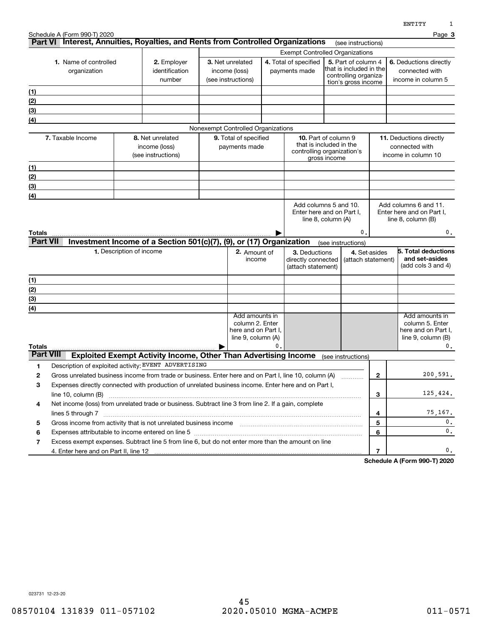|                           | Schedule A (Form 990-T) 2020<br>Part VI Interest, Annuities, Royalties, and Rents from Controlled Organizations                                                                                                                                     |                                         |                                                                        |                                                         |                                                                                |    |                                                                                      |                                                                                                |                     |                    | Page 3                                                                                    |
|---------------------------|-----------------------------------------------------------------------------------------------------------------------------------------------------------------------------------------------------------------------------------------------------|-----------------------------------------|------------------------------------------------------------------------|---------------------------------------------------------|--------------------------------------------------------------------------------|----|--------------------------------------------------------------------------------------|------------------------------------------------------------------------------------------------|---------------------|--------------------|-------------------------------------------------------------------------------------------|
|                           |                                                                                                                                                                                                                                                     |                                         |                                                                        |                                                         |                                                                                |    | <b>Exempt Controlled Organizations</b>                                               |                                                                                                | (see instructions)  |                    |                                                                                           |
|                           | 1. Name of controlled<br>organization                                                                                                                                                                                                               | 2. Employer<br>identification<br>number |                                                                        | 3. Net unrelated<br>income (loss)<br>(see instructions) |                                                                                |    | 4. Total of specified<br>payments made                                               | 5. Part of column 4<br>that is included in the<br>controlling organiza-<br>tion's gross income |                     |                    | 6. Deductions directly<br>connected with<br>income in column 5                            |
| (1)                       |                                                                                                                                                                                                                                                     |                                         |                                                                        |                                                         |                                                                                |    |                                                                                      |                                                                                                |                     |                    |                                                                                           |
| (2)                       |                                                                                                                                                                                                                                                     |                                         |                                                                        |                                                         |                                                                                |    |                                                                                      |                                                                                                |                     |                    |                                                                                           |
| (3)                       |                                                                                                                                                                                                                                                     |                                         |                                                                        |                                                         |                                                                                |    |                                                                                      |                                                                                                |                     |                    |                                                                                           |
| (4)                       |                                                                                                                                                                                                                                                     |                                         |                                                                        |                                                         |                                                                                |    |                                                                                      |                                                                                                |                     |                    |                                                                                           |
|                           |                                                                                                                                                                                                                                                     |                                         |                                                                        |                                                         | Nonexempt Controlled Organizations                                             |    |                                                                                      |                                                                                                |                     |                    |                                                                                           |
|                           | 7. Taxable Income                                                                                                                                                                                                                                   |                                         | 8. Net unrelated<br>income (loss)<br>(see instructions)                |                                                         | 9. Total of specified<br>payments made                                         |    | <b>10.</b> Part of column 9<br>that is included in the<br>controlling organization's | gross income                                                                                   |                     |                    | 11. Deductions directly<br>connected with<br>income in column 10                          |
| (1)                       |                                                                                                                                                                                                                                                     |                                         |                                                                        |                                                         |                                                                                |    |                                                                                      |                                                                                                |                     |                    |                                                                                           |
| (2)                       |                                                                                                                                                                                                                                                     |                                         |                                                                        |                                                         |                                                                                |    |                                                                                      |                                                                                                |                     |                    |                                                                                           |
| (3)                       |                                                                                                                                                                                                                                                     |                                         |                                                                        |                                                         |                                                                                |    |                                                                                      |                                                                                                |                     |                    |                                                                                           |
| (4)                       |                                                                                                                                                                                                                                                     |                                         |                                                                        |                                                         |                                                                                |    |                                                                                      |                                                                                                |                     |                    |                                                                                           |
| Totals<br><b>Part VII</b> |                                                                                                                                                                                                                                                     | 1. Description of income                | Investment Income of a Section 501(c)(7), (9), or (17) Organization    |                                                         | 2. Amount of<br>income                                                         |    | 3. Deductions<br>directly connected<br>(attach statement)                            | (see instructions)                                                                             | 0.<br>4. Set-asides | (attach statement) | 0.<br>ნ. Total deductions<br>and set-asides<br>(add cols 3 and 4)                         |
|                           |                                                                                                                                                                                                                                                     |                                         |                                                                        |                                                         |                                                                                |    |                                                                                      |                                                                                                |                     |                    |                                                                                           |
| (1)                       |                                                                                                                                                                                                                                                     |                                         |                                                                        |                                                         |                                                                                |    |                                                                                      |                                                                                                |                     |                    |                                                                                           |
| (2)<br>(3)                |                                                                                                                                                                                                                                                     |                                         |                                                                        |                                                         |                                                                                |    |                                                                                      |                                                                                                |                     |                    |                                                                                           |
| (4)                       |                                                                                                                                                                                                                                                     |                                         |                                                                        |                                                         |                                                                                |    |                                                                                      |                                                                                                |                     |                    |                                                                                           |
| Totals                    |                                                                                                                                                                                                                                                     |                                         |                                                                        |                                                         | Add amounts in<br>column 2. Enter<br>here and on Part I,<br>line 9, column (A) | 0. |                                                                                      |                                                                                                |                     |                    | Add amounts in<br>column 5. Enter<br>here and on Part I,<br>line $9$ , column $(B)$<br>0. |
| <b>Part VIII</b>          |                                                                                                                                                                                                                                                     |                                         | <b>Exploited Exempt Activity Income, Other Than Advertising Income</b> |                                                         |                                                                                |    |                                                                                      | (see instructions)                                                                             |                     |                    |                                                                                           |
| 1                         | Description of exploited activity: EVENT ADVERTISING                                                                                                                                                                                                |                                         |                                                                        |                                                         |                                                                                |    |                                                                                      |                                                                                                |                     |                    |                                                                                           |
| 2                         | Gross unrelated business income from trade or business. Enter here and on Part I, line 10, column (A)                                                                                                                                               |                                         |                                                                        |                                                         |                                                                                |    |                                                                                      |                                                                                                |                     | 2                  | 200,591.                                                                                  |
| 3                         | Expenses directly connected with production of unrelated business income. Enter here and on Part I,<br>line $10$ , column $(B)$                                                                                                                     |                                         |                                                                        |                                                         |                                                                                |    |                                                                                      |                                                                                                |                     | 3                  | 125.424.                                                                                  |
| 4                         | Net income (loss) from unrelated trade or business. Subtract line 3 from line 2. If a gain, complete                                                                                                                                                |                                         |                                                                        |                                                         |                                                                                |    |                                                                                      |                                                                                                |                     | 4                  | 75,167.                                                                                   |
| 5                         | Gross income from activity that is not unrelated business income [11] [11] content material contents income from activity that is not unrelated business income [11] [11] $\alpha$ [12] $\alpha$ [12] $\alpha$ [12] $\alpha$ [12] $\alpha$ [12] $\$ |                                         |                                                                        |                                                         |                                                                                |    |                                                                                      |                                                                                                |                     | 5                  | 0.                                                                                        |
| 6                         |                                                                                                                                                                                                                                                     |                                         |                                                                        |                                                         |                                                                                |    |                                                                                      |                                                                                                |                     | 6                  | $\mathbf{0}$ .                                                                            |
| 7                         | Excess exempt expenses. Subtract line 5 from line 6, but do not enter more than the amount on line                                                                                                                                                  |                                         |                                                                        |                                                         |                                                                                |    |                                                                                      |                                                                                                |                     |                    |                                                                                           |
|                           |                                                                                                                                                                                                                                                     |                                         |                                                                        |                                                         |                                                                                |    |                                                                                      |                                                                                                |                     | $\overline{7}$     | 0.                                                                                        |

**Schedule A (Form 990-T) 2020**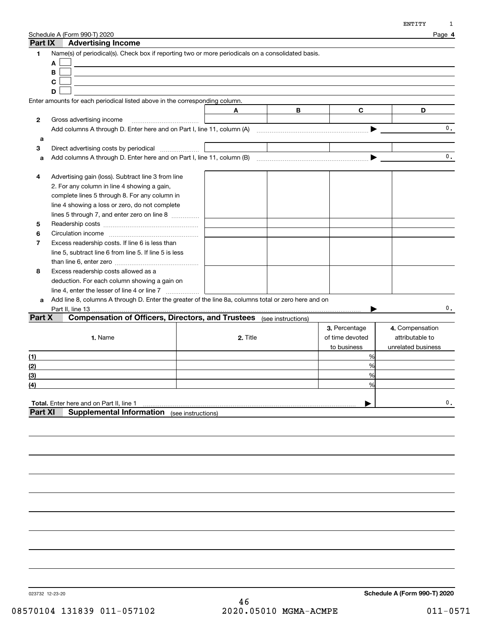|                | Schedule A (Form 990-T) 2020                                                                         |          |   |                 | Page 4             |
|----------------|------------------------------------------------------------------------------------------------------|----------|---|-----------------|--------------------|
| <b>Part IX</b> | <b>Advertising Income</b>                                                                            |          |   |                 |                    |
| 1              | Name(s) of periodical(s). Check box if reporting two or more periodicals on a consolidated basis.    |          |   |                 |                    |
|                | Α                                                                                                    |          |   |                 |                    |
|                | В                                                                                                    |          |   |                 |                    |
|                | C                                                                                                    |          |   |                 |                    |
|                | D                                                                                                    |          |   |                 |                    |
|                | Enter amounts for each periodical listed above in the corresponding column.                          |          |   |                 |                    |
|                |                                                                                                      | A        | В | C               | D                  |
| 2              | Gross advertising income                                                                             |          |   |                 |                    |
|                |                                                                                                      |          |   |                 | 0.                 |
| a              |                                                                                                      |          |   |                 |                    |
| з              | Direct advertising costs by periodical                                                               |          |   |                 |                    |
| a              |                                                                                                      |          |   |                 | 0.                 |
|                |                                                                                                      |          |   |                 |                    |
| 4              | Advertising gain (loss). Subtract line 3 from line                                                   |          |   |                 |                    |
|                | 2. For any column in line 4 showing a gain,                                                          |          |   |                 |                    |
|                | complete lines 5 through 8. For any column in                                                        |          |   |                 |                    |
|                | line 4 showing a loss or zero, do not complete                                                       |          |   |                 |                    |
|                | lines 5 through 7, and enter zero on line 8                                                          |          |   |                 |                    |
| 5              |                                                                                                      |          |   |                 |                    |
| 6              |                                                                                                      |          |   |                 |                    |
| 7              | Excess readership costs. If line 6 is less than                                                      |          |   |                 |                    |
|                | line 5, subtract line 6 from line 5. If line 5 is less                                               |          |   |                 |                    |
|                |                                                                                                      |          |   |                 |                    |
| 8              | Excess readership costs allowed as a                                                                 |          |   |                 |                    |
|                | deduction. For each column showing a gain on                                                         |          |   |                 |                    |
|                | line 4, enter the lesser of line 4 or line 7                                                         |          |   |                 |                    |
| a              | Add line 8, columns A through D. Enter the greater of the line 8a, columns total or zero here and on |          |   |                 |                    |
|                |                                                                                                      |          |   |                 | $\mathbf{0}$ .     |
| Part X         | <b>Compensation of Officers, Directors, and Trustees</b> (see instructions)                          |          |   |                 |                    |
|                |                                                                                                      |          |   | 3. Percentage   | 4. Compensation    |
|                | 1. Name                                                                                              | 2. Title |   | of time devoted | attributable to    |
|                |                                                                                                      |          |   | to business     | unrelated business |
| (1)            |                                                                                                      |          |   | %               |                    |
| (2)            |                                                                                                      |          |   | %               |                    |
| (3)            |                                                                                                      |          |   | %               |                    |
| (4)            |                                                                                                      |          |   | %               |                    |
|                |                                                                                                      |          |   |                 |                    |
|                | Total. Enter here and on Part II, line 1                                                             |          |   |                 | $\mathbf{0}$ .     |
| <b>Part XI</b> | <b>Supplemental Information</b> (see instructions)                                                   |          |   |                 |                    |
|                |                                                                                                      |          |   |                 |                    |
|                |                                                                                                      |          |   |                 |                    |
|                |                                                                                                      |          |   |                 |                    |
|                |                                                                                                      |          |   |                 |                    |

023732 12-23-20

**Schedule A (Form 990-T) 2020**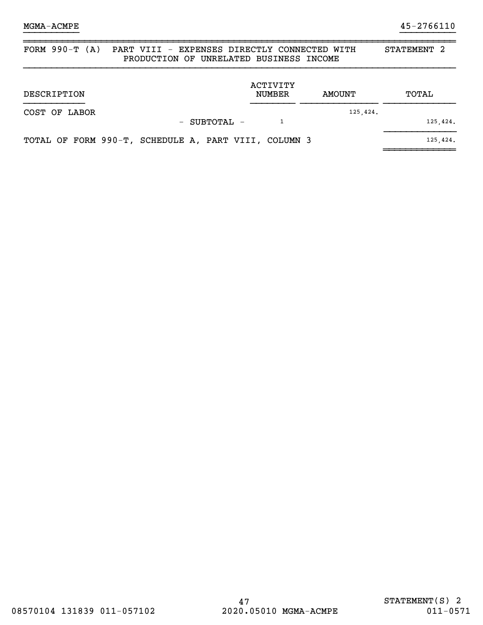~~~~~~~~~~~~~

| FORM $990-T (A)$ | STATEMENT <sub>2</sub>                               |                    |          |          |
|------------------|------------------------------------------------------|--------------------|----------|----------|
| DESCRIPTION      |                                                      | ACTIVITY<br>NUMBER | AMOUNT   | TOTAL    |
| COST OF LABOR    | - SUBTOTAL -                                         |                    | 125,424. | 125,424. |
|                  | TOTAL OF FORM 990-T, SCHEDULE A, PART VIII, COLUMN 3 |                    |          | 125,424. |

}}}}}}}}}} }}}}}}}}}}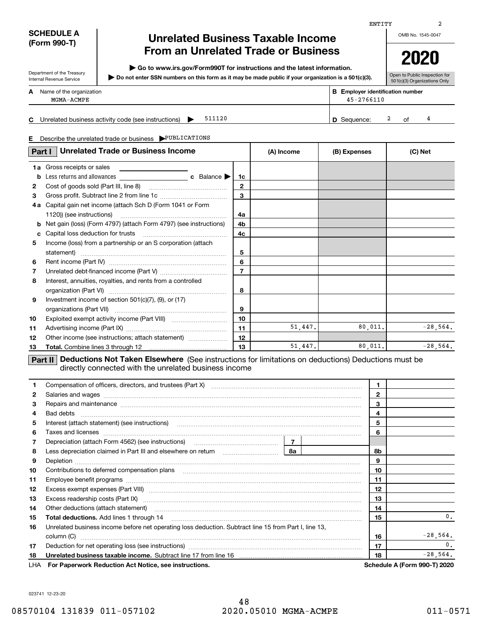### **SCHEDULE A (Form 990-T)**

Department of the Treasury Internal Revenue Service

## **Unrelated Business Taxable Income From an Unrelated Trade or Business**

**| Go to www.irs.gov/Form990T for instructions and the latest information.**

**Do not enter SSN numbers on this form as it may be made public if your organization is a 501(c)(3). |** 

**2020**

|   |                          |  |                                            | . |  |
|---|--------------------------|--|--------------------------------------------|---|--|
| А | Name of the organization |  | $-0.000$<br>Employer identification number |   |  |
|   | $MCMA$ $\lambda$ $CMDE$  |  | 15.2766110                                 |   |  |

|  | Open to Public Inspection for<br>501(c)(3) Organizations Only |
|--|---------------------------------------------------------------|
|  |                                                               |

ENTITY

|    | MGMA-ACMPE                                                    | 45-2766110 |   |    |  |
|----|---------------------------------------------------------------|------------|---|----|--|
|    |                                                               |            |   |    |  |
| C. | 511120<br>Unrelated business activity code (see instructions) | Seauence:  | ∼ | Οt |  |

### **E**Describe the unrelated trade or business | PUBLICATIONS

| <b>Unrelated Trade or Business Income</b><br>Part I |                                                                                                              |                  | (A) Income | (B) Expenses | (C) Net    |  |  |  |  |
|-----------------------------------------------------|--------------------------------------------------------------------------------------------------------------|------------------|------------|--------------|------------|--|--|--|--|
|                                                     | 1a Gross receipts or sales                                                                                   |                  |            |              |            |  |  |  |  |
| b                                                   |                                                                                                              | 1c               |            |              |            |  |  |  |  |
| $\mathbf{2}$                                        |                                                                                                              | $\mathbf{2}$     |            |              |            |  |  |  |  |
| 3                                                   |                                                                                                              | 3                |            |              |            |  |  |  |  |
| 4а                                                  | Capital gain net income (attach Sch D (Form 1041 or Form                                                     |                  |            |              |            |  |  |  |  |
|                                                     | 1120)) (see instructions)                                                                                    | 4a               |            |              |            |  |  |  |  |
| b                                                   | Net gain (loss) (Form 4797) (attach Form 4797) (see instructions)                                            | 4b               |            |              |            |  |  |  |  |
| с                                                   | Capital loss deduction for trusts                                                                            | 4c               |            |              |            |  |  |  |  |
| 5                                                   | Income (loss) from a partnership or an S corporation (attach                                                 |                  |            |              |            |  |  |  |  |
|                                                     | statement)                                                                                                   | 5                |            |              |            |  |  |  |  |
| 6                                                   |                                                                                                              | 6                |            |              |            |  |  |  |  |
| 7                                                   |                                                                                                              | $\overline{7}$   |            |              |            |  |  |  |  |
| 8                                                   | Interest, annuities, royalties, and rents from a controlled                                                  |                  |            |              |            |  |  |  |  |
|                                                     |                                                                                                              | 8                |            |              |            |  |  |  |  |
| 9                                                   | Investment income of section $501(c)(7)$ , (9), or (17)                                                      |                  |            |              |            |  |  |  |  |
|                                                     |                                                                                                              | 9                |            |              |            |  |  |  |  |
| 10                                                  |                                                                                                              | 10 <sup>10</sup> |            |              |            |  |  |  |  |
| 11                                                  |                                                                                                              | 11               | 51,447.    | 80,011.      | $-28,564.$ |  |  |  |  |
| 12                                                  | Other income (see instructions; attach statement)                                                            | 12               |            |              |            |  |  |  |  |
| 13                                                  |                                                                                                              | l 13.            | 51,447.    | 80,011.      | $-28,564.$ |  |  |  |  |
|                                                     | Part II   Deductions Not Taken Elsewhere (See instructions for limitations on deductions) Deductions must be |                  |            |              |            |  |  |  |  |

directly connected with the unrelated business income

|     |                                                                                                                                                                                                                                           | 1. |                |                              |
|-----|-------------------------------------------------------------------------------------------------------------------------------------------------------------------------------------------------------------------------------------------|----|----------------|------------------------------|
| 2   |                                                                                                                                                                                                                                           |    | $\overline{2}$ |                              |
| 3   | Repairs and maintenance material content content content and maintenance material content and maintenance material content and maintenance material content and maintenance material content and material content and material            |    | 3              |                              |
| 4   |                                                                                                                                                                                                                                           |    | 4              |                              |
| 5   |                                                                                                                                                                                                                                           |    | 5              |                              |
| 6   | Taxes and licenses <b>communications</b> and interests and interests and licenses <b>contract to the contract of the contract of the contract of the contract of the contract of the contract of the contract of the contract of the </b> |    | 6              |                              |
| 7   |                                                                                                                                                                                                                                           |    |                |                              |
| 8   | Less depreciation claimed in Part III and elsewhere on return mature content and the sales of the sea                                                                                                                                     |    | 8b             |                              |
| 9   |                                                                                                                                                                                                                                           |    | 9              |                              |
| 10  | Contributions to deferred compensation plans                                                                                                                                                                                              |    | 10             |                              |
| 11  |                                                                                                                                                                                                                                           | 11 |                |                              |
| 12  |                                                                                                                                                                                                                                           |    | 12             |                              |
| 13  |                                                                                                                                                                                                                                           |    | 13             |                              |
| 14  | Other deductions (attach statement) material content and according to the deductions (attach statement) material content and according to the deductions (attach statement) and according to the deduction of the deduction of            |    | 14             |                              |
| 15  |                                                                                                                                                                                                                                           |    | 15             | 0.                           |
| 16  | Unrelated business income before net operating loss deduction. Subtract line 15 from Part I, line 13,                                                                                                                                     |    |                |                              |
|     | column (C)                                                                                                                                                                                                                                |    | 16             | $-28,564.$                   |
| 17  |                                                                                                                                                                                                                                           |    | 17             | $\mathbf{0}$ .               |
| 18  |                                                                                                                                                                                                                                           |    | 18             | $-28,564.$                   |
| LHA | For Paperwork Reduction Act Notice, see instructions.                                                                                                                                                                                     |    |                | Schedule A (Form 990-T) 2020 |

023741 12-23-20

OMB No. 1545-0047

2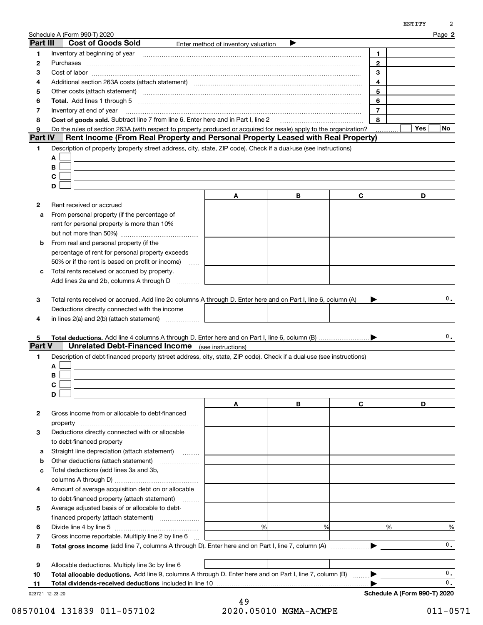|                |                                                                                                                                                                                                                                |                                     |   |                | ENTITY           |
|----------------|--------------------------------------------------------------------------------------------------------------------------------------------------------------------------------------------------------------------------------|-------------------------------------|---|----------------|------------------|
|                | Schedule A (Form 990-T) 2020                                                                                                                                                                                                   |                                     |   |                | Page 2           |
| Part III       | <b>Cost of Goods Sold</b>                                                                                                                                                                                                      | Enter method of inventory valuation | ▶ |                |                  |
| 1              | Inventory at beginning of year [11] manufactured and manufactured and manufactured and manufactured and manufactured and manufactured and manufactured and manufactured and manufactured and manufactured and manufactured and |                                     |   | 1              |                  |
| $\mathbf{2}$   | Purchases                                                                                                                                                                                                                      |                                     |   | 2              |                  |
| з              |                                                                                                                                                                                                                                |                                     |   | 3              |                  |
| 4              | Additional section 263A costs (attach statement) material content and according to the Additional section 263A                                                                                                                 |                                     |   | 4              |                  |
| 5              | Other costs (attach statement) manufactured and contract and contract and contract and contract and contract and contract and contract and contract and contract and contract and contract and contract and contract and contr |                                     |   | 5              |                  |
| 6              |                                                                                                                                                                                                                                |                                     |   | 6              |                  |
| 7              | Inventory at end of year                                                                                                                                                                                                       |                                     |   | $\overline{7}$ |                  |
| 8              | Cost of goods sold. Subtract line 7 from line 6. Enter here and in Part I, line 2 [11, 1111] Cost of goods sold. Subtract line 7 from line 6. Enter here and in Part I, line 2                                                 |                                     |   | 8              |                  |
| 9              | Do the rules of section 263A (with respect to property produced or acquired for resale) apply to the organization?                                                                                                             |                                     |   |                | Yes<br><b>No</b> |
| <b>Part IV</b> | Rent Income (From Real Property and Personal Property Leased with Real Property)                                                                                                                                               |                                     |   |                |                  |
| 1              | Description of property (property street address, city, state, ZIP code). Check if a dual-use (see instructions)                                                                                                               |                                     |   |                |                  |
|                | A                                                                                                                                                                                                                              |                                     |   |                |                  |
|                | в                                                                                                                                                                                                                              |                                     |   |                |                  |
|                | C                                                                                                                                                                                                                              |                                     |   |                |                  |
|                | D                                                                                                                                                                                                                              |                                     |   |                |                  |
|                |                                                                                                                                                                                                                                | A                                   | В | C              | D                |
| 2              | Rent received or accrued                                                                                                                                                                                                       |                                     |   |                |                  |
| a              | From personal property (if the percentage of                                                                                                                                                                                   |                                     |   |                |                  |
|                | rent for personal property is more than 10%                                                                                                                                                                                    |                                     |   |                |                  |
|                |                                                                                                                                                                                                                                |                                     |   |                |                  |
| b              | From real and personal property (if the                                                                                                                                                                                        |                                     |   |                |                  |
|                | percentage of rent for personal property exceeds                                                                                                                                                                               |                                     |   |                |                  |
|                | 50% or if the rent is based on profit or income)<br>.                                                                                                                                                                          |                                     |   |                |                  |
| c              | Total rents received or accrued by property.<br>Add lines 2a and 2b, columns A through D                                                                                                                                       |                                     |   |                |                  |
|                |                                                                                                                                                                                                                                |                                     |   |                |                  |
| 3              | Total rents received or accrued. Add line 2c columns A through D. Enter here and on Part I, line 6, column (A)                                                                                                                 |                                     |   |                | 0.               |
|                | Deductions directly connected with the income                                                                                                                                                                                  |                                     |   |                |                  |
| 4              | in lines $2(a)$ and $2(b)$ (attach statement) $\ldots$                                                                                                                                                                         |                                     |   |                |                  |
|                |                                                                                                                                                                                                                                |                                     |   |                |                  |
| 5              |                                                                                                                                                                                                                                |                                     |   |                | 0.               |
| Part V         | <b>Unrelated Debt-Financed Income</b> (see instructions)                                                                                                                                                                       |                                     |   |                |                  |
| 1              | Description of debt-financed property (street address, city, state, ZIP code). Check if a dual-use (see instructions)                                                                                                          |                                     |   |                |                  |
|                | А                                                                                                                                                                                                                              |                                     |   |                |                  |
|                | В                                                                                                                                                                                                                              |                                     |   |                |                  |
|                | С                                                                                                                                                                                                                              |                                     |   |                |                  |
|                | D                                                                                                                                                                                                                              |                                     |   |                |                  |
|                |                                                                                                                                                                                                                                | A                                   | В | C              | D                |
| 2              | Gross income from or allocable to debt-financed                                                                                                                                                                                |                                     |   |                |                  |
|                | property                                                                                                                                                                                                                       |                                     |   |                |                  |
| 3              | Deductions directly connected with or allocable                                                                                                                                                                                |                                     |   |                |                  |
|                | to debt-financed property                                                                                                                                                                                                      |                                     |   |                |                  |
| а              | Straight line depreciation (attach statement)                                                                                                                                                                                  |                                     |   |                |                  |
| b              | Other deductions (attach statement)                                                                                                                                                                                            |                                     |   |                |                  |
| C              | Total deductions (add lines 3a and 3b,                                                                                                                                                                                         |                                     |   |                |                  |
|                |                                                                                                                                                                                                                                |                                     |   |                |                  |
| 4              | Amount of average acquisition debt on or allocable                                                                                                                                                                             |                                     |   |                |                  |
|                | to debt-financed property (attach statement)                                                                                                                                                                                   |                                     |   |                |                  |
| 5              | Average adjusted basis of or allocable to debt-                                                                                                                                                                                |                                     |   |                |                  |
|                |                                                                                                                                                                                                                                |                                     |   |                |                  |
| 6              |                                                                                                                                                                                                                                | %                                   | % | %              | %                |
| 7              | Gross income reportable. Multiply line 2 by line 6                                                                                                                                                                             |                                     |   |                |                  |
| 8              |                                                                                                                                                                                                                                |                                     |   |                | $\mathbf{0}$ .   |
|                |                                                                                                                                                                                                                                |                                     |   |                |                  |
| 9              | Allocable deductions. Multiply line 3c by line 6                                                                                                                                                                               |                                     |   |                |                  |
|                |                                                                                                                                                                                                                                |                                     |   |                |                  |
| 10             |                                                                                                                                                                                                                                |                                     |   |                | 0.               |
| 11             | Total allocable deductions. Add line 9, columns A through D. Enter here and on Part I, line 7, column (B)<br>Total dividends-received deductions included in line 10                                                           |                                     |   |                | 0.               |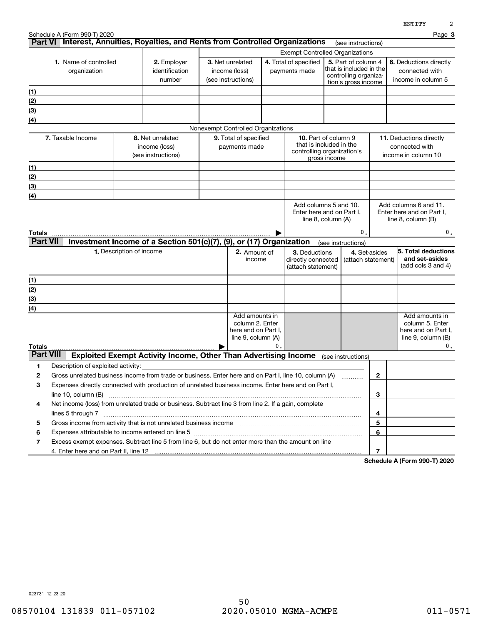|                  |                                    |                                                                                                                                                                            |                                        |    |                                                                                        |                    |                                              |                                     | <b>EMITII</b>                                   |
|------------------|------------------------------------|----------------------------------------------------------------------------------------------------------------------------------------------------------------------------|----------------------------------------|----|----------------------------------------------------------------------------------------|--------------------|----------------------------------------------|-------------------------------------|-------------------------------------------------|
|                  | Schedule A (Form 990-T) 2020       | Part VI Interest, Annuities, Royalties, and Rents from Controlled Organizations                                                                                            |                                        |    |                                                                                        |                    |                                              |                                     | Page 3                                          |
|                  |                                    |                                                                                                                                                                            |                                        |    |                                                                                        |                    | (see instructions)                           |                                     |                                                 |
|                  | 1. Name of controlled              | 2. Employer                                                                                                                                                                | 3. Net unrelated                       |    | <b>Exempt Controlled Organizations</b><br>4. Total of specified<br>5. Part of column 4 |                    |                                              |                                     | 6. Deductions directly                          |
|                  | organization                       | identification                                                                                                                                                             | income (loss)                          |    | payments made                                                                          |                    | that is included in the                      |                                     | connected with                                  |
|                  |                                    | number                                                                                                                                                                     | (see instructions)                     |    |                                                                                        |                    | controlling organiza-<br>tion's gross income |                                     | income in column 5                              |
| (1)              |                                    |                                                                                                                                                                            |                                        |    |                                                                                        |                    |                                              |                                     |                                                 |
| (2)              |                                    |                                                                                                                                                                            |                                        |    |                                                                                        |                    |                                              |                                     |                                                 |
| (3)              |                                    |                                                                                                                                                                            |                                        |    |                                                                                        |                    |                                              |                                     |                                                 |
| (4)              |                                    |                                                                                                                                                                            |                                        |    |                                                                                        |                    |                                              |                                     |                                                 |
|                  |                                    |                                                                                                                                                                            | Nonexempt Controlled Organizations     |    |                                                                                        |                    |                                              |                                     |                                                 |
|                  | 7. Taxable Income                  | 8. Net unrelated                                                                                                                                                           | 9. Total of specified                  |    | <b>10.</b> Part of column 9                                                            |                    |                                              |                                     | 11. Deductions directly                         |
|                  |                                    | income (loss)                                                                                                                                                              | payments made                          |    | that is included in the                                                                |                    |                                              |                                     | connected with                                  |
|                  |                                    | (see instructions)                                                                                                                                                         |                                        |    | controlling organization's                                                             | gross income       |                                              |                                     | income in column 10                             |
| (1)              |                                    |                                                                                                                                                                            |                                        |    |                                                                                        |                    |                                              |                                     |                                                 |
| <u>(2)</u>       |                                    |                                                                                                                                                                            |                                        |    |                                                                                        |                    |                                              |                                     |                                                 |
| (3)              |                                    |                                                                                                                                                                            |                                        |    |                                                                                        |                    |                                              |                                     |                                                 |
| (4)              |                                    |                                                                                                                                                                            |                                        |    |                                                                                        |                    |                                              |                                     |                                                 |
|                  |                                    |                                                                                                                                                                            |                                        |    | Add columns 5 and 10.                                                                  |                    |                                              |                                     | Add columns 6 and 11.                           |
|                  |                                    |                                                                                                                                                                            |                                        |    | Enter here and on Part I.                                                              | line 8, column (A) |                                              |                                     | Enter here and on Part I,<br>line 8, column (B) |
|                  |                                    |                                                                                                                                                                            |                                        |    |                                                                                        |                    |                                              |                                     |                                                 |
| Totals           |                                    |                                                                                                                                                                            |                                        |    |                                                                                        |                    | 0                                            |                                     | 0.                                              |
| <b>Part VII</b>  |                                    | Investment Income of a Section 501(c)(7), (9), or (17) Organization                                                                                                        |                                        |    |                                                                                        | (see instructions) |                                              |                                     |                                                 |
|                  |                                    | 1. Description of income                                                                                                                                                   | 2. Amount of<br>income                 |    | 3. Deductions<br>directly connected                                                    |                    |                                              | 4. Set-asides<br>(attach statement) | 5. Total deductions<br>and set-asides           |
|                  |                                    |                                                                                                                                                                            |                                        |    | (attach statement)                                                                     |                    |                                              |                                     | (add cols 3 and 4)                              |
| (1)              |                                    |                                                                                                                                                                            |                                        |    |                                                                                        |                    |                                              |                                     |                                                 |
| (2)              |                                    |                                                                                                                                                                            |                                        |    |                                                                                        |                    |                                              |                                     |                                                 |
| (3)              |                                    |                                                                                                                                                                            |                                        |    |                                                                                        |                    |                                              |                                     |                                                 |
| (4)              |                                    |                                                                                                                                                                            |                                        |    |                                                                                        |                    |                                              |                                     |                                                 |
|                  |                                    |                                                                                                                                                                            | Add amounts in                         |    |                                                                                        |                    |                                              |                                     | Add amounts in                                  |
|                  |                                    |                                                                                                                                                                            | column 2. Enter<br>here and on Part I. |    |                                                                                        |                    |                                              |                                     | column 5. Enter                                 |
|                  |                                    |                                                                                                                                                                            | line 9, column (A)                     |    |                                                                                        |                    |                                              |                                     | here and on Part I.<br>line $9$ , column $(B)$  |
| Totals           |                                    |                                                                                                                                                                            |                                        | 0. |                                                                                        |                    |                                              |                                     | 0.                                              |
| <b>Part VIII</b> |                                    | <b>Exploited Exempt Activity Income, Other Than Advertising Income</b>                                                                                                     |                                        |    |                                                                                        |                    | (see instructions)                           |                                     |                                                 |
| 1                | Description of exploited activity: |                                                                                                                                                                            |                                        |    |                                                                                        |                    |                                              |                                     |                                                 |
| 2                |                                    | Gross unrelated business income from trade or business. Enter here and on Part I, line 10, column (A)                                                                      |                                        |    |                                                                                        |                    |                                              | 2                                   |                                                 |
| 3                |                                    | Expenses directly connected with production of unrelated business income. Enter here and on Part I,                                                                        |                                        |    |                                                                                        |                    |                                              |                                     |                                                 |
|                  | line 10, column (B)                |                                                                                                                                                                            |                                        |    |                                                                                        |                    |                                              | 3                                   |                                                 |
| 4                |                                    | Net income (loss) from unrelated trade or business. Subtract line 3 from line 2. If a gain, complete                                                                       |                                        |    |                                                                                        |                    |                                              |                                     |                                                 |
|                  | lines 5 through 7                  |                                                                                                                                                                            |                                        |    |                                                                                        |                    |                                              | 4                                   |                                                 |
| 5                |                                    | Gross income from activity that is not unrelated business income [11] [11] content material content from activity that is not unrelated business income [11] [11] $\ldots$ |                                        |    |                                                                                        |                    |                                              | 5                                   |                                                 |
| 6                |                                    |                                                                                                                                                                            |                                        |    |                                                                                        |                    |                                              | 6                                   |                                                 |
| 7                |                                    | Excess exempt expenses. Subtract line 5 from line 6, but do not enter more than the amount on line                                                                         |                                        |    |                                                                                        |                    |                                              |                                     |                                                 |
|                  |                                    |                                                                                                                                                                            |                                        |    |                                                                                        |                    |                                              | 7                                   |                                                 |

**Schedule A (Form 990-T) 2020**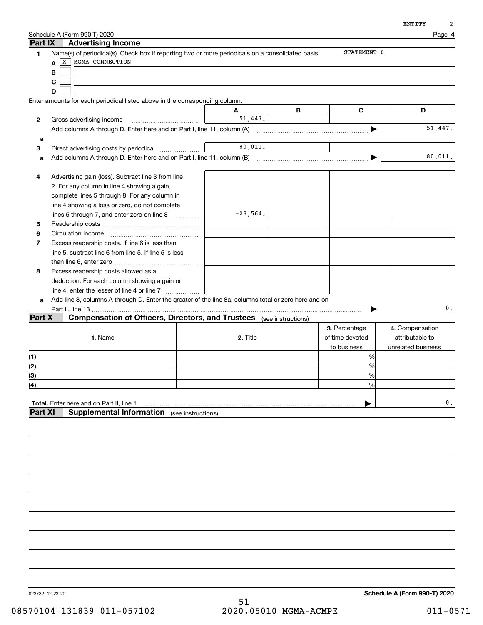|              | Schedule A (Form 990-T) 2020                                                                                           |            |   |                 | Page 4             |
|--------------|------------------------------------------------------------------------------------------------------------------------|------------|---|-----------------|--------------------|
| Part IX      | <b>Advertising Income</b>                                                                                              |            |   | STATEMENT 6     |                    |
| 1            | Name(s) of periodical(s). Check box if reporting two or more periodicals on a consolidated basis.<br>X MGMA CONNECTION |            |   |                 |                    |
|              | A                                                                                                                      |            |   |                 |                    |
|              | В                                                                                                                      |            |   |                 |                    |
|              | C                                                                                                                      |            |   |                 |                    |
|              | D                                                                                                                      |            |   |                 |                    |
|              | Enter amounts for each periodical listed above in the corresponding column.                                            |            |   |                 |                    |
|              |                                                                                                                        | A          | В | C               | D                  |
| $\mathbf{2}$ | Gross advertising income                                                                                               | 51,447.    |   |                 |                    |
|              | Add columns A through D. Enter here and on Part I, line 11, column (A)                                                 |            |   |                 | 51,447.            |
| а            |                                                                                                                        |            |   |                 |                    |
| 3            |                                                                                                                        | 80,011.    |   |                 |                    |
| а            |                                                                                                                        |            |   |                 | 80,011.            |
| 4            | Advertising gain (loss). Subtract line 3 from line                                                                     |            |   |                 |                    |
|              | 2. For any column in line 4 showing a gain,                                                                            |            |   |                 |                    |
|              | complete lines 5 through 8. For any column in                                                                          |            |   |                 |                    |
|              | line 4 showing a loss or zero, do not complete                                                                         |            |   |                 |                    |
|              | lines 5 through 7, and enter zero on line 8                                                                            | $-28,564.$ |   |                 |                    |
| 5            |                                                                                                                        |            |   |                 |                    |
| 6            |                                                                                                                        |            |   |                 |                    |
| 7            | Excess readership costs. If line 6 is less than                                                                        |            |   |                 |                    |
|              | line 5, subtract line 6 from line 5. If line 5 is less                                                                 |            |   |                 |                    |
|              |                                                                                                                        |            |   |                 |                    |
| 8            | Excess readership costs allowed as a                                                                                   |            |   |                 |                    |
|              | deduction. For each column showing a gain on                                                                           |            |   |                 |                    |
|              |                                                                                                                        |            |   |                 |                    |
| a            | Add line 8, columns A through D. Enter the greater of the line 8a, columns total or zero here and on                   |            |   |                 |                    |
|              | Part II, line 13                                                                                                       |            |   |                 | 0.                 |
| Part X       | <b>Compensation of Officers, Directors, and Trustees</b> (see instructions)                                            |            |   |                 |                    |
|              |                                                                                                                        |            |   | 3. Percentage   | 4. Compensation    |
|              | 1. Name                                                                                                                | 2. Title   |   | of time devoted | attributable to    |
|              |                                                                                                                        |            |   | to business     | unrelated business |
| (1)          |                                                                                                                        |            |   | %               |                    |
| (2)          |                                                                                                                        |            |   | %               |                    |
| (3)          |                                                                                                                        |            |   | 0/2             |                    |
| (4)          |                                                                                                                        |            |   | %               |                    |
|              |                                                                                                                        |            |   |                 |                    |
|              | Total. Enter here and on Part II, line 1                                                                               |            |   |                 | 0.                 |
| Part XI      | <b>Supplemental Information</b> (see instructions)                                                                     |            |   |                 |                    |
|              |                                                                                                                        |            |   |                 |                    |
|              |                                                                                                                        |            |   |                 |                    |
|              |                                                                                                                        |            |   |                 |                    |
|              |                                                                                                                        |            |   |                 |                    |
|              |                                                                                                                        |            |   |                 |                    |

**Schedule A (Form 990-T) 2020**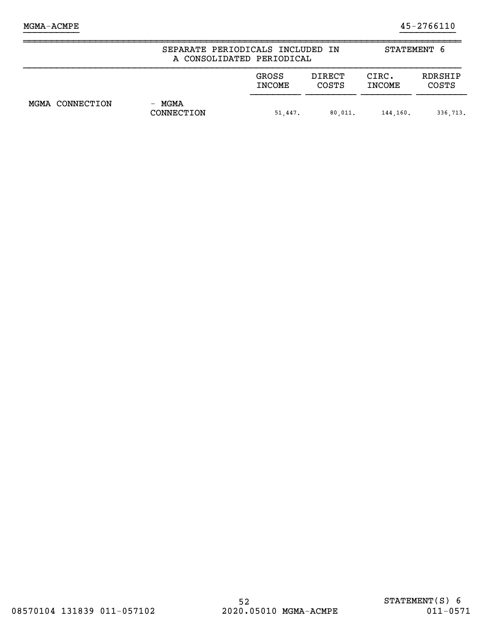|                 | SEPARATE PERIODICALS INCLUDED IN<br>A CONSOLIDATED PERIODICAL | STATEMENT 6            |                        |                        |                         |
|-----------------|---------------------------------------------------------------|------------------------|------------------------|------------------------|-------------------------|
|                 |                                                               | GROSS<br><b>INCOME</b> | DIRECT<br><b>COSTS</b> | CIRC.<br><b>INCOME</b> | RDRSHIP<br><b>COSTS</b> |
| MGMA CONNECTION | - MGMA<br>CONNECTION                                          | 51,447.                | 80.011.                | 144.160.               | 336.713.                |

}}}}}}}}}} }}}}}}}}}}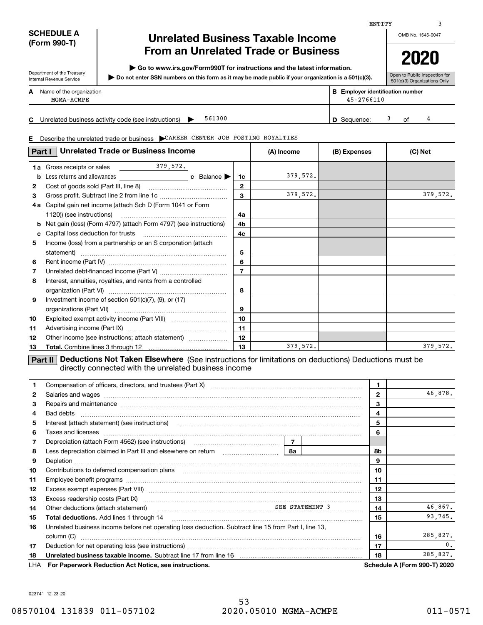### **SCHEDULE A (Form 990-T)**

Department of the Treasury

## **Unrelated Business Taxable Income From an Unrelated Trade or Business**

**| Go to www.irs.gov/Form990T for instructions and the latest information.**

**Do not enter SSN numbers on this form as it may be made public if your organization is a 501(c)(3). |** 

OMB No. 1545-0047 **2020**

ENTITY

Open to Public Inspection for

|   | Internal Revenue Service               | $\blacktriangleright$ Do not enter SSN numbers on this form as it may be made public if your organization is a 501(c)(3). |    | <b>Political dollowing poolion</b><br>501(c)(3) Organizations Only |  |
|---|----------------------------------------|---------------------------------------------------------------------------------------------------------------------------|----|--------------------------------------------------------------------|--|
| A | Name of the organization<br>MGMA-ACMPE | <b>B</b> Emplover identification number<br>$45 - 2766110$                                                                 |    |                                                                    |  |
| С |                                        | 561300<br>Unrelated business activity code (see instructions)<br><b>D</b> Sequence:                                       | Ωf |                                                                    |  |

**E**Describe the unrelated trade or business | CAREER CENTER JOB POSTING ROYALTIES

| Part I       | <b>Unrelated Trade or Business Income</b>                                                                      | (A) Income     | (B) Expenses | (C) Net |          |
|--------------|----------------------------------------------------------------------------------------------------------------|----------------|--------------|---------|----------|
|              | $\frac{379}{572}$ .<br><b>1a</b> Gross receipts or sales                                                       |                |              |         |          |
| b            | c Balance $\blacktriangleright$                                                                                | 1c             | 379,572.     |         |          |
| $\mathbf{2}$ |                                                                                                                | $\mathbf{2}$   |              |         |          |
| 3            |                                                                                                                | 3              | 379,572.     |         | 379,572. |
| 4а           | Capital gain net income (attach Sch D (Form 1041 or Form                                                       |                |              |         |          |
|              | 1120)) (see instructions)                                                                                      | 4a             |              |         |          |
| b            | Net gain (loss) (Form 4797) (attach Form 4797) (see instructions)                                              | 4b             |              |         |          |
| c            |                                                                                                                | 4c             |              |         |          |
| 5            | Income (loss) from a partnership or an S corporation (attach                                                   |                |              |         |          |
|              | statement)                                                                                                     | 5              |              |         |          |
| 6            |                                                                                                                | 6              |              |         |          |
| 7            |                                                                                                                | $\overline{7}$ |              |         |          |
| 8            | Interest, annuities, royalties, and rents from a controlled                                                    |                |              |         |          |
|              |                                                                                                                | 8              |              |         |          |
| 9            | Investment income of section $501(c)(7)$ , (9), or (17)                                                        |                |              |         |          |
|              |                                                                                                                | 9              |              |         |          |
| 10           |                                                                                                                | 10             |              |         |          |
| 11           |                                                                                                                | 11             |              |         |          |
| 12           | Other income (see instructions; attach statement)                                                              | 12             |              |         |          |
| 13           |                                                                                                                | 13             | 379,572.     |         | 379,572. |
|              | La com l'Indiana del Mal Talant Elambana (Arritra) e atribuita trattata a contratta di Indiana del comunità de |                |              |         |          |

**Part II** | Deductions Not Taken Elsewhere (See instructions for limitations on deductions) Deductions must be directly connected with the unrelated business income

| 1.           | Compensation of officers, directors, and trustees (Part X) [11] [2000] [2000] [2000] [2000] [2000] [2000] [2000] [3000] [2000] [2000] [3000] [3000] [3000] [3000] [3000] [3000] [3000] [3000] [3000] [3000] [3000] [3000] [300                                                                                                                                                                                                                                                                | 1  |          |              |                                     |
|--------------|-----------------------------------------------------------------------------------------------------------------------------------------------------------------------------------------------------------------------------------------------------------------------------------------------------------------------------------------------------------------------------------------------------------------------------------------------------------------------------------------------|----|----------|--------------|-------------------------------------|
| $\mathbf{2}$ |                                                                                                                                                                                                                                                                                                                                                                                                                                                                                               |    |          | $\mathbf{2}$ | 46,878.                             |
| 3            |                                                                                                                                                                                                                                                                                                                                                                                                                                                                                               |    |          | 3            |                                     |
| 4            |                                                                                                                                                                                                                                                                                                                                                                                                                                                                                               |    |          | 4            |                                     |
| 5            | Interest (attach statement) (see instructions)<br>$\begin{minipage}{0.5\textwidth} \begin{tabular}{ l l l } \hline \multicolumn{1}{ l l l } \hline \multicolumn{1}{ l l } \multicolumn{1}{ l } \multicolumn{1}{ l } \multicolumn{1}{ l } \multicolumn{1}{ l } \multicolumn{1}{ l } \multicolumn{1}{ l } \multicolumn{1}{ l } \multicolumn{1}{ l } \multicolumn{1}{ l } \multicolumn{1}{ l } \multicolumn{1}{ l } \multicolumn{1}{ l } \multicolumn{1}{ l } \multicolumn{1}{ l } \multicolumn$ |    |          | 5            |                                     |
| 6            | Taxes and licenses <b>communications</b> and interest and interest and interest and licenses <b>contract and interest and interest and interest and interest and interest and interest and interest and interest and interest and int</b>                                                                                                                                                                                                                                                     |    |          | 6            |                                     |
| 7            |                                                                                                                                                                                                                                                                                                                                                                                                                                                                                               |    |          |              |                                     |
| 8            | Less depreciation claimed in Part III and elsewhere on return [1, 1, 1, 1, 1, 1, 1, 1, 1, 1, 1, 1, 1                                                                                                                                                                                                                                                                                                                                                                                          | 8a |          | 8b           |                                     |
| 9            |                                                                                                                                                                                                                                                                                                                                                                                                                                                                                               |    |          | 9            |                                     |
| 10           |                                                                                                                                                                                                                                                                                                                                                                                                                                                                                               |    |          | 10           |                                     |
| 11           |                                                                                                                                                                                                                                                                                                                                                                                                                                                                                               |    |          | 11           |                                     |
| 12           |                                                                                                                                                                                                                                                                                                                                                                                                                                                                                               |    |          | 12           |                                     |
| 13           |                                                                                                                                                                                                                                                                                                                                                                                                                                                                                               |    |          | 13           |                                     |
| 14           | Other deductions (attach statement) material contracts and SEE STATEMENT 3                                                                                                                                                                                                                                                                                                                                                                                                                    |    |          | 14           | 46,867.                             |
| 15           |                                                                                                                                                                                                                                                                                                                                                                                                                                                                                               |    |          | 15           | 93,745.                             |
| 16           | Unrelated business income before net operating loss deduction. Subtract line 15 from Part I, line 13,                                                                                                                                                                                                                                                                                                                                                                                         |    |          |              |                                     |
|              | column (C)                                                                                                                                                                                                                                                                                                                                                                                                                                                                                    |    |          | 16           | 285,827.                            |
| 17           |                                                                                                                                                                                                                                                                                                                                                                                                                                                                                               |    |          | 17           | 0.                                  |
| 18           | Unrelated business taxable income. Subtract line 17 from line 16 <i>manuarrouum communication</i>                                                                                                                                                                                                                                                                                                                                                                                             | 18 | 285,827. |              |                                     |
|              | LHA For Paperwork Reduction Act Notice, see instructions.                                                                                                                                                                                                                                                                                                                                                                                                                                     |    |          |              | <b>Schedule A (Form 990-T) 2020</b> |

023741 12-23-20

3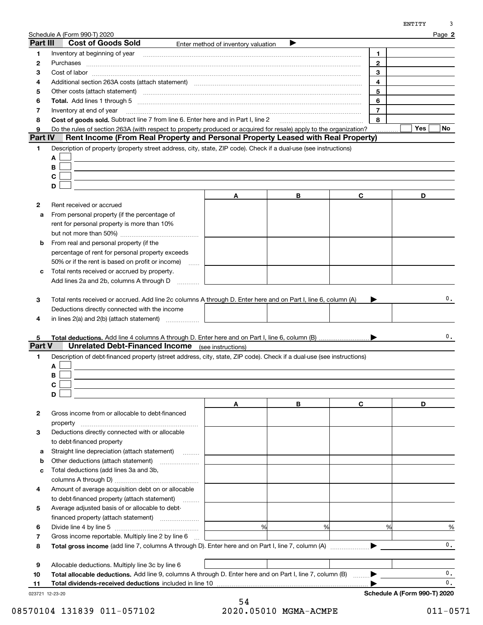|                |                                                                                                                                                                                                                                |                                     |   |                         | ENTITY<br>3                  |
|----------------|--------------------------------------------------------------------------------------------------------------------------------------------------------------------------------------------------------------------------------|-------------------------------------|---|-------------------------|------------------------------|
|                | Schedule A (Form 990-T) 2020                                                                                                                                                                                                   |                                     |   |                         | Page 2                       |
| Part III       | <b>Cost of Goods Sold</b>                                                                                                                                                                                                      | Enter method of inventory valuation |   |                         |                              |
| 1              | Inventory at beginning of year [11] manufactured and manufactured and manufactured and manufactured and manufactured and manufactured and manufactured and manufactured and manufactured and manufactured and manufactured and |                                     |   | 1                       |                              |
| 2              | Purchases                                                                                                                                                                                                                      |                                     |   | $\mathbf{2}$            |                              |
| з              |                                                                                                                                                                                                                                |                                     |   | 3                       |                              |
| 4              | Additional section 263A costs (attach statement) material content and according to the Additional section 263A                                                                                                                 |                                     |   | $\overline{\mathbf{4}}$ |                              |
| 5              | Other costs (attach statement) manufactured and contract and contract at the costs (attach statement)                                                                                                                          |                                     |   | 5                       |                              |
| 6              |                                                                                                                                                                                                                                |                                     |   | 6                       |                              |
| 7              | Inventory at end of year                                                                                                                                                                                                       |                                     |   | $\overline{7}$          |                              |
| 8              | Cost of goods sold. Subtract line 7 from line 6. Enter here and in Part I, line 2                                                                                                                                              |                                     |   | 8                       |                              |
| 9              | Do the rules of section 263A (with respect to property produced or acquired for resale) apply to the organization?                                                                                                             |                                     |   |                         | Yes<br>No                    |
| <b>Part IV</b> | Rent Income (From Real Property and Personal Property Leased with Real Property)                                                                                                                                               |                                     |   |                         |                              |
| 1.             | Description of property (property street address, city, state, ZIP code). Check if a dual-use (see instructions)                                                                                                               |                                     |   |                         |                              |
|                | A                                                                                                                                                                                                                              |                                     |   |                         |                              |
|                | В                                                                                                                                                                                                                              |                                     |   |                         |                              |
|                | C                                                                                                                                                                                                                              |                                     |   |                         |                              |
|                | D                                                                                                                                                                                                                              |                                     |   |                         |                              |
|                |                                                                                                                                                                                                                                | Α                                   | В | C                       | D                            |
| 2              | Rent received or accrued                                                                                                                                                                                                       |                                     |   |                         |                              |
| a              | From personal property (if the percentage of                                                                                                                                                                                   |                                     |   |                         |                              |
|                | rent for personal property is more than 10%                                                                                                                                                                                    |                                     |   |                         |                              |
|                |                                                                                                                                                                                                                                |                                     |   |                         |                              |
| b              | From real and personal property (if the                                                                                                                                                                                        |                                     |   |                         |                              |
|                | percentage of rent for personal property exceeds                                                                                                                                                                               |                                     |   |                         |                              |
|                | 50% or if the rent is based on profit or income)<br>$\sim$                                                                                                                                                                     |                                     |   |                         |                              |
| c              | Total rents received or accrued by property.                                                                                                                                                                                   |                                     |   |                         |                              |
|                | Add lines 2a and 2b, columns A through D                                                                                                                                                                                       |                                     |   |                         |                              |
| 5              |                                                                                                                                                                                                                                |                                     |   |                         | 0.                           |
| <b>Part V</b>  | <b>Unrelated Debt-Financed Income</b> (see instructions)                                                                                                                                                                       |                                     |   |                         |                              |
| 1              | Description of debt-financed property (street address, city, state, ZIP code). Check if a dual-use (see instructions)                                                                                                          |                                     |   |                         |                              |
|                | А                                                                                                                                                                                                                              |                                     |   |                         |                              |
|                | В                                                                                                                                                                                                                              |                                     |   |                         |                              |
|                | C                                                                                                                                                                                                                              |                                     |   |                         |                              |
|                | D                                                                                                                                                                                                                              |                                     |   |                         |                              |
|                |                                                                                                                                                                                                                                | A                                   | В | C                       | D                            |
| 2              | Gross income from or allocable to debt-financed                                                                                                                                                                                |                                     |   |                         |                              |
|                | property                                                                                                                                                                                                                       |                                     |   |                         |                              |
| з              | Deductions directly connected with or allocable                                                                                                                                                                                |                                     |   |                         |                              |
|                | to debt-financed property                                                                                                                                                                                                      |                                     |   |                         |                              |
| а              | Straight line depreciation (attach statement)                                                                                                                                                                                  |                                     |   |                         |                              |
| b              | Other deductions (attach statement)                                                                                                                                                                                            |                                     |   |                         |                              |
| c              | Total deductions (add lines 3a and 3b,                                                                                                                                                                                         |                                     |   |                         |                              |
|                |                                                                                                                                                                                                                                |                                     |   |                         |                              |
| 4              | Amount of average acquisition debt on or allocable                                                                                                                                                                             |                                     |   |                         |                              |
|                | to debt-financed property (attach statement)                                                                                                                                                                                   |                                     |   |                         |                              |
| 5              | Average adjusted basis of or allocable to debt-                                                                                                                                                                                |                                     |   |                         |                              |
|                |                                                                                                                                                                                                                                |                                     |   |                         |                              |
| 6              |                                                                                                                                                                                                                                | %                                   | % | %                       | %                            |
| 7              | Gross income reportable. Multiply line 2 by line 6                                                                                                                                                                             |                                     |   |                         |                              |
| 8              |                                                                                                                                                                                                                                |                                     |   |                         | $\mathbf 0$ .                |
| 9              | Allocable deductions. Multiply line 3c by line 6                                                                                                                                                                               |                                     |   |                         |                              |
| 10             | Total allocable deductions. Add line 9, columns A through D. Enter here and on Part I, line 7, column (B)                                                                                                                      |                                     |   |                         | 0.                           |
| 11             | Total dividends-received deductions included in line 10                                                                                                                                                                        |                                     |   |                         | 0.                           |
|                | 023721 12-23-20                                                                                                                                                                                                                |                                     |   |                         | Schedule A (Form 990-T) 2020 |

54 08570104 131839 011-057102 2020.05010 MGMA-ACMPE 011-0571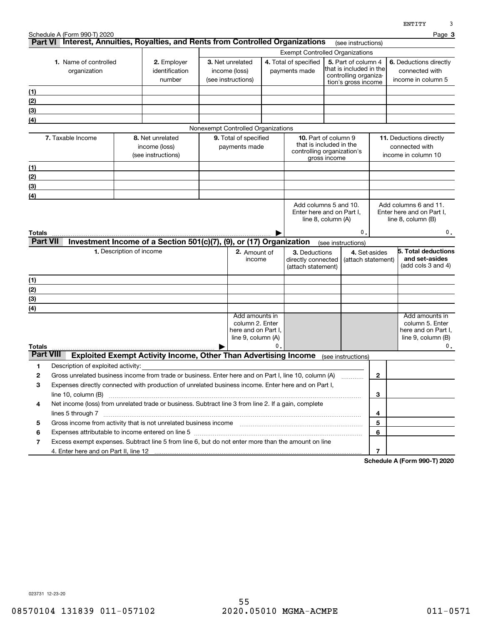|                  |                                                                                                       |                          |                                                                        |                                        |    |                                        |                                                |                    | <b>ENTITY</b>                             |  |
|------------------|-------------------------------------------------------------------------------------------------------|--------------------------|------------------------------------------------------------------------|----------------------------------------|----|----------------------------------------|------------------------------------------------|--------------------|-------------------------------------------|--|
|                  | Schedule A (Form 990-T) 2020                                                                          |                          |                                                                        |                                        |    |                                        |                                                |                    | Page 3                                    |  |
|                  | Part VI Interest, Annuities, Royalties, and Rents from Controlled Organizations                       |                          |                                                                        |                                        |    |                                        | (see instructions)                             |                    |                                           |  |
|                  |                                                                                                       |                          |                                                                        |                                        |    | <b>Exempt Controlled Organizations</b> |                                                |                    |                                           |  |
|                  | 1. Name of controlled                                                                                 |                          | 2. Employer                                                            | 3. Net unrelated                       |    | 4. Total of specified                  | 5. Part of column 4<br>that is included in the |                    | 6. Deductions directly                    |  |
|                  | organization                                                                                          |                          | identification<br>number                                               | income (loss)<br>(see instructions)    |    | payments made                          | controlling organiza-                          |                    | connected with<br>income in column 5      |  |
|                  |                                                                                                       |                          |                                                                        |                                        |    |                                        | tion's gross income                            |                    |                                           |  |
| (1)              |                                                                                                       |                          |                                                                        |                                        |    |                                        |                                                |                    |                                           |  |
| (2)              |                                                                                                       |                          |                                                                        |                                        |    |                                        |                                                |                    |                                           |  |
| (3)              |                                                                                                       |                          |                                                                        |                                        |    |                                        |                                                |                    |                                           |  |
| (4)              |                                                                                                       |                          |                                                                        |                                        |    |                                        |                                                |                    |                                           |  |
|                  |                                                                                                       |                          |                                                                        | Nonexempt Controlled Organizations     |    |                                        | 10. Part of column 9                           |                    |                                           |  |
|                  | 7. Taxable Income                                                                                     |                          | 8. Net unrelated<br>income (loss)                                      | 9. Total of specified<br>payments made |    |                                        | that is included in the                        |                    | 11. Deductions directly<br>connected with |  |
|                  |                                                                                                       |                          | (see instructions)                                                     |                                        |    |                                        | controlling organization's                     |                    | income in column 10                       |  |
|                  |                                                                                                       |                          |                                                                        |                                        |    |                                        | gross income                                   |                    |                                           |  |
| (1)              |                                                                                                       |                          |                                                                        |                                        |    |                                        |                                                |                    |                                           |  |
| (2)              |                                                                                                       |                          |                                                                        |                                        |    |                                        |                                                |                    |                                           |  |
| (3)              |                                                                                                       |                          |                                                                        |                                        |    |                                        |                                                |                    |                                           |  |
| (4)              |                                                                                                       |                          |                                                                        |                                        |    |                                        | Add columns 5 and 10.                          |                    | Add columns 6 and 11.                     |  |
|                  |                                                                                                       |                          |                                                                        |                                        |    |                                        | Enter here and on Part I,                      |                    | Enter here and on Part I,                 |  |
|                  |                                                                                                       |                          |                                                                        |                                        |    |                                        | line 8, column (A)                             |                    | line $8$ , column $(B)$                   |  |
| Totals           |                                                                                                       |                          |                                                                        |                                        |    |                                        |                                                | 0.                 | 0.                                        |  |
| <b>Part VII</b>  |                                                                                                       |                          | Investment Income of a Section 501(c)(7), (9), or (17) Organization    |                                        |    |                                        | (see instructions)                             |                    |                                           |  |
|                  |                                                                                                       | 1. Description of income |                                                                        | 2. Amount of                           |    | 3. Deductions                          |                                                | 4. Set-asides      | 5. Total deductions                       |  |
|                  |                                                                                                       |                          |                                                                        | income                                 |    | directly connected                     |                                                | (attach statement) | and set-asides                            |  |
|                  |                                                                                                       |                          |                                                                        |                                        |    | (attach statement)                     |                                                |                    | (add cols 3 and 4)                        |  |
| (1)              |                                                                                                       |                          |                                                                        |                                        |    |                                        |                                                |                    |                                           |  |
| (2)              |                                                                                                       |                          |                                                                        |                                        |    |                                        |                                                |                    |                                           |  |
| (3)              |                                                                                                       |                          |                                                                        |                                        |    |                                        |                                                |                    |                                           |  |
| (4)              |                                                                                                       |                          |                                                                        |                                        |    |                                        |                                                |                    |                                           |  |
|                  |                                                                                                       |                          |                                                                        | Add amounts in                         |    |                                        |                                                |                    | Add amounts in                            |  |
|                  |                                                                                                       |                          |                                                                        | column 2. Enter<br>here and on Part I, |    |                                        |                                                |                    | column 5. Enter<br>here and on Part I,    |  |
|                  |                                                                                                       |                          |                                                                        | line 9, column (A)                     |    |                                        |                                                |                    | line $9$ , column $(B)$                   |  |
| Totals           |                                                                                                       |                          |                                                                        |                                        | 0. |                                        |                                                |                    | 0.                                        |  |
| <b>Part VIII</b> |                                                                                                       |                          | <b>Exploited Exempt Activity Income, Other Than Advertising Income</b> |                                        |    |                                        | (see instructions)                             |                    |                                           |  |
| 1                | Description of exploited activity:                                                                    |                          |                                                                        |                                        |    |                                        |                                                |                    |                                           |  |
| 2                | Gross unrelated business income from trade or business. Enter here and on Part I, line 10, column (A) |                          |                                                                        |                                        |    |                                        |                                                | 2                  |                                           |  |
| з                | Expenses directly connected with production of unrelated business income. Enter here and on Part I,   |                          |                                                                        |                                        |    |                                        |                                                |                    |                                           |  |
|                  | line $10$ , column $(B)$                                                                              |                          |                                                                        |                                        |    |                                        |                                                | 3                  |                                           |  |
| 4                | Net income (loss) from unrelated trade or business. Subtract line 3 from line 2. If a gain, complete  |                          |                                                                        |                                        |    |                                        |                                                |                    |                                           |  |
|                  | lines 5 through 7                                                                                     |                          |                                                                        |                                        |    |                                        |                                                | 4                  |                                           |  |
| 5                |                                                                                                       |                          |                                                                        |                                        |    |                                        |                                                | 5                  |                                           |  |
| 6                |                                                                                                       |                          |                                                                        |                                        |    |                                        |                                                | 6                  |                                           |  |
| 7                | Excess exempt expenses. Subtract line 5 from line 6, but do not enter more than the amount on line    |                          |                                                                        |                                        |    |                                        |                                                |                    |                                           |  |
|                  |                                                                                                       |                          |                                                                        |                                        |    |                                        |                                                | 7                  |                                           |  |
|                  |                                                                                                       |                          |                                                                        |                                        |    |                                        |                                                |                    |                                           |  |

**Schedule A (Form 990-T) 2020**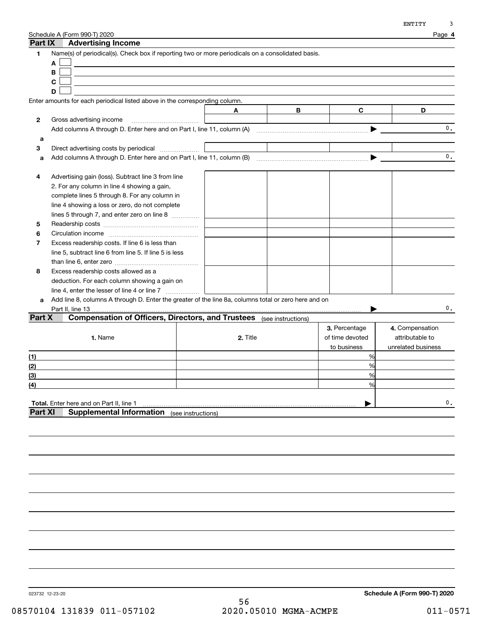|              | Schedule A (Form 990-T) 2020                                                                         |                    |   |                 | Page 4             |
|--------------|------------------------------------------------------------------------------------------------------|--------------------|---|-----------------|--------------------|
| Part IX      | <b>Advertising Income</b>                                                                            |                    |   |                 |                    |
| 1            | Name(s) of periodical(s). Check box if reporting two or more periodicals on a consolidated basis.    |                    |   |                 |                    |
|              | A                                                                                                    |                    |   |                 |                    |
|              | B                                                                                                    |                    |   |                 |                    |
|              | C                                                                                                    |                    |   |                 |                    |
|              | D                                                                                                    |                    |   |                 |                    |
|              | Enter amounts for each periodical listed above in the corresponding column.                          |                    |   |                 |                    |
|              |                                                                                                      | A                  | В | C               | D                  |
| $\mathbf{2}$ | Gross advertising income                                                                             |                    |   |                 |                    |
|              |                                                                                                      |                    |   |                 | $\mathbf{0}$ .     |
| a            |                                                                                                      |                    |   |                 |                    |
| 3            | Direct advertising costs by periodical <i></i>                                                       |                    |   |                 |                    |
| a            | Add columns A through D. Enter here and on Part I, line 11, column (B)                               |                    |   |                 | 0.                 |
|              |                                                                                                      |                    |   |                 |                    |
| 4            | Advertising gain (loss). Subtract line 3 from line                                                   |                    |   |                 |                    |
|              | 2. For any column in line 4 showing a gain,                                                          |                    |   |                 |                    |
|              | complete lines 5 through 8. For any column in                                                        |                    |   |                 |                    |
|              | line 4 showing a loss or zero, do not complete                                                       |                    |   |                 |                    |
|              | lines 5 through 7, and enter zero on line 8                                                          |                    |   |                 |                    |
| 5            |                                                                                                      |                    |   |                 |                    |
| 6            |                                                                                                      |                    |   |                 |                    |
| 7            | Excess readership costs. If line 6 is less than                                                      |                    |   |                 |                    |
|              | line 5, subtract line 6 from line 5. If line 5 is less                                               |                    |   |                 |                    |
|              |                                                                                                      |                    |   |                 |                    |
| 8            | Excess readership costs allowed as a                                                                 |                    |   |                 |                    |
|              | deduction. For each column showing a gain on                                                         |                    |   |                 |                    |
|              |                                                                                                      |                    |   |                 |                    |
| a            | Add line 8, columns A through D. Enter the greater of the line 8a, columns total or zero here and on |                    |   |                 |                    |
|              | Part II, line 13.                                                                                    |                    |   |                 | 0.                 |
| Part X       | <b>Compensation of Officers, Directors, and Trustees</b> (see instructions)                          |                    |   |                 |                    |
|              |                                                                                                      |                    |   | 3. Percentage   | 4. Compensation    |
|              | 1. Name                                                                                              | 2. Title           |   | of time devoted | attributable to    |
|              |                                                                                                      |                    |   | to business     | unrelated business |
| (1)          |                                                                                                      |                    |   | %               |                    |
| (2)          |                                                                                                      |                    |   | %               |                    |
| (3)          |                                                                                                      |                    |   | %               |                    |
| (4)          |                                                                                                      |                    |   | %               |                    |
|              |                                                                                                      |                    |   |                 |                    |
|              | Total. Enter here and on Part II, line 1                                                             |                    |   |                 | 0.                 |
| Part XI      | <b>Supplemental Information</b>                                                                      | (see instructions) |   |                 |                    |
|              |                                                                                                      |                    |   |                 |                    |
|              |                                                                                                      |                    |   |                 |                    |
|              |                                                                                                      |                    |   |                 |                    |

023732 12-23-20

56 08570104 131839 011-057102 2020.05010 MGMA-ACMPE 011-0571

**Schedule A (Form 990-T) 2020**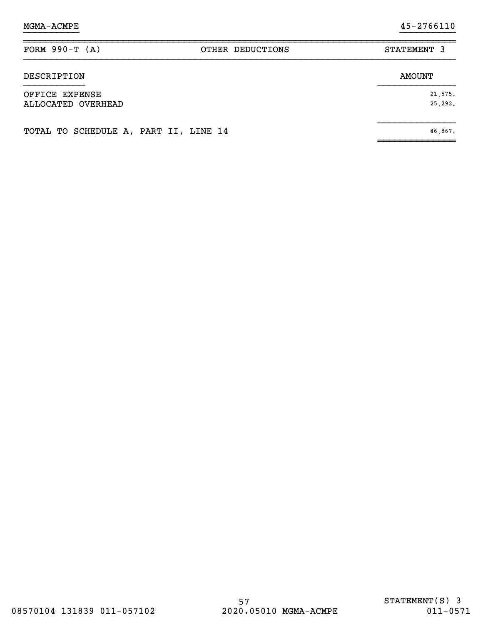| FORM $990-T (A)$                      | OTHER DEDUCTIONS | STATEMENT 3        |
|---------------------------------------|------------------|--------------------|
| DESCRIPTION                           |                  | <b>AMOUNT</b>      |
| OFFICE EXPENSE<br>ALLOCATED OVERHEAD  |                  | 21,575.<br>25,292. |
| TOTAL TO SCHEDULE A, PART II, LINE 14 |                  | 46,867.            |

}}}}}}}}}} }}}}}}}}}}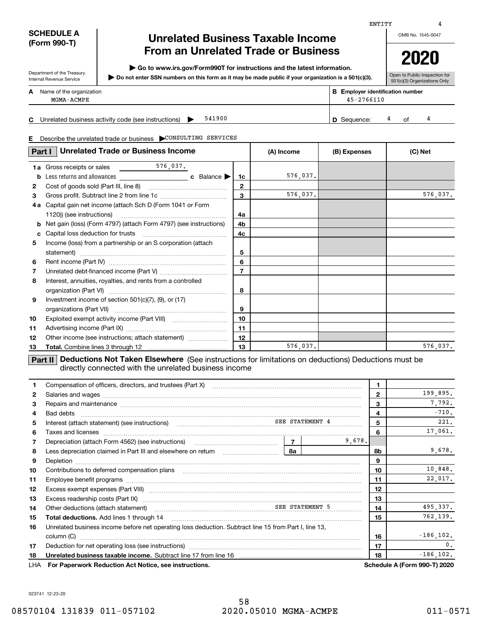### **SCHEDULE A (Form 990-T)**

Department of the Treasury Internal Revenue Service

## **Unrelated Business Taxable Income From an Unrelated Trade or Business**

**| Go to www.irs.gov/Form990T for instructions and the latest information.**

**Do not enter SSN numbers on this form as it may be made public if your organization is a 501(c)(3). |** 

**2020**

Open to Public Inspection for 501(c)(3) Organizations Only

|    |                                                               |                                                           | $\cdots$ |  |
|----|---------------------------------------------------------------|-----------------------------------------------------------|----------|--|
|    | <b>A</b> Name of the organization<br>MGMA-ACMPE               | <b>B</b> Employer identification number<br>$45 - 2766110$ |          |  |
| C. | 541900<br>Unrelated business activity code (see instructions) | <b>D</b> Sequence:                                        | ∩f       |  |

**E**Describe the unrelated trade or business | CONSULTING SERVICES

| Part I | <b>Unrelated Trade or Business Income</b>                         |                | (A) Income | (B) Expenses | (C) Net  |
|--------|-------------------------------------------------------------------|----------------|------------|--------------|----------|
| 1a     |                                                                   |                |            |              |          |
| b      |                                                                   | 1c             | 576,037.   |              |          |
| 2      | Cost of goods sold (Part III, line 8)                             | 2              |            |              |          |
| 3      |                                                                   | 3              | 576,037.   |              | 576,037. |
| 4a     | Capital gain net income (attach Sch D (Form 1041 or Form          |                |            |              |          |
|        | 1120)) (see instructions)                                         | 4a             |            |              |          |
| b      | Net gain (loss) (Form 4797) (attach Form 4797) (see instructions) | 4b             |            |              |          |
| c.     |                                                                   | 4c             |            |              |          |
| 5      | Income (loss) from a partnership or an S corporation (attach      |                |            |              |          |
|        | statement)                                                        | 5              |            |              |          |
| 6      |                                                                   | 6              |            |              |          |
| 7      |                                                                   | $\overline{7}$ |            |              |          |
| 8      | Interest, annuities, royalties, and rents from a controlled       |                |            |              |          |
|        |                                                                   | 8              |            |              |          |
| 9      | Investment income of section $501(c)(7)$ , $(9)$ , or $(17)$      |                |            |              |          |
|        |                                                                   | 9              |            |              |          |
| 10     |                                                                   | 10             |            |              |          |
| 11     |                                                                   | 11             |            |              |          |
| 12     | Other income (see instructions; attach statement)                 | 12             |            |              |          |
| 13     |                                                                   | 13             | 576,037.   |              | 576,037. |

**Part II** Deductions Not Taken Elsewhere (See instructions for limitations on deductions) Deductions must be directly connected with the unrelated business income

| 1.           | Compensation of officers, directors, and trustees (Part X) [11] [2010] [2010] [2010] [2010] [2010] [2010] [2010] [3010] [2010] [2010] [3010] [2010] [3010] [3010] [3010] [3010] [3010] [3010] [3010] [3010] [3010] [3010] [301       | 1      |              |                                     |
|--------------|--------------------------------------------------------------------------------------------------------------------------------------------------------------------------------------------------------------------------------------|--------|--------------|-------------------------------------|
| $\mathbf{2}$ | Salaries and wages <b>construction and construction of the set of the set of the set of the set of the set of the set of the set of the set of the set of the set of the set of the set of the set of the set of the set of the </b> |        | $\mathbf{2}$ | 199,895.                            |
| 3            | Repairs and maintenance material content and content and maintenance material content and maintenance material                                                                                                                       |        | 3            | 7,792.                              |
| 4            | Bad debts                                                                                                                                                                                                                            |        | 4            | $-710.$                             |
| 5            | Interest (attach statement) (see instructions) (www.community.community.community.community.community.community.community.community.community.community.community.community.community.community.community.community.community.       |        | 5            | 221.                                |
| 6            |                                                                                                                                                                                                                                      |        | 6            | 17,061.                             |
| 7            |                                                                                                                                                                                                                                      | 9.678. |              |                                     |
| 8            | Less depreciation claimed in Part III and elsewhere on return maturing maturing the last and less<br>8a                                                                                                                              |        | 8b           | 9,678.                              |
| 9            |                                                                                                                                                                                                                                      |        | 9            |                                     |
| 10           | Contributions to deferred compensation plans                                                                                                                                                                                         |        | 10           | 10,848.                             |
| 11           |                                                                                                                                                                                                                                      |        | 11           | 22,017.                             |
| 12           |                                                                                                                                                                                                                                      |        | 12           |                                     |
| 13           |                                                                                                                                                                                                                                      |        | 13           |                                     |
| 14           | Other deductions (attach statement)<br>material continuum and the SEE STATEMENT 5                                                                                                                                                    |        | 14           | 495,337.                            |
| 15           | <b>Total deductions.</b> Add lines 1 through 14                                                                                                                                                                                      |        | 15           | 762,139.                            |
| 16           | Unrelated business income before net operating loss deduction. Subtract line 15 from Part I, line 13,                                                                                                                                |        |              |                                     |
|              | column (C)                                                                                                                                                                                                                           |        | 16           | $-186, 102.$                        |
| 17           |                                                                                                                                                                                                                                      |        | 17           | $\overline{\phantom{a}}$            |
| 18           | Unrelated business taxable income. Subtract line 17 from line 16 [11] [11] Unrelated business taxable income.                                                                                                                        |        | 18           | $-186, 102.$                        |
| LHA          | For Paperwork Reduction Act Notice, see instructions.                                                                                                                                                                                |        |              | <b>Schedule A (Form 990-T) 2020</b> |

023741 12-23-20

## OMB No. 1545-0047

ENTITY

4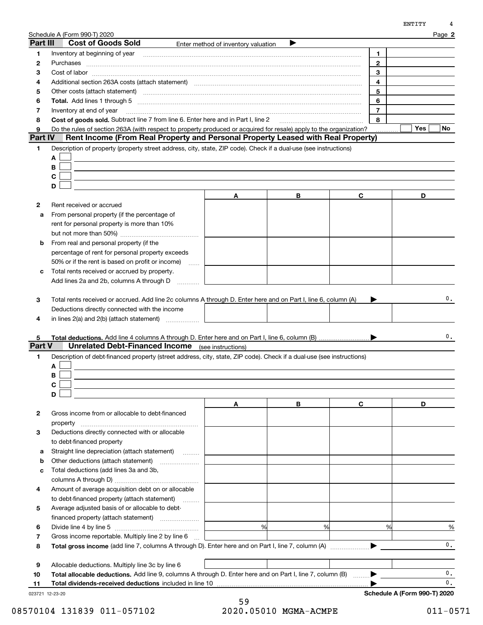| Part III | <b>Cost of Goods Sold</b>                                                                                             | Enter method of inventory valuation |   |                |           |
|----------|-----------------------------------------------------------------------------------------------------------------------|-------------------------------------|---|----------------|-----------|
| 1        |                                                                                                                       |                                     |   | 1.             |           |
| 2        | Purchases                                                                                                             |                                     |   | $\overline{2}$ |           |
| з        |                                                                                                                       |                                     |   | 3              |           |
| 4        | Additional section 263A costs (attach statement) material content content and a section 263A costs (attach statement) |                                     |   | 4              |           |
| 5        | Other costs (attach statement) manufactured and contract and attachment of the costs (attach statement)               |                                     |   | 5              |           |
| 6        |                                                                                                                       |                                     |   | 6              |           |
| 7        | Inventory at end of year                                                                                              |                                     |   | $\overline{7}$ |           |
| 8        | Cost of goods sold. Subtract line 7 from line 6. Enter here and in Part I, line 2                                     |                                     |   | 8              |           |
| 9        | Do the rules of section 263A (with respect to property produced or acquired for resale) apply to the organization?    |                                     |   |                | Yes<br>No |
| Part IV  | Rent Income (From Real Property and Personal Property Leased with Real Property)                                      |                                     |   |                |           |
| 1        | Description of property (property street address, city, state, ZIP code). Check if a dual-use (see instructions)      |                                     |   |                |           |
|          | Α                                                                                                                     |                                     |   |                |           |
|          | В                                                                                                                     |                                     |   |                |           |
|          | С                                                                                                                     |                                     |   |                |           |
|          | D                                                                                                                     |                                     |   |                |           |
|          |                                                                                                                       | A                                   | В | C              | D         |
| 2        | Rent received or accrued                                                                                              |                                     |   |                |           |
| a        | From personal property (if the percentage of                                                                          |                                     |   |                |           |
|          | rent for personal property is more than 10%                                                                           |                                     |   |                |           |
|          |                                                                                                                       |                                     |   |                |           |
| b        | From real and personal property (if the                                                                               |                                     |   |                |           |
|          | percentage of rent for personal property exceeds                                                                      |                                     |   |                |           |
|          | 50% or if the rent is based on profit or income)<br><b>Service</b>                                                    |                                     |   |                |           |
| с        | Total rents received or accrued by property.                                                                          |                                     |   |                |           |
|          | Add lines 2a and 2b, columns A through D                                                                              |                                     |   |                |           |
|          |                                                                                                                       |                                     |   |                |           |
| 3        | Total rents received or accrued. Add line 2c columns A through D. Enter here and on Part I, line 6, column (A)        |                                     |   |                | 0.        |
|          | Deductions directly connected with the income                                                                         |                                     |   |                |           |
| 4        | in lines $2(a)$ and $2(b)$ (attach statement) $\ldots$                                                                |                                     |   |                |           |
|          |                                                                                                                       |                                     |   |                |           |
| 5.       |                                                                                                                       |                                     |   |                | 0.        |
| Part V   | <b>Unrelated Debt-Financed Income</b> (see instructions)                                                              |                                     |   |                |           |
| 1        | Description of debt-financed property (street address, city, state, ZIP code). Check if a dual-use (see instructions) |                                     |   |                |           |
|          | A                                                                                                                     |                                     |   |                |           |
|          | В                                                                                                                     |                                     |   |                |           |
|          | С                                                                                                                     |                                     |   |                |           |
|          | D                                                                                                                     |                                     |   |                |           |
|          |                                                                                                                       | A                                   | В | C              | D         |
| 2        | Gross income from or allocable to debt-financed                                                                       |                                     |   |                |           |
|          | property                                                                                                              |                                     |   |                |           |
| 3        | Deductions directly connected with or allocable                                                                       |                                     |   |                |           |
|          | to debt-financed property                                                                                             |                                     |   |                |           |
| а        | Straight line depreciation (attach statement)                                                                         |                                     |   |                |           |
| b        | Other deductions (attach statement)                                                                                   |                                     |   |                |           |
| с        | Total deductions (add lines 3a and 3b,                                                                                |                                     |   |                |           |
|          |                                                                                                                       |                                     |   |                |           |
| 4        | Amount of average acquisition debt on or allocable                                                                    |                                     |   |                |           |
|          | to debt-financed property (attach statement)                                                                          |                                     |   |                |           |
| 5        | Average adjusted basis of or allocable to debt-                                                                       |                                     |   |                |           |
|          | financed property (attach statement)                                                                                  |                                     |   |                |           |
| 6        |                                                                                                                       | %                                   | % | %              | %         |

**7**Gross income reportable. Multiply line 2 by line 6 ...

**8**Total gross income (add line 7, columns A through D). Enter here and on Part I, line 7, column (A)  $\ldots$  $\ldots$  $\ldots$ 

**9**Allocable deductions. Multiply line 3c by line 6

**10**Total allocable deductions. Add line 9, columns A through D. Enter here and on Part I, line 7, column (B)  $\quad \ldots \rightarrow$  $\blacktriangleright$ 

**11Total dividends-received deductions** included in line 10 …………………………………………………………………

023721 12-23-20

Schedule A (Form 990-T) 2020

0.

0.0.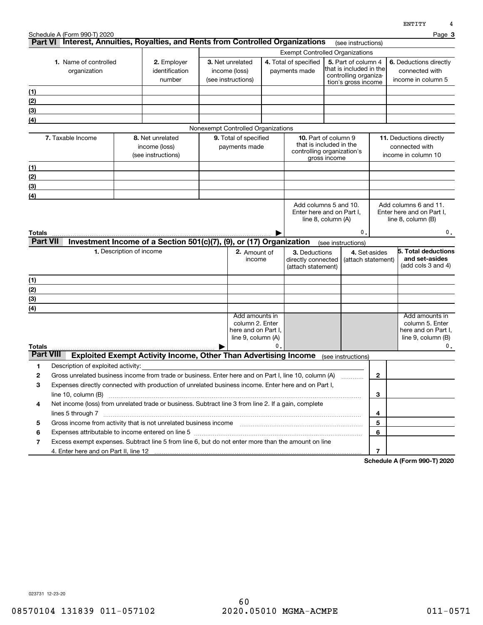|                                  | Schedule A (Form 990-T) 2020          | Part VI Interest, Annuities, Royalties, and Rents from Controlled Organizations                                                                                                                                                                       |                                                              |                                                                                |    |                                                                                      |                                                                                                                   |                     |                | Page 3                                                                               |
|----------------------------------|---------------------------------------|-------------------------------------------------------------------------------------------------------------------------------------------------------------------------------------------------------------------------------------------------------|--------------------------------------------------------------|--------------------------------------------------------------------------------|----|--------------------------------------------------------------------------------------|-------------------------------------------------------------------------------------------------------------------|---------------------|----------------|--------------------------------------------------------------------------------------|
|                                  |                                       |                                                                                                                                                                                                                                                       | (see instructions)<br><b>Exempt Controlled Organizations</b> |                                                                                |    |                                                                                      |                                                                                                                   |                     |                |                                                                                      |
|                                  | 1. Name of controlled<br>organization | 2. Employer<br>identification<br>number                                                                                                                                                                                                               |                                                              | 3. Net unrelated<br>income (loss)<br>(see instructions)                        |    |                                                                                      | 4. Total of specified<br>5. Part of column 4<br>that is included in the<br>payments made<br>controlling organiza- |                     |                | 6. Deductions directly<br>connected with<br>income in column 5                       |
| (1)                              |                                       |                                                                                                                                                                                                                                                       |                                                              |                                                                                |    |                                                                                      |                                                                                                                   | tion's gross income |                |                                                                                      |
| (2)                              |                                       |                                                                                                                                                                                                                                                       |                                                              |                                                                                |    |                                                                                      |                                                                                                                   |                     |                |                                                                                      |
| (3)                              |                                       |                                                                                                                                                                                                                                                       |                                                              |                                                                                |    |                                                                                      |                                                                                                                   |                     |                |                                                                                      |
| (4)                              |                                       |                                                                                                                                                                                                                                                       |                                                              |                                                                                |    |                                                                                      |                                                                                                                   |                     |                |                                                                                      |
|                                  |                                       |                                                                                                                                                                                                                                                       |                                                              | Nonexempt Controlled Organizations                                             |    |                                                                                      |                                                                                                                   |                     |                |                                                                                      |
|                                  | 7. Taxable Income                     | 8. Net unrelated<br>income (loss)<br>(see instructions)                                                                                                                                                                                               |                                                              | 9. Total of specified<br>payments made                                         |    | <b>10.</b> Part of column 9<br>that is included in the<br>controlling organization's | gross income                                                                                                      |                     |                | <b>11.</b> Deductions directly<br>connected with<br>income in column 10              |
| (1)                              |                                       |                                                                                                                                                                                                                                                       |                                                              |                                                                                |    |                                                                                      |                                                                                                                   |                     |                |                                                                                      |
| (2)                              |                                       |                                                                                                                                                                                                                                                       |                                                              |                                                                                |    |                                                                                      |                                                                                                                   |                     |                |                                                                                      |
| (3)                              |                                       |                                                                                                                                                                                                                                                       |                                                              |                                                                                |    |                                                                                      |                                                                                                                   |                     |                |                                                                                      |
| (4)                              |                                       |                                                                                                                                                                                                                                                       |                                                              |                                                                                |    |                                                                                      |                                                                                                                   |                     |                |                                                                                      |
| <b>Totals</b><br><b>Part VII</b> |                                       |                                                                                                                                                                                                                                                       |                                                              |                                                                                |    | Enter here and on Part I,<br>line 8, column (A)                                      |                                                                                                                   | 0.                  |                | Enter here and on Part I,<br>line $8$ , column $(B)$<br>О.                           |
|                                  |                                       | Investment Income of a Section 501(c)(7), (9), or (17) Organization                                                                                                                                                                                   |                                                              |                                                                                |    |                                                                                      |                                                                                                                   | (see instructions)  |                |                                                                                      |
|                                  |                                       | 1. Description of income                                                                                                                                                                                                                              |                                                              | 2. Amount of<br>income                                                         |    | 3. Deductions<br>directly connected<br>(attach statement)                            |                                                                                                                   | (attach statement)  | 4. Set-asides  | 5. Total deductions<br>and set-asides<br>(add cols 3 and 4)                          |
| (1)                              |                                       |                                                                                                                                                                                                                                                       |                                                              |                                                                                |    |                                                                                      |                                                                                                                   |                     |                |                                                                                      |
| (2)                              |                                       |                                                                                                                                                                                                                                                       |                                                              |                                                                                |    |                                                                                      |                                                                                                                   |                     |                |                                                                                      |
| (3)                              |                                       |                                                                                                                                                                                                                                                       |                                                              |                                                                                |    |                                                                                      |                                                                                                                   |                     |                |                                                                                      |
| (4)<br><b>Totals</b>             |                                       |                                                                                                                                                                                                                                                       |                                                              | Add amounts in<br>column 2. Enter<br>here and on Part I,<br>line 9, column (A) | 0. |                                                                                      |                                                                                                                   |                     |                | Add amounts in<br>column 5. Enter<br>here and on Part I,<br>line 9, column (B)<br>0. |
| <b>Part VIII</b>                 |                                       | Exploited Exempt Activity Income, Other Than Advertising Income                                                                                                                                                                                       |                                                              |                                                                                |    |                                                                                      |                                                                                                                   | (see instructions)  |                |                                                                                      |
| 1                                | Description of exploited activity:    |                                                                                                                                                                                                                                                       |                                                              |                                                                                |    |                                                                                      |                                                                                                                   |                     |                |                                                                                      |
| 2                                |                                       | Gross unrelated business income from trade or business. Enter here and on Part I, line 10, column (A)                                                                                                                                                 |                                                              |                                                                                |    |                                                                                      |                                                                                                                   |                     | $\mathbf{2}$   |                                                                                      |
| 3                                |                                       | Expenses directly connected with production of unrelated business income. Enter here and on Part I,                                                                                                                                                   |                                                              |                                                                                |    |                                                                                      |                                                                                                                   |                     |                |                                                                                      |
|                                  |                                       |                                                                                                                                                                                                                                                       |                                                              |                                                                                |    |                                                                                      |                                                                                                                   |                     | 3              |                                                                                      |
| 4                                |                                       | Net income (loss) from unrelated trade or business. Subtract line 3 from line 2. If a gain, complete                                                                                                                                                  |                                                              |                                                                                |    |                                                                                      |                                                                                                                   |                     |                |                                                                                      |
| 5                                |                                       |                                                                                                                                                                                                                                                       |                                                              |                                                                                |    |                                                                                      |                                                                                                                   |                     | 4<br>5         |                                                                                      |
| 6                                |                                       | Gross income from activity that is not unrelated business income [11] [11] content material content from activity that is not unrelated business income [11] [11] [11] $\alpha$ [11] $\alpha$ [11] $\alpha$ [11] $\alpha$ [11] $\alpha$ [11] $\alpha$ |                                                              |                                                                                |    |                                                                                      |                                                                                                                   |                     | 6              |                                                                                      |
| 7                                |                                       | Excess exempt expenses. Subtract line 5 from line 6, but do not enter more than the amount on line                                                                                                                                                    |                                                              |                                                                                |    |                                                                                      |                                                                                                                   |                     |                |                                                                                      |
|                                  |                                       |                                                                                                                                                                                                                                                       |                                                              |                                                                                |    |                                                                                      |                                                                                                                   |                     | $\overline{7}$ |                                                                                      |

**Schedule A (Form 990-T) 2020**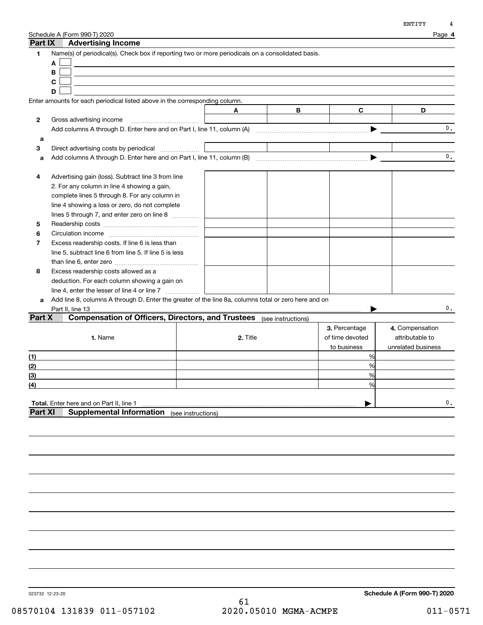| Part IX      | Schedule A (Form 990-T) 2020<br><b>Advertising Income</b>                                                             |                    |          |   |                 | Page 4             |
|--------------|-----------------------------------------------------------------------------------------------------------------------|--------------------|----------|---|-----------------|--------------------|
| 1            | Name(s) of periodical(s). Check box if reporting two or more periodicals on a consolidated basis.<br>A<br>B<br>C<br>D |                    |          |   |                 |                    |
|              | Enter amounts for each periodical listed above in the corresponding column.                                           |                    |          |   |                 |                    |
|              |                                                                                                                       |                    | A        | В | C               | D                  |
| $\mathbf{2}$ | Gross advertising income                                                                                              |                    |          |   |                 |                    |
|              |                                                                                                                       |                    |          |   | ▶               | $\mathbf{0}$ .     |
| a            |                                                                                                                       |                    |          |   |                 |                    |
| 3            | Direct advertising costs by periodical                                                                                |                    |          |   |                 | $\mathbf{0}$ .     |
| a            |                                                                                                                       |                    |          |   |                 |                    |
| 4            | Advertising gain (loss). Subtract line 3 from line                                                                    |                    |          |   |                 |                    |
|              | 2. For any column in line 4 showing a gain,                                                                           |                    |          |   |                 |                    |
|              | complete lines 5 through 8. For any column in<br>line 4 showing a loss or zero, do not complete                       |                    |          |   |                 |                    |
|              | lines 5 through 7, and enter zero on line 8                                                                           |                    |          |   |                 |                    |
| 5            |                                                                                                                       |                    |          |   |                 |                    |
| 6            |                                                                                                                       |                    |          |   |                 |                    |
| 7            | Excess readership costs. If line 6 is less than                                                                       |                    |          |   |                 |                    |
|              | line 5, subtract line 6 from line 5. If line 5 is less                                                                |                    |          |   |                 |                    |
|              |                                                                                                                       |                    |          |   |                 |                    |
| 8            | Excess readership costs allowed as a                                                                                  |                    |          |   |                 |                    |
|              | deduction. For each column showing a gain on                                                                          |                    |          |   |                 |                    |
|              | line 4, enter the lesser of line 4 or line 7                                                                          |                    |          |   |                 |                    |
| a            | Add line 8, columns A through D. Enter the greater of the line 8a, columns total or zero here and on                  |                    |          |   |                 |                    |
|              | Part II, line 13                                                                                                      |                    |          |   |                 | 0.                 |
| Part X       | <b>Compensation of Officers, Directors, and Trustees</b> (see instructions)                                           |                    |          |   |                 |                    |
|              |                                                                                                                       |                    |          |   | 3. Percentage   | 4. Compensation    |
|              | 1. Name                                                                                                               |                    | 2. Title |   | of time devoted | attributable to    |
|              |                                                                                                                       |                    |          |   | to business     | unrelated business |
| (1)          |                                                                                                                       |                    |          |   | %               |                    |
| (2)          |                                                                                                                       |                    |          |   | %               |                    |
| (3)          |                                                                                                                       |                    |          |   | %               |                    |
| (4)          |                                                                                                                       |                    |          |   | $\frac{0}{6}$   |                    |
|              | Total. Enter here and on Part II, line 1                                                                              |                    |          |   |                 | 0.                 |
| Part XI      | <b>Supplemental Information</b>                                                                                       | (see instructions) |          |   |                 |                    |
|              |                                                                                                                       |                    |          |   |                 |                    |
|              |                                                                                                                       |                    |          |   |                 |                    |

023732 12-23-20

**Schedule A (Form 990-T) 2020**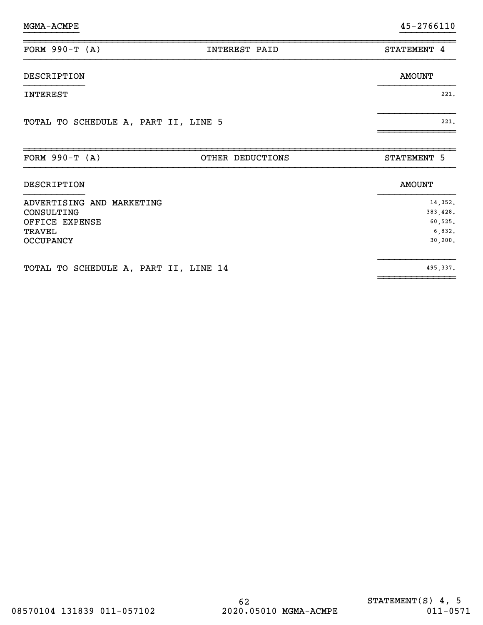| FORM $990-T (A)$                                                                        | INTEREST PAID    | STATEMENT 4                                          |
|-----------------------------------------------------------------------------------------|------------------|------------------------------------------------------|
| DESCRIPTION                                                                             |                  | <b>AMOUNT</b>                                        |
| INTEREST                                                                                |                  | 221.                                                 |
| TOTAL TO SCHEDULE A, PART II, LINE 5                                                    |                  | 221.                                                 |
| FORM $990-T (A)$                                                                        | OTHER DEDUCTIONS | STATEMENT 5                                          |
| DESCRIPTION                                                                             |                  | <b>AMOUNT</b>                                        |
| ADVERTISING AND MARKETING<br>CONSULTING<br>OFFICE EXPENSE<br>TRAVEL<br><b>OCCUPANCY</b> |                  | 14,352.<br>383,428.<br>60,525.<br>6,832.<br>30, 200. |
| TOTAL TO SCHEDULE A, PART II, LINE 14                                                   |                  | 495,337.                                             |

~~~~~~~~~~~~~~

}}}}}}}}}} }}}}}}}}}}